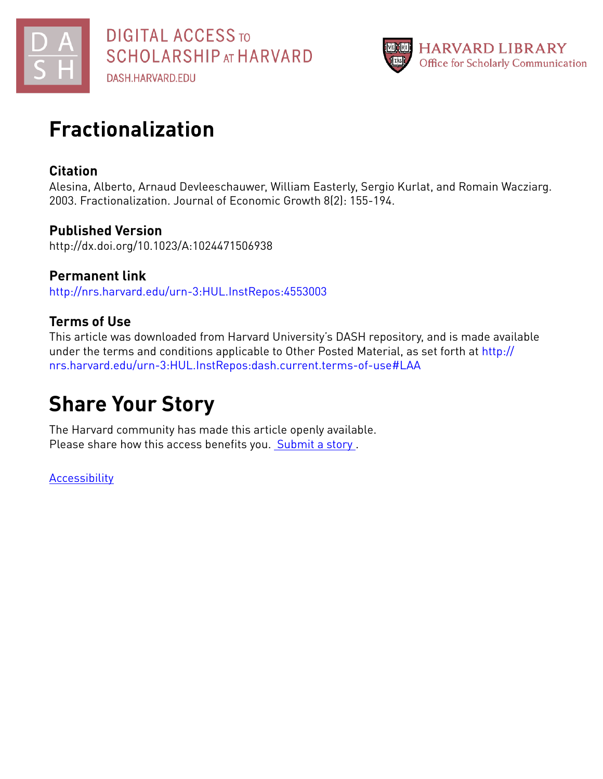



## **Fractionalization**

### **Citation**

Alesina, Alberto, Arnaud Devleeschauwer, William Easterly, Sergio Kurlat, and Romain Wacziarg. 2003. Fractionalization. Journal of Economic Growth 8(2): 155-194.

### **Published Version**

http://dx.doi.org/10.1023/A:1024471506938

**Permanent link** <http://nrs.harvard.edu/urn-3:HUL.InstRepos:4553003>

## **Terms of Use**

This article was downloaded from Harvard University's DASH repository, and is made available under the terms and conditions applicable to Other Posted Material, as set forth at [http://](http://nrs.harvard.edu/urn-3:HUL.InstRepos:dash.current.terms-of-use#LAA) [nrs.harvard.edu/urn-3:HUL.InstRepos:dash.current.terms-of-use#LAA](http://nrs.harvard.edu/urn-3:HUL.InstRepos:dash.current.terms-of-use#LAA)

## **Share Your Story**

The Harvard community has made this article openly available. Please share how this access benefits you. [Submit](http://osc.hul.harvard.edu/dash/open-access-feedback?handle=&title=Fractionalization&community=1/1&collection=1/2&owningCollection1/2&harvardAuthors=db56b5dfeb6879f5c5cc34efb86931d3&departmentEconomics) a story.

**[Accessibility](https://dash.harvard.edu/pages/accessibility)**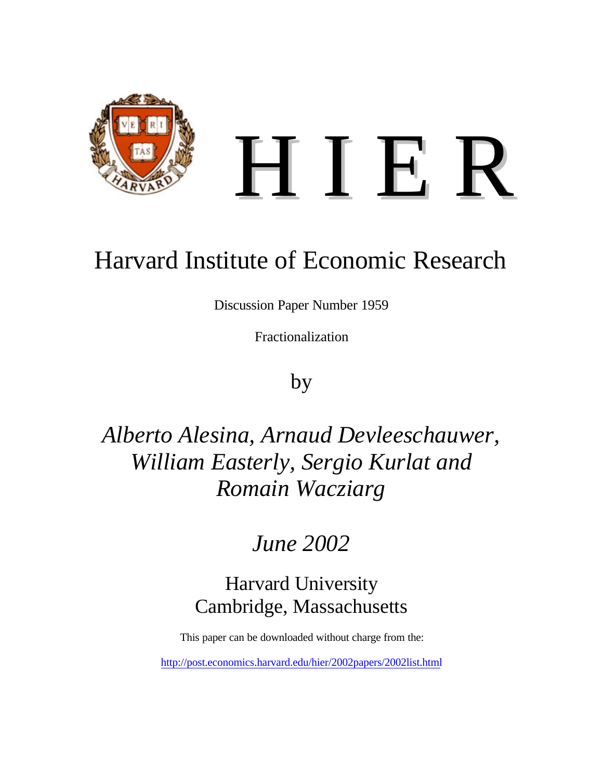

# Harvard Institute of Economic Research

Discussion Paper Number 1959

Fractionalization

by

*Alberto Alesina, Arnaud Devleeschauwer, William Easterly, Sergio Kurlat and Romain Wacziarg*

*June 2002*

## Harvard University Cambridge, Massachusetts

This paper can be downloaded without charge from the:

http://post.economics.harvard.edu/hier/2002papers/2002list.html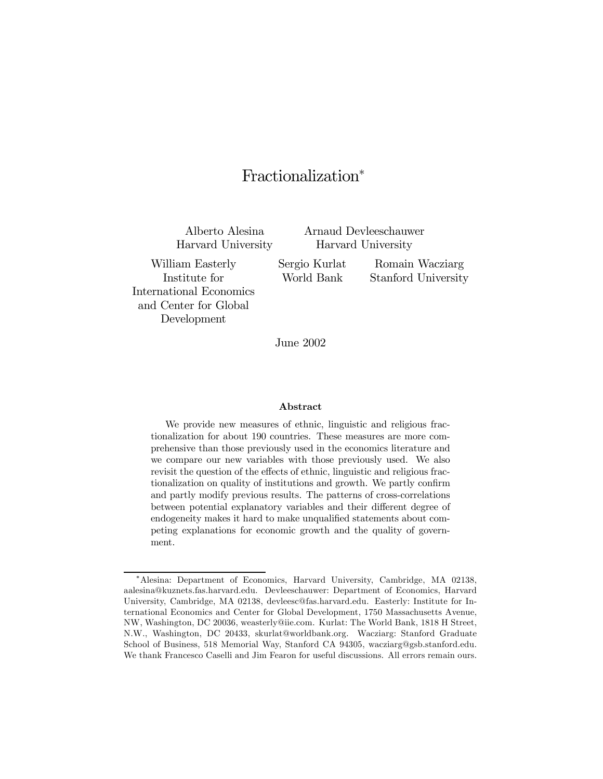## Fractionalization<sup>\*</sup>

Alberto Alesina Harvard University Arnaud Devleeschauwer Harvard University

William Easterly Institute for International Economics and Center for Global Development

Sergio Kurlat World Bank Romain Wacziarg Stanford University

June 2002

#### Abstract

We provide new measures of ethnic, linguistic and religious fractionalization for about 190 countries. These measures are more comprehensive than those previously used in the economics literature and we compare our new variables with those previously used. We also revisit the question of the effects of ethnic, linguistic and religious fractionalization on quality of institutions and growth. We partly confirm and partly modify previous results. The patterns of cross-correlations between potential explanatory variables and their different degree of endogeneity makes it hard to make unqualified statements about competing explanations for economic growth and the quality of government.

<sup>¤</sup>Alesina: Department of Economics, Harvard University, Cambridge, MA 02138, aalesina@kuznets.fas.harvard.edu. Devleeschauwer: Department of Economics, Harvard University, Cambridge, MA 02138, devleesc@fas.harvard.edu. Easterly: Institute for International Economics and Center for Global Development, 1750 Massachusetts Avenue, NW, Washington, DC 20036, weasterly@iie.com. Kurlat: The World Bank, 1818 H Street, N.W., Washington, DC 20433, skurlat@worldbank.org. Wacziarg: Stanford Graduate School of Business, 518 Memorial Way, Stanford CA 94305, wacziarg@gsb.stanford.edu. We thank Francesco Caselli and Jim Fearon for useful discussions. All errors remain ours.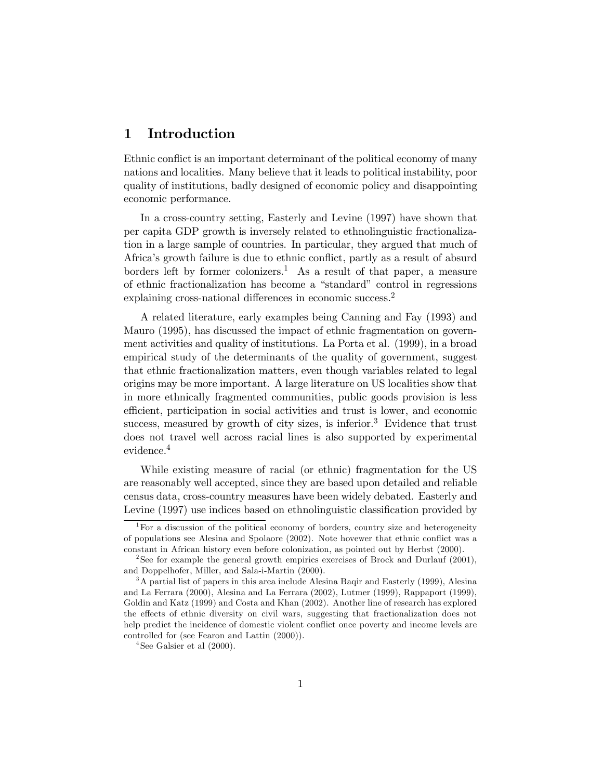#### 1 Introduction

Ethnic conflict is an important determinant of the political economy of many nations and localities. Many believe that it leads to political instability, poor quality of institutions, badly designed of economic policy and disappointing economic performance.

In a cross-country setting, Easterly and Levine (1997) have shown that per capita GDP growth is inversely related to ethnolinguistic fractionalization in a large sample of countries. In particular, they argued that much of Africa's growth failure is due to ethnic conflict, partly as a result of absurd borders left by former colonizers. <sup>1</sup> As a result of that paper, a measure of ethnic fractionalization has become a "standard" control in regressions explaining cross-national differences in economic success.<sup>2</sup>

A related literature, early examples being Canning and Fay (1993) and Mauro (1995), has discussed the impact of ethnic fragmentation on government activities and quality of institutions. La Porta et al. (1999), in a broad empirical study of the determinants of the quality of government, suggest that ethnic fractionalization matters, even though variables related to legal origins may be more important. A large literature on US localities show that in more ethnically fragmented communities, public goods provision is less efficient, participation in social activities and trust is lower, and economic success, measured by growth of city sizes, is inferior.<sup>3</sup> Evidence that trust does not travel well across racial lines is also supported by experimental evidence. 4

While existing measure of racial (or ethnic) fragmentation for the US are reasonably well accepted, since they are based upon detailed and reliable census data, cross-country measures have been widely debated. Easterly and Levine (1997) use indices based on ethnolinguistic classification provided by

<sup>&</sup>lt;sup>1</sup>For a discussion of the political economy of borders, country size and heterogeneity of populations see Alesina and Spolaore  $(2002)$ . Note hovewer that ethnic conflict was a constant in African history even before colonization, as pointed out by Herbst (2000).

<sup>&</sup>lt;sup>2</sup>See for example the general growth empirics exercises of Brock and Durlauf  $(2001)$ , and Doppelhofer, Miller, and Sala-i-Martin (2000).

<sup>&</sup>lt;sup>3</sup>A partial list of papers in this area include Alesina Bagir and Easterly (1999), Alesina and La Ferrara (2000), Alesina and La Ferrara (2002), Lutmer (1999), Rappaport (1999), Goldin and Katz (1999) and Costa and Khan (2002). Another line of research has explored the effects of ethnic diversity on civil wars, suggesting that fractionalization does not help predict the incidence of domestic violent conflict once poverty and income levels are controlled for (see Fearon and Lattin (2000)).

 $4$ See Galsier et al  $(2000)$ .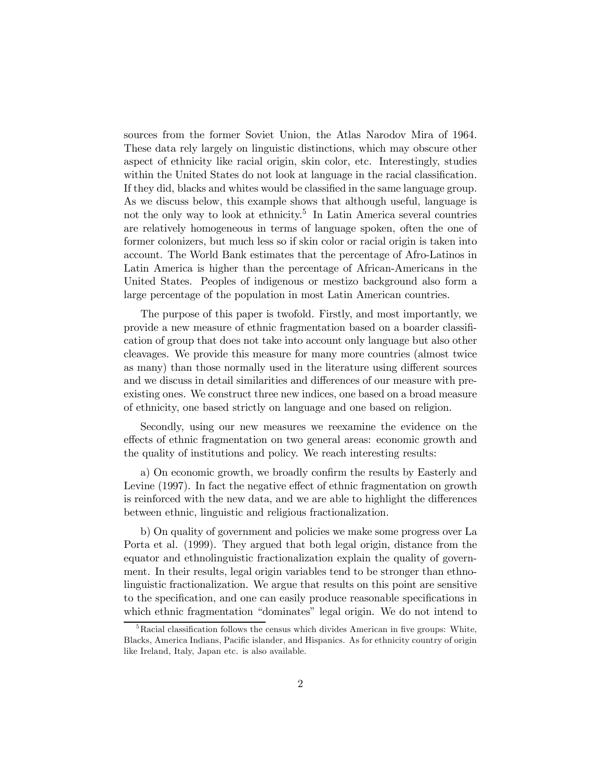sources from the former Soviet Union, the Atlas Narodov Mira of 1964. These data rely largely on linguistic distinctions, which may obscure other aspect of ethnicity like racial origin, skin color, etc. Interestingly, studies within the United States do not look at language in the racial classification. If they did, blacks and whites would be classified in the same language group. As we discuss below, this example shows that although useful, language is not the only way to look at ethnicity. 5 In Latin America several countries are relatively homogeneous in terms of language spoken, often the one of former colonizers, but much less so if skin color or racial origin is taken into account. The World Bank estimates that the percentage of Afro-Latinos in Latin America is higher than the percentage of African-Americans in the United States. Peoples of indigenous or mestizo background also form a large percentage of the population in most Latin American countries.

The purpose of this paper is twofold. Firstly, and most importantly, we provide a new measure of ethnic fragmentation based on a boarder classi… cation of group that does not take into account only language but also other cleavages. We provide this measure for many more countries (almost twice as many) than those normally used in the literature using different sources and we discuss in detail similarities and differences of our measure with preexisting ones. We construct three new indices, one based on a broad measure of ethnicity, one based strictly on language and one based on religion.

Secondly, using our new measures we reexamine the evidence on the effects of ethnic fragmentation on two general areas: economic growth and the quality of institutions and policy. We reach interesting results:

a) On economic growth, we broadly confirm the results by Easterly and Levine (1997). In fact the negative effect of ethnic fragmentation on growth is reinforced with the new data, and we are able to highlight the differences between ethnic, linguistic and religious fractionalization.

b) On quality of government and policies we make some progress over La Porta et al. (1999). They argued that both legal origin, distance from the equator and ethnolinguistic fractionalization explain the quality of government. In their results, legal origin variables tend to be stronger than ethnolinguistic fractionalization. We argue that results on this point are sensitive to the specification, and one can easily produce reasonable specifications in which ethnic fragmentation "dominates" legal origin. We do not intend to

 ${}^{5}$ Racial classification follows the census which divides American in five groups: White, Blacks, America Indians, Pacific islander, and Hispanics. As for ethnicity country of origin like Ireland, Italy, Japan etc. is also available.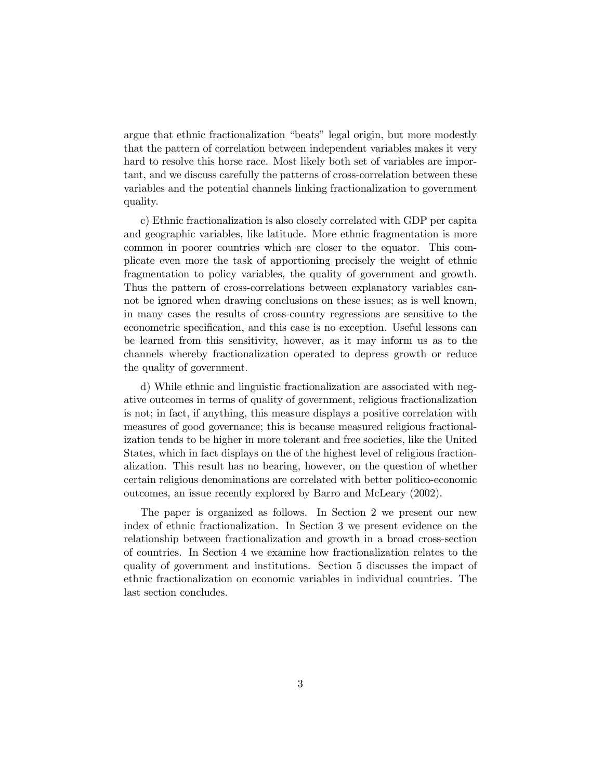argue that ethnic fractionalization "beats" legal origin, but more modestly that the pattern of correlation between independent variables makes it very hard to resolve this horse race. Most likely both set of variables are important, and we discuss carefully the patterns of cross-correlation between these variables and the potential channels linking fractionalization to government quality.

c) Ethnic fractionalization is also closely correlated with GDP per capita and geographic variables, like latitude. More ethnic fragmentation is more common in poorer countries which are closer to the equator. This complicate even more the task of apportioning precisely the weight of ethnic fragmentation to policy variables, the quality of government and growth. Thus the pattern of cross-correlations between explanatory variables cannot be ignored when drawing conclusions on these issues; as is well known, in many cases the results of cross-country regressions are sensitive to the econometric specification, and this case is no exception. Useful lessons can be learned from this sensitivity, however, as it may inform us as to the channels whereby fractionalization operated to depress growth or reduce the quality of government.

d) While ethnic and linguistic fractionalization are associated with negative outcomes in terms of quality of government, religious fractionalization is not; in fact, if anything, this measure displays a positive correlation with measures of good governance; this is because measured religious fractionalization tends to be higher in more tolerant and free societies, like the United States, which in fact displays on the of the highest level of religious fractionalization. This result has no bearing, however, on the question of whether certain religious denominations are correlated with better politico-economic outcomes, an issue recently explored by Barro and McLeary (2002).

The paper is organized as follows. In Section 2 we present our new index of ethnic fractionalization. In Section 3 we present evidence on the relationship between fractionalization and growth in a broad cross-section of countries. In Section 4 we examine how fractionalization relates to the quality of government and institutions. Section 5 discusses the impact of ethnic fractionalization on economic variables in individual countries. The last section concludes.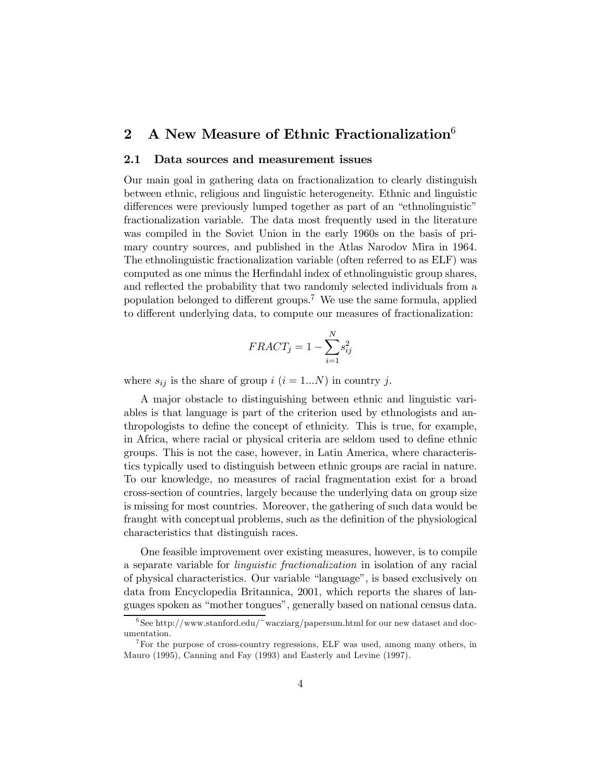### 2 A New Measure of Ethnic Fractionalization $^6$

#### 2.1 Data sources and measurement issues

Our main goal in gathering data on fractionalization to clearly distinguish between ethnic, religious and linguistic heterogeneity. Ethnic and linguistic differences were previously lumped together as part of an "ethnolinguistic" fractionalization variable. The data most frequently used in the literature was compiled in the Soviet Union in the early 1960s on the basis of primary country sources, and published in the Atlas Narodov Mira in 1964. The ethnolinguistic fractionalization variable (often referred to as ELF) was computed as one minus the Herfindahl index of ethnolinguistic group shares, and reflected the probability that two randomly selected individuals from a population belonged to different groups.<sup>7</sup> We use the same formula, applied to different underlying data, to compute our measures of fractionalization:

$$
FRACT_j = 1 - \sum_{i=1}^{N} s_{ij}^2
$$

where  $s_{ij}$  is the share of group  $i$   $(i = 1...N)$  in country j.

A major obstacle to distinguishing between ethnic and linguistic variables is that language is part of the criterion used by ethnologists and anthropologists to define the concept of ethnicity. This is true, for example, in Africa, where racial or physical criteria are seldom used to define ethnic groups. This is not the case, however, in Latin America, where characteristics typically used to distinguish between ethnic groups are racial in nature. To our knowledge, no measures of racial fragmentation exist for a broad cross-section of countries, largely because the underlying data on group size is missing for most countries. Moreover, the gathering of such data would be fraught with conceptual problems, such as the definition of the physiological characteristics that distinguish races.

One feasible improvement over existing measures, however, is to compile a separate variable for linguistic fractionalization in isolation of any racial of physical characteristics. Our variable "language", is based exclusively on data from Encyclopedia Britannica, 2001, which reports the shares of languages spoken as "mother tongues", generally based on national census data.

<sup>&</sup>lt;sup>6</sup>See http://www.stanford.edu/~wacziarg/papersum.html for our new dataset and documentation.

 $7$  For the purpose of cross-country regressions, ELF was used, among many others, in Mauro (1995), Canning and Fay (1993) and Easterly and Levine (1997).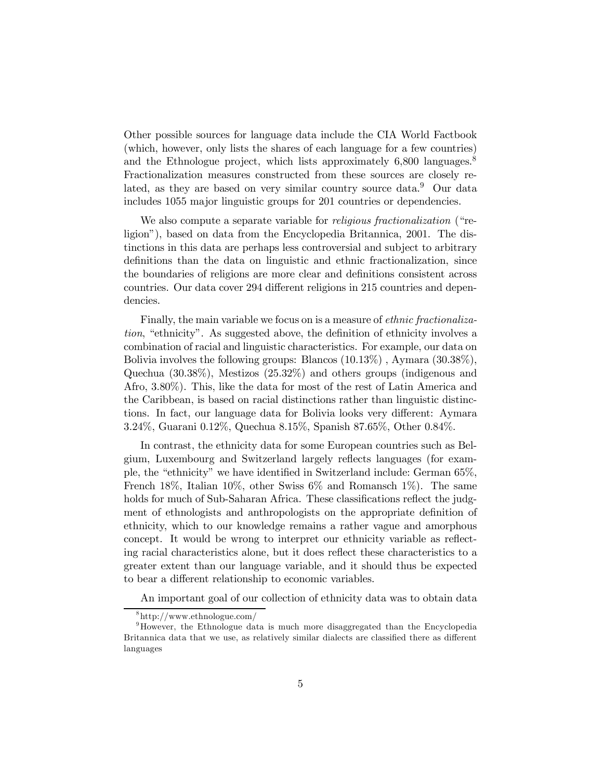Other possible sources for language data include the CIA World Factbook (which, however, only lists the shares of each language for a few countries) and the Ethnologue project, which lists approximately 6,800 languages.<sup>8</sup> Fractionalization measures constructed from these sources are closely related, as they are based on very similar country source data.<sup>9</sup> Our data includes 1055 major linguistic groups for 201 countries or dependencies.

We also compute a separate variable for *religious fractionalization* ("religion"), based on data from the Encyclopedia Britannica, 2001. The distinctions in this data are perhaps less controversial and subject to arbitrary definitions than the data on linguistic and ethnic fractionalization, since the boundaries of religions are more clear and definitions consistent across countries. Our data cover 294 different religions in 215 countries and dependencies.

Finally, the main variable we focus on is a measure of *ethnic fractionaliza*tion, "ethnicity". As suggested above, the definition of ethnicity involves a combination of racial and linguistic characteristics. For example, our data on Bolivia involves the following groups: Blancos (10.13%) , Aymara (30.38%), Quechua (30.38%), Mestizos (25.32%) and others groups (indigenous and Afro, 3.80%). This, like the data for most of the rest of Latin America and the Caribbean, is based on racial distinctions rather than linguistic distinctions. In fact, our language data for Bolivia looks very different: Aymara 3.24%, Guarani 0.12%, Quechua 8.15%, Spanish 87.65%, Other 0.84%.

In contrast, the ethnicity data for some European countries such as Belgium, Luxembourg and Switzerland largely re‡ects languages (for example, the "ethnicity" we have identified in Switzerland include: German  $65\%$ , French 18%, Italian 10%, other Swiss 6% and Romansch 1%). The same holds for much of Sub-Saharan Africa. These classifications reflect the judgment of ethnologists and anthropologists on the appropriate definition of ethnicity, which to our knowledge remains a rather vague and amorphous concept. It would be wrong to interpret our ethnicity variable as reflecting racial characteristics alone, but it does reflect these characteristics to a greater extent than our language variable, and it should thus be expected to bear a different relationship to economic variables.

An important goal of our collection of ethnicity data was to obtain data

<sup>8</sup> http://www.ethnologue.com/

<sup>&</sup>lt;sup>9</sup>However, the Ethnologue data is much more disaggregated than the Encyclopedia Britannica data that we use, as relatively similar dialects are classified there as different languages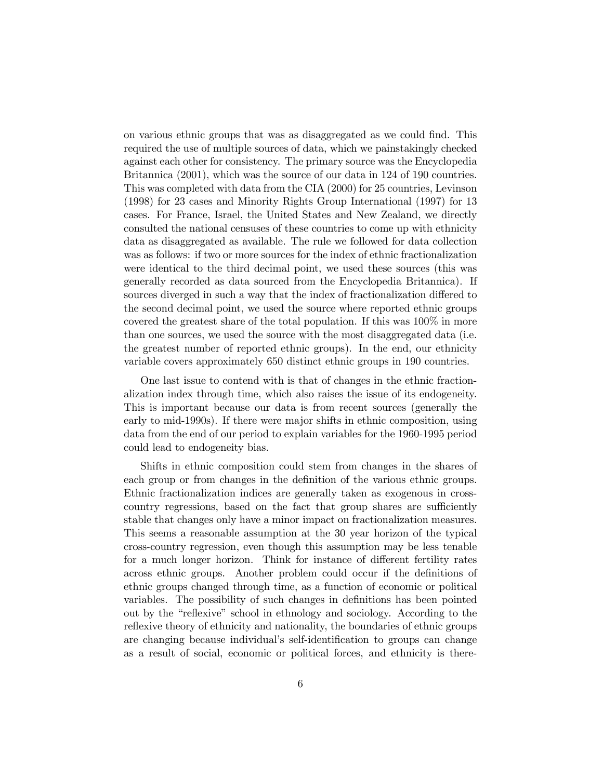on various ethnic groups that was as disaggregated as we could find. This required the use of multiple sources of data, which we painstakingly checked against each other for consistency. The primary source was the Encyclopedia Britannica (2001), which was the source of our data in 124 of 190 countries. This was completed with data from the CIA (2000) for 25 countries, Levinson (1998) for 23 cases and Minority Rights Group International (1997) for 13 cases. For France, Israel, the United States and New Zealand, we directly consulted the national censuses of these countries to come up with ethnicity data as disaggregated as available. The rule we followed for data collection was as follows: if two or more sources for the index of ethnic fractionalization were identical to the third decimal point, we used these sources (this was generally recorded as data sourced from the Encyclopedia Britannica). If sources diverged in such a way that the index of fractionalization differed to the second decimal point, we used the source where reported ethnic groups covered the greatest share of the total population. If this was 100% in more than one sources, we used the source with the most disaggregated data (i.e. the greatest number of reported ethnic groups). In the end, our ethnicity variable covers approximately 650 distinct ethnic groups in 190 countries.

One last issue to contend with is that of changes in the ethnic fractionalization index through time, which also raises the issue of its endogeneity. This is important because our data is from recent sources (generally the early to mid-1990s). If there were major shifts in ethnic composition, using data from the end of our period to explain variables for the 1960-1995 period could lead to endogeneity bias.

Shifts in ethnic composition could stem from changes in the shares of each group or from changes in the definition of the various ethnic groups. Ethnic fractionalization indices are generally taken as exogenous in crosscountry regressions, based on the fact that group shares are sufficiently stable that changes only have a minor impact on fractionalization measures. This seems a reasonable assumption at the 30 year horizon of the typical cross-country regression, even though this assumption may be less tenable for a much longer horizon. Think for instance of different fertility rates across ethnic groups. Another problem could occur if the definitions of ethnic groups changed through time, as a function of economic or political variables. The possibility of such changes in definitions has been pointed out by the "re‡exive" school in ethnology and sociology. According to the reflexive theory of ethnicity and nationality, the boundaries of ethnic groups are changing because individual's self-identification to groups can change as a result of social, economic or political forces, and ethnicity is there-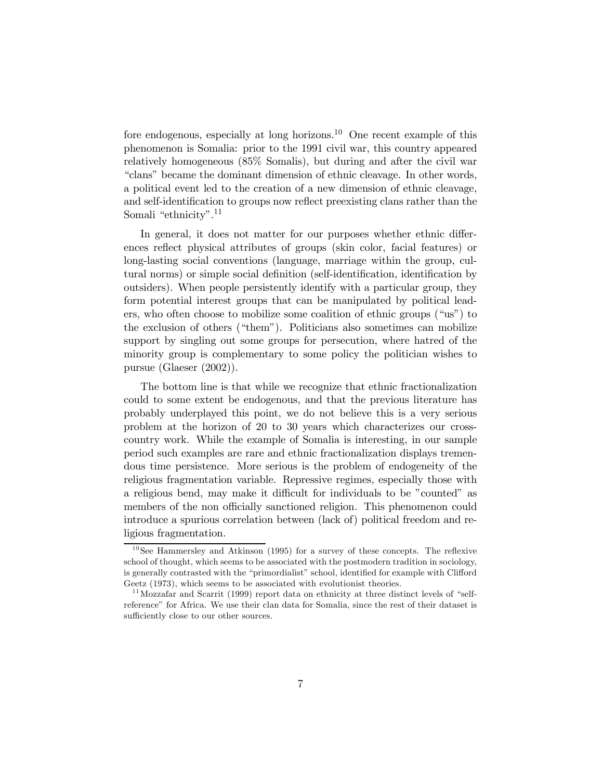fore endogenous, especially at long horizons.<sup>10</sup> One recent example of this phenomenon is Somalia: prior to the 1991 civil war, this country appeared relatively homogeneous (85% Somalis), but during and after the civil war "clans" became the dominant dimension of ethnic cleavage. In other words, a political event led to the creation of a new dimension of ethnic cleavage, and self-identification to groups now reflect preexisting clans rather than the Somali "ethnicity". 11

In general, it does not matter for our purposes whether ethnic differences reflect physical attributes of groups (skin color, facial features) or long-lasting social conventions (language, marriage within the group, cultural norms) or simple social definition (self-identification, identification by outsiders). When people persistently identify with a particular group, they form potential interest groups that can be manipulated by political leaders, who often choose to mobilize some coalition of ethnic groups ("us") to the exclusion of others ("them"). Politicians also sometimes can mobilize support by singling out some groups for persecution, where hatred of the minority group is complementary to some policy the politician wishes to pursue (Glaeser (2002)).

The bottom line is that while we recognize that ethnic fractionalization could to some extent be endogenous, and that the previous literature has probably underplayed this point, we do not believe this is a very serious problem at the horizon of 20 to 30 years which characterizes our crosscountry work. While the example of Somalia is interesting, in our sample period such examples are rare and ethnic fractionalization displays tremendous time persistence. More serious is the problem of endogeneity of the religious fragmentation variable. Repressive regimes, especially those with a religious bend, may make it difficult for individuals to be "counted" as members of the non officially sanctioned religion. This phenomenon could introduce a spurious correlation between (lack of) political freedom and religious fragmentation.

 $10$  See Hammersley and Atkinson (1995) for a survey of these concepts. The reflexive school of thought, which seems to be associated with the postmodern tradition in sociology, is generally contrasted with the "primordialist" school, identified for example with Clifford Geetz (1973), which seems to be associated with evolutionist theories.

 $11$ Mozzafar and Scarrit (1999) report data on ethnicity at three distinct levels of "selfreference" for Africa. We use their clan data for Somalia, since the rest of their dataset is sufficiently close to our other sources.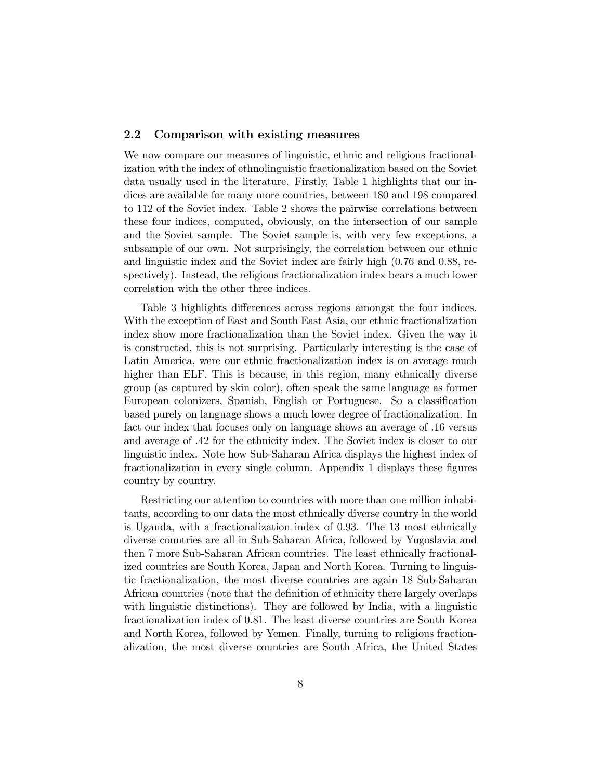#### 2.2 Comparison with existing measures

We now compare our measures of linguistic, ethnic and religious fractionalization with the index of ethnolinguistic fractionalization based on the Soviet data usually used in the literature. Firstly, Table 1 highlights that our indices are available for many more countries, between 180 and 198 compared to 112 of the Soviet index. Table 2 shows the pairwise correlations between these four indices, computed, obviously, on the intersection of our sample and the Soviet sample. The Soviet sample is, with very few exceptions, a subsample of our own. Not surprisingly, the correlation between our ethnic and linguistic index and the Soviet index are fairly high (0.76 and 0.88, respectively). Instead, the religious fractionalization index bears a much lower correlation with the other three indices.

Table 3 highlights differences across regions amongst the four indices. With the exception of East and South East Asia, our ethnic fractionalization index show more fractionalization than the Soviet index. Given the way it is constructed, this is not surprising. Particularly interesting is the case of Latin America, were our ethnic fractionalization index is on average much higher than ELF. This is because, in this region, many ethnically diverse group (as captured by skin color), often speak the same language as former European colonizers, Spanish, English or Portuguese. So a classification based purely on language shows a much lower degree of fractionalization. In fact our index that focuses only on language shows an average of .16 versus and average of .42 for the ethnicity index. The Soviet index is closer to our linguistic index. Note how Sub-Saharan Africa displays the highest index of fractionalization in every single column. Appendix 1 displays these figures country by country.

Restricting our attention to countries with more than one million inhabitants, according to our data the most ethnically diverse country in the world is Uganda, with a fractionalization index of 0.93. The 13 most ethnically diverse countries are all in Sub-Saharan Africa, followed by Yugoslavia and then 7 more Sub-Saharan African countries. The least ethnically fractionalized countries are South Korea, Japan and North Korea. Turning to linguistic fractionalization, the most diverse countries are again 18 Sub-Saharan African countries (note that the definition of ethnicity there largely overlaps with linguistic distinctions). They are followed by India, with a linguistic fractionalization index of 0.81. The least diverse countries are South Korea and North Korea, followed by Yemen. Finally, turning to religious fractionalization, the most diverse countries are South Africa, the United States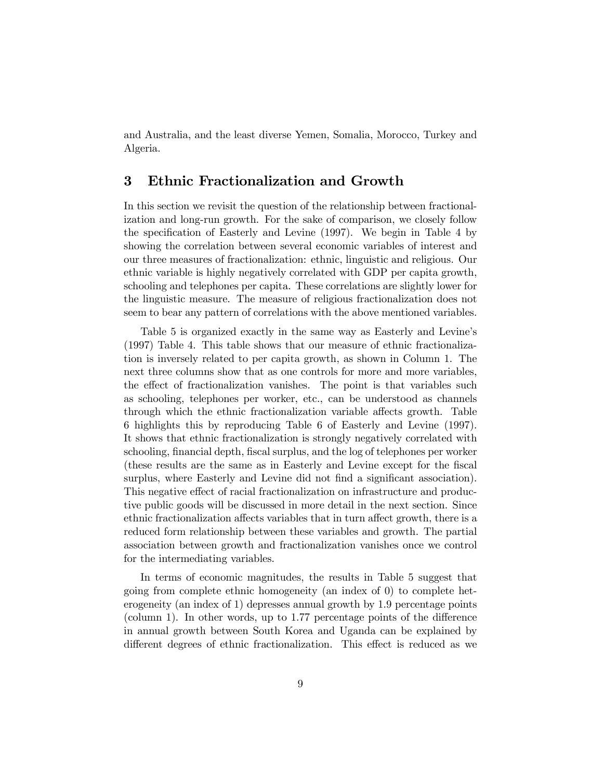and Australia, and the least diverse Yemen, Somalia, Morocco, Turkey and Algeria.

#### 3 Ethnic Fractionalization and Growth

In this section we revisit the question of the relationship between fractionalization and long-run growth. For the sake of comparison, we closely follow the specification of Easterly and Levine (1997). We begin in Table 4 by showing the correlation between several economic variables of interest and our three measures of fractionalization: ethnic, linguistic and religious. Our ethnic variable is highly negatively correlated with GDP per capita growth, schooling and telephones per capita. These correlations are slightly lower for the linguistic measure. The measure of religious fractionalization does not seem to bear any pattern of correlations with the above mentioned variables.

Table 5 is organized exactly in the same way as Easterly and Levine's (1997) Table 4. This table shows that our measure of ethnic fractionalization is inversely related to per capita growth, as shown in Column 1. The next three columns show that as one controls for more and more variables, the effect of fractionalization vanishes. The point is that variables such as schooling, telephones per worker, etc., can be understood as channels through which the ethnic fractionalization variable affects growth. Table 6 highlights this by reproducing Table 6 of Easterly and Levine (1997). It shows that ethnic fractionalization is strongly negatively correlated with schooling, financial depth, fiscal surplus, and the log of telephones per worker (these results are the same as in Easterly and Levine except for the fiscal surplus, where Easterly and Levine did not find a significant association). This negative effect of racial fractionalization on infrastructure and productive public goods will be discussed in more detail in the next section. Since ethnic fractionalization affects variables that in turn affect growth, there is a reduced form relationship between these variables and growth. The partial association between growth and fractionalization vanishes once we control for the intermediating variables.

In terms of economic magnitudes, the results in Table 5 suggest that going from complete ethnic homogeneity (an index of 0) to complete heterogeneity (an index of 1) depresses annual growth by 1.9 percentage points (column 1). In other words, up to  $1.77$  percentage points of the difference in annual growth between South Korea and Uganda can be explained by different degrees of ethnic fractionalization. This effect is reduced as we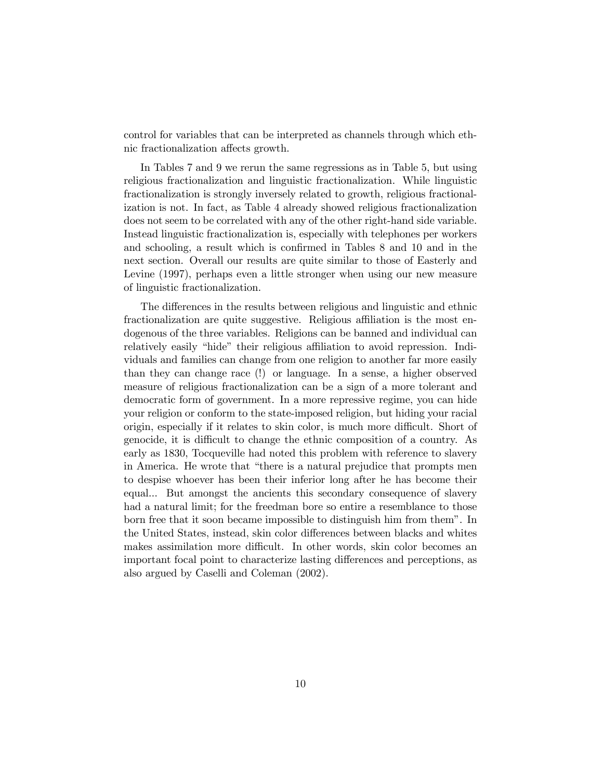control for variables that can be interpreted as channels through which ethnic fractionalization affects growth.

In Tables 7 and 9 we rerun the same regressions as in Table 5, but using religious fractionalization and linguistic fractionalization. While linguistic fractionalization is strongly inversely related to growth, religious fractionalization is not. In fact, as Table 4 already showed religious fractionalization does not seem to be correlated with any of the other right-hand side variable. Instead linguistic fractionalization is, especially with telephones per workers and schooling, a result which is confirmed in Tables 8 and 10 and in the next section. Overall our results are quite similar to those of Easterly and Levine (1997), perhaps even a little stronger when using our new measure of linguistic fractionalization.

The differences in the results between religious and linguistic and ethnic fractionalization are quite suggestive. Religious affiliation is the most endogenous of the three variables. Religions can be banned and individual can relatively easily "hide" their religious affiliation to avoid repression. Individuals and families can change from one religion to another far more easily than they can change race (!) or language. In a sense, a higher observed measure of religious fractionalization can be a sign of a more tolerant and democratic form of government. In a more repressive regime, you can hide your religion or conform to the state-imposed religion, but hiding your racial origin, especially if it relates to skin color, is much more difficult. Short of genocide, it is difficult to change the ethnic composition of a country. As early as 1830, Tocqueville had noted this problem with reference to slavery in America. He wrote that "there is a natural prejudice that prompts men to despise whoever has been their inferior long after he has become their equal... But amongst the ancients this secondary consequence of slavery had a natural limit; for the freedman bore so entire a resemblance to those born free that it soon became impossible to distinguish him from them". In the United States, instead, skin color differences between blacks and whites makes assimilation more difficult. In other words, skin color becomes an important focal point to characterize lasting differences and perceptions, as also argued by Caselli and Coleman (2002).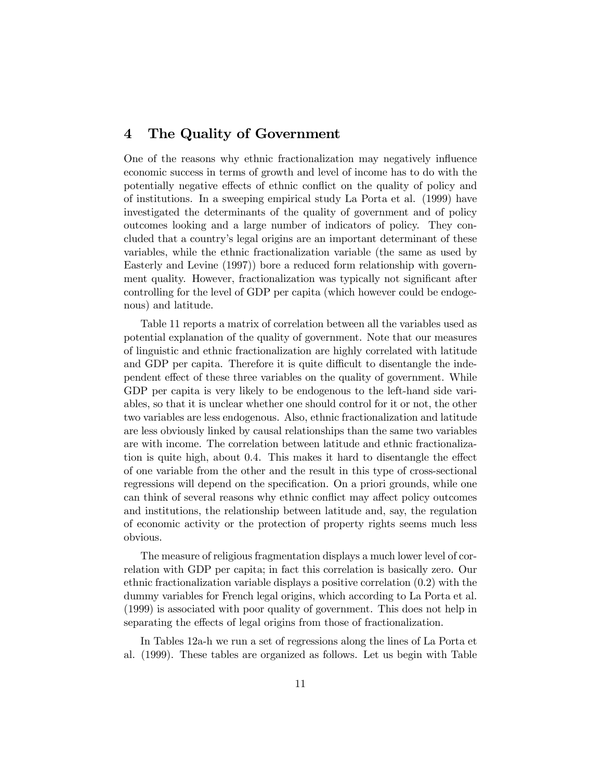#### 4 The Quality of Government

One of the reasons why ethnic fractionalization may negatively influence economic success in terms of growth and level of income has to do with the potentially negative effects of ethnic conflict on the quality of policy and of institutions. In a sweeping empirical study La Porta et al. (1999) have investigated the determinants of the quality of government and of policy outcomes looking and a large number of indicators of policy. They concluded that a country's legal origins are an important determinant of these variables, while the ethnic fractionalization variable (the same as used by Easterly and Levine (1997)) bore a reduced form relationship with government quality. However, fractionalization was typically not significant after controlling for the level of GDP per capita (which however could be endogenous) and latitude.

Table 11 reports a matrix of correlation between all the variables used as potential explanation of the quality of government. Note that our measures of linguistic and ethnic fractionalization are highly correlated with latitude and GDP per capita. Therefore it is quite difficult to disentangle the independent effect of these three variables on the quality of government. While GDP per capita is very likely to be endogenous to the left-hand side variables, so that it is unclear whether one should control for it or not, the other two variables are less endogenous. Also, ethnic fractionalization and latitude are less obviously linked by causal relationships than the same two variables are with income. The correlation between latitude and ethnic fractionalization is quite high, about  $0.4$ . This makes it hard to disentangle the effect of one variable from the other and the result in this type of cross-sectional regressions will depend on the specification. On a priori grounds, while one can think of several reasons why ethnic conflict may affect policy outcomes and institutions, the relationship between latitude and, say, the regulation of economic activity or the protection of property rights seems much less obvious.

The measure of religious fragmentation displays a much lower level of correlation with GDP per capita; in fact this correlation is basically zero. Our ethnic fractionalization variable displays a positive correlation (0.2) with the dummy variables for French legal origins, which according to La Porta et al. (1999) is associated with poor quality of government. This does not help in separating the effects of legal origins from those of fractionalization.

In Tables 12a-h we run a set of regressions along the lines of La Porta et al. (1999). These tables are organized as follows. Let us begin with Table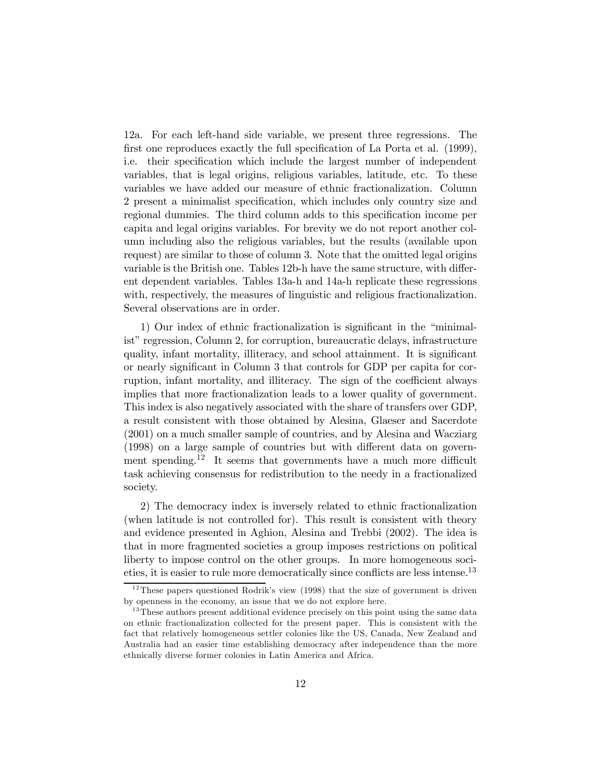12a. For each left-hand side variable, we present three regressions. The first one reproduces exactly the full specification of La Porta et al.  $(1999)$ , i.e. their specification which include the largest number of independent variables, that is legal origins, religious variables, latitude, etc. To these variables we have added our measure of ethnic fractionalization. Column 2 present a minimalist specification, which includes only country size and regional dummies. The third column adds to this specification income per capita and legal origins variables. For brevity we do not report another column including also the religious variables, but the results (available upon request) are similar to those of column 3. Note that the omitted legal origins variable is the British one. Tables 12b-h have the same structure, with different dependent variables. Tables 13a-h and 14a-h replicate these regressions with, respectively, the measures of linguistic and religious fractionalization. Several observations are in order.

1) Our index of ethnic fractionalization is significant in the "minimalist" regression, Column 2, for corruption, bureaucratic delays, infrastructure quality, infant mortality, illiteracy, and school attainment. It is significant or nearly significant in Column 3 that controls for GDP per capita for corruption, infant mortality, and illiteracy. The sign of the coefficient always implies that more fractionalization leads to a lower quality of government. This index is also negatively associated with the share of transfers over GDP, a result consistent with those obtained by Alesina, Glaeser and Sacerdote (2001) on a much smaller sample of countries, and by Alesina and Wacziarg  $(1998)$  on a large sample of countries but with different data on government spending.<sup>12</sup> It seems that governments have a much more difficult task achieving consensus for redistribution to the needy in a fractionalized society.

2) The democracy index is inversely related to ethnic fractionalization (when latitude is not controlled for). This result is consistent with theory and evidence presented in Aghion, Alesina and Trebbi (2002). The idea is that in more fragmented societies a group imposes restrictions on political liberty to impose control on the other groups. In more homogeneous soci-eties, it is easier to rule more democratically since conflicts are less intense.<sup>13</sup>

 $12$ These papers questioned Rodrik's view (1998) that the size of government is driven by openness in the economy, an issue that we do not explore here.

<sup>&</sup>lt;sup>13</sup>These authors present additional evidence precisely on this point using the same data on ethnic fractionalization collected for the present paper. This is consistent with the fact that relatively homogeneous settler colonies like the US, Canada, New Zealand and Australia had an easier time establishing democracy after independence than the more ethnically diverse former colonies in Latin America and Africa.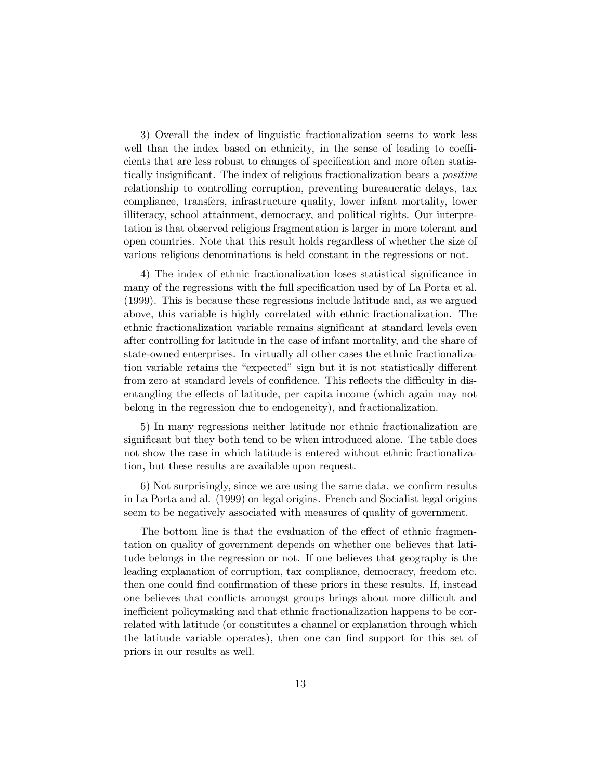3) Overall the index of linguistic fractionalization seems to work less well than the index based on ethnicity, in the sense of leading to coefficients that are less robust to changes of specification and more often statistically insignificant. The index of religious fractionalization bears a *positive* relationship to controlling corruption, preventing bureaucratic delays, tax compliance, transfers, infrastructure quality, lower infant mortality, lower illiteracy, school attainment, democracy, and political rights. Our interpretation is that observed religious fragmentation is larger in more tolerant and open countries. Note that this result holds regardless of whether the size of various religious denominations is held constant in the regressions or not.

4) The index of ethnic fractionalization loses statistical significance in many of the regressions with the full specification used by of La Porta et al. (1999). This is because these regressions include latitude and, as we argued above, this variable is highly correlated with ethnic fractionalization. The ethnic fractionalization variable remains significant at standard levels even after controlling for latitude in the case of infant mortality, and the share of state-owned enterprises. In virtually all other cases the ethnic fractionalization variable retains the "expected" sign but it is not statistically different from zero at standard levels of confidence. This reflects the difficulty in disentangling the effects of latitude, per capita income (which again may not belong in the regression due to endogeneity), and fractionalization.

5) In many regressions neither latitude nor ethnic fractionalization are significant but they both tend to be when introduced alone. The table does not show the case in which latitude is entered without ethnic fractionalization, but these results are available upon request.

6) Not surprisingly, since we are using the same data, we confirm results in La Porta and al. (1999) on legal origins. French and Socialist legal origins seem to be negatively associated with measures of quality of government.

The bottom line is that the evaluation of the effect of ethnic fragmentation on quality of government depends on whether one believes that latitude belongs in the regression or not. If one believes that geography is the leading explanation of corruption, tax compliance, democracy, freedom etc. then one could find confirmation of these priors in these results. If, instead one believes that conflicts amongst groups brings about more difficult and inefficient policymaking and that ethnic fractionalization happens to be correlated with latitude (or constitutes a channel or explanation through which the latitude variable operates), then one can find support for this set of priors in our results as well.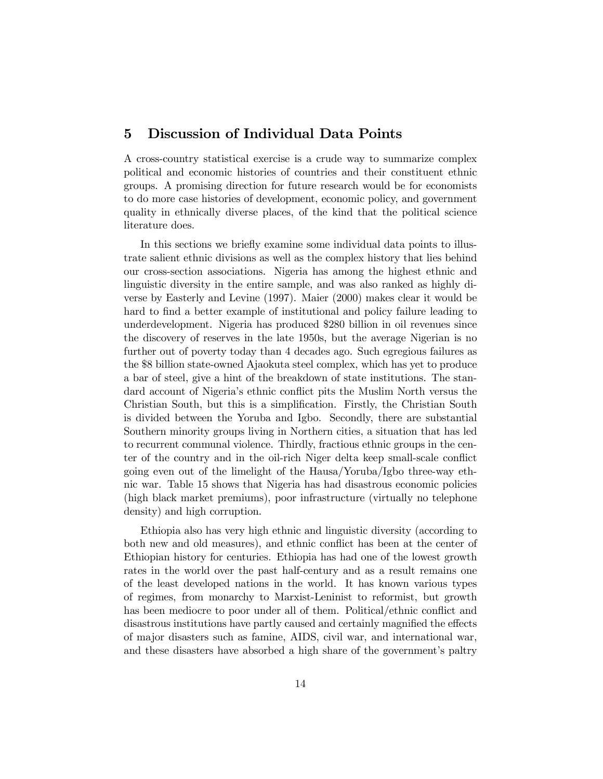#### 5 Discussion of Individual Data Points

A cross-country statistical exercise is a crude way to summarize complex political and economic histories of countries and their constituent ethnic groups. A promising direction for future research would be for economists to do more case histories of development, economic policy, and government quality in ethnically diverse places, of the kind that the political science literature does.

In this sections we briefly examine some individual data points to illustrate salient ethnic divisions as well as the complex history that lies behind our cross-section associations. Nigeria has among the highest ethnic and linguistic diversity in the entire sample, and was also ranked as highly diverse by Easterly and Levine (1997). Maier (2000) makes clear it would be hard to find a better example of institutional and policy failure leading to underdevelopment. Nigeria has produced \$280 billion in oil revenues since the discovery of reserves in the late 1950s, but the average Nigerian is no further out of poverty today than 4 decades ago. Such egregious failures as the \$8 billion state-owned Ajaokuta steel complex, which has yet to produce a bar of steel, give a hint of the breakdown of state institutions. The standard account of Nigeria's ethnic conflict pits the Muslim North versus the Christian South, but this is a simplification. Firstly, the Christian South is divided between the Yoruba and Igbo. Secondly, there are substantial Southern minority groups living in Northern cities, a situation that has led to recurrent communal violence. Thirdly, fractious ethnic groups in the center of the country and in the oil-rich Niger delta keep small-scale conflict going even out of the limelight of the Hausa/Yoruba/Igbo three-way ethnic war. Table 15 shows that Nigeria has had disastrous economic policies (high black market premiums), poor infrastructure (virtually no telephone density) and high corruption.

Ethiopia also has very high ethnic and linguistic diversity (according to both new and old measures), and ethnic conflict has been at the center of Ethiopian history for centuries. Ethiopia has had one of the lowest growth rates in the world over the past half-century and as a result remains one of the least developed nations in the world. It has known various types of regimes, from monarchy to Marxist-Leninist to reformist, but growth has been mediocre to poor under all of them. Political/ethnic conflict and disastrous institutions have partly caused and certainly magnified the effects of major disasters such as famine, AIDS, civil war, and international war, and these disasters have absorbed a high share of the government's paltry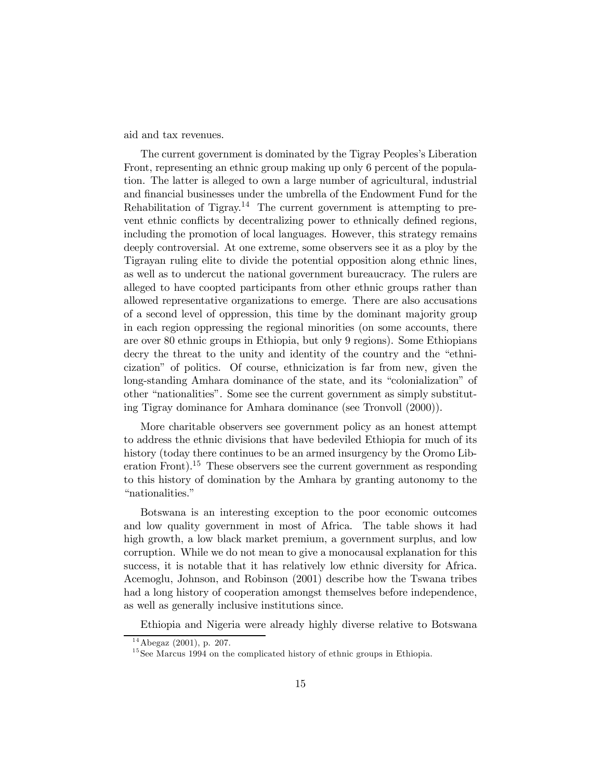aid and tax revenues.

The current government is dominated by the Tigray Peoples's Liberation Front, representing an ethnic group making up only 6 percent of the population. The latter is alleged to own a large number of agricultural, industrial and financial businesses under the umbrella of the Endowment Fund for the Rehabilitation of Tigray.<sup>14</sup> The current government is attempting to prevent ethnic conflicts by decentralizing power to ethnically defined regions, including the promotion of local languages. However, this strategy remains deeply controversial. At one extreme, some observers see it as a ploy by the Tigrayan ruling elite to divide the potential opposition along ethnic lines, as well as to undercut the national government bureaucracy. The rulers are alleged to have coopted participants from other ethnic groups rather than allowed representative organizations to emerge. There are also accusations of a second level of oppression, this time by the dominant majority group in each region oppressing the regional minorities (on some accounts, there are over 80 ethnic groups in Ethiopia, but only 9 regions). Some Ethiopians decry the threat to the unity and identity of the country and the "ethnicization" of politics. Of course, ethnicization is far from new, given the long-standing Amhara dominance of the state, and its "colonialization" of other "nationalities". Some see the current government as simply substituting Tigray dominance for Amhara dominance (see Tronvoll (2000)).

More charitable observers see government policy as an honest attempt to address the ethnic divisions that have bedeviled Ethiopia for much of its history (today there continues to be an armed insurgency by the Oromo Liberation Front). <sup>15</sup> These observers see the current government as responding to this history of domination by the Amhara by granting autonomy to the "nationalities."

Botswana is an interesting exception to the poor economic outcomes and low quality government in most of Africa. The table shows it had high growth, a low black market premium, a government surplus, and low corruption. While we do not mean to give a monocausal explanation for this success, it is notable that it has relatively low ethnic diversity for Africa. Acemoglu, Johnson, and Robinson (2001) describe how the Tswana tribes had a long history of cooperation amongst themselves before independence, as well as generally inclusive institutions since.

Ethiopia and Nigeria were already highly diverse relative to Botswana

 $14$ Abegaz (2001), p. 207.

<sup>&</sup>lt;sup>15</sup> See Marcus 1994 on the complicated history of ethnic groups in Ethiopia.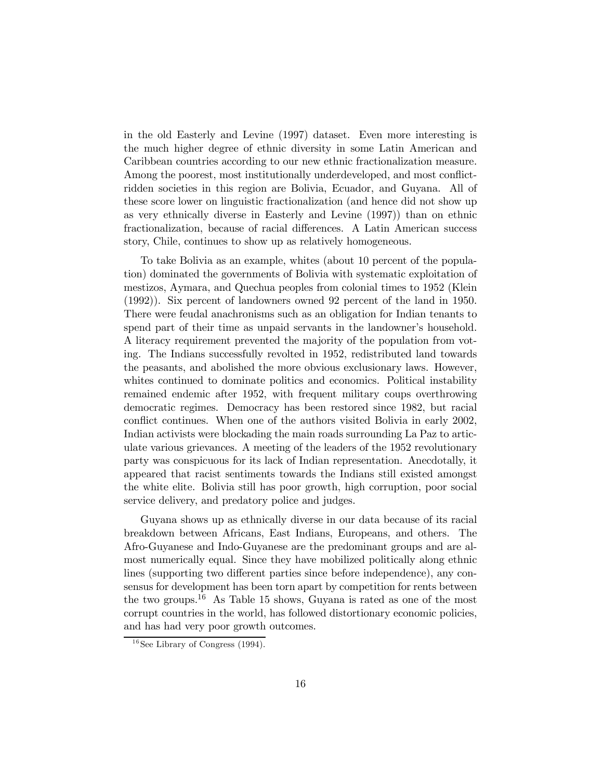in the old Easterly and Levine (1997) dataset. Even more interesting is the much higher degree of ethnic diversity in some Latin American and Caribbean countries according to our new ethnic fractionalization measure. Among the poorest, most institutionally underdeveloped, and most conflictridden societies in this region are Bolivia, Ecuador, and Guyana. All of these score lower on linguistic fractionalization (and hence did not show up as very ethnically diverse in Easterly and Levine (1997)) than on ethnic fractionalization, because of racial differences. A Latin American success story, Chile, continues to show up as relatively homogeneous.

To take Bolivia as an example, whites (about 10 percent of the population) dominated the governments of Bolivia with systematic exploitation of mestizos, Aymara, and Quechua peoples from colonial times to 1952 (Klein (1992)). Six percent of landowners owned 92 percent of the land in 1950. There were feudal anachronisms such as an obligation for Indian tenants to spend part of their time as unpaid servants in the landowner's household. A literacy requirement prevented the majority of the population from voting. The Indians successfully revolted in 1952, redistributed land towards the peasants, and abolished the more obvious exclusionary laws. However, whites continued to dominate politics and economics. Political instability remained endemic after 1952, with frequent military coups overthrowing democratic regimes. Democracy has been restored since 1982, but racial conflict continues. When one of the authors visited Bolivia in early 2002, Indian activists were blockading the main roads surrounding La Paz to articulate various grievances. A meeting of the leaders of the 1952 revolutionary party was conspicuous for its lack of Indian representation. Anecdotally, it appeared that racist sentiments towards the Indians still existed amongst the white elite. Bolivia still has poor growth, high corruption, poor social service delivery, and predatory police and judges.

Guyana shows up as ethnically diverse in our data because of its racial breakdown between Africans, East Indians, Europeans, and others. The Afro-Guyanese and Indo-Guyanese are the predominant groups and are almost numerically equal. Since they have mobilized politically along ethnic lines (supporting two different parties since before independence), any consensus for development has been torn apart by competition for rents between the two groups.<sup>16</sup> As Table 15 shows, Guyana is rated as one of the most corrupt countries in the world, has followed distortionary economic policies, and has had very poor growth outcomes.

<sup>16</sup> See Library of Congress (1994).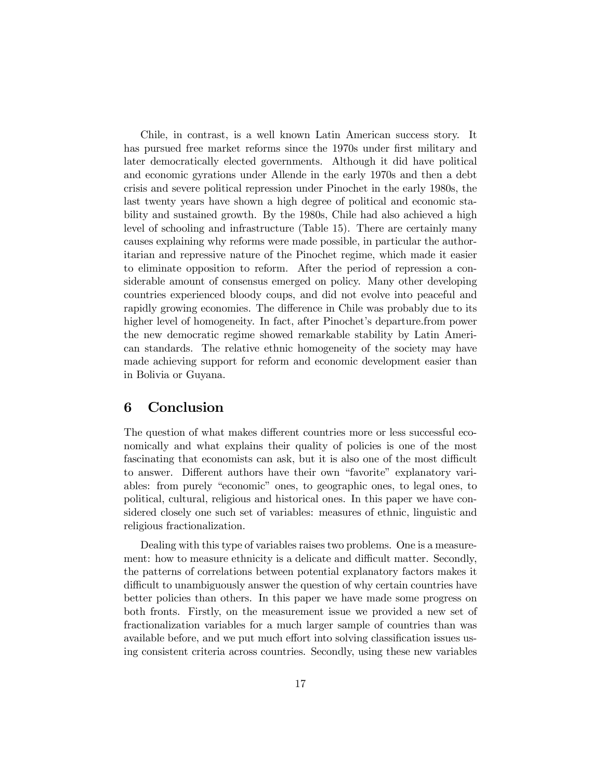Chile, in contrast, is a well known Latin American success story. It has pursued free market reforms since the 1970s under first military and later democratically elected governments. Although it did have political and economic gyrations under Allende in the early 1970s and then a debt crisis and severe political repression under Pinochet in the early 1980s, the last twenty years have shown a high degree of political and economic stability and sustained growth. By the 1980s, Chile had also achieved a high level of schooling and infrastructure (Table 15). There are certainly many causes explaining why reforms were made possible, in particular the authoritarian and repressive nature of the Pinochet regime, which made it easier to eliminate opposition to reform. After the period of repression a considerable amount of consensus emerged on policy. Many other developing countries experienced bloody coups, and did not evolve into peaceful and rapidly growing economies. The difference in Chile was probably due to its higher level of homogeneity. In fact, after Pinochet's departure.from power the new democratic regime showed remarkable stability by Latin American standards. The relative ethnic homogeneity of the society may have made achieving support for reform and economic development easier than in Bolivia or Guyana.

#### 6 Conclusion

The question of what makes different countries more or less successful economically and what explains their quality of policies is one of the most fascinating that economists can ask, but it is also one of the most difficult to answer. Different authors have their own "favorite" explanatory variables: from purely "economic" ones, to geographic ones, to legal ones, to political, cultural, religious and historical ones. In this paper we have considered closely one such set of variables: measures of ethnic, linguistic and religious fractionalization.

Dealing with this type of variables raises two problems. One is a measurement: how to measure ethnicity is a delicate and difficult matter. Secondly, the patterns of correlations between potential explanatory factors makes it difficult to unambiguously answer the question of why certain countries have better policies than others. In this paper we have made some progress on both fronts. Firstly, on the measurement issue we provided a new set of fractionalization variables for a much larger sample of countries than was available before, and we put much effort into solving classification issues using consistent criteria across countries. Secondly, using these new variables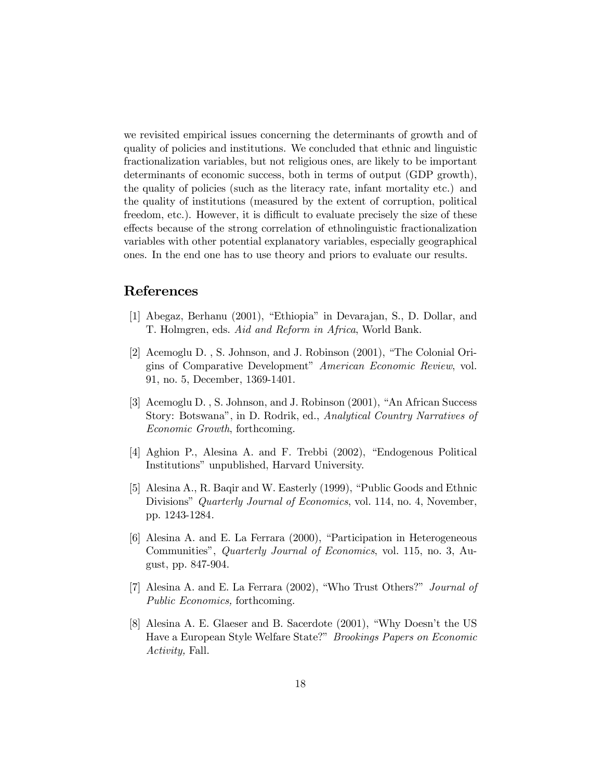we revisited empirical issues concerning the determinants of growth and of quality of policies and institutions. We concluded that ethnic and linguistic fractionalization variables, but not religious ones, are likely to be important determinants of economic success, both in terms of output (GDP growth), the quality of policies (such as the literacy rate, infant mortality etc.) and the quality of institutions (measured by the extent of corruption, political freedom, etc.). However, it is difficult to evaluate precisely the size of these effects because of the strong correlation of ethnolinguistic fractionalization variables with other potential explanatory variables, especially geographical ones. In the end one has to use theory and priors to evaluate our results.

#### References

- [1] Abegaz, Berhanu (2001), "Ethiopia" in Devarajan, S., D. Dollar, and T. Holmgren, eds. Aid and Reform in Africa, World Bank.
- [2] Acemoglu D. , S. Johnson, and J. Robinson (2001), "The Colonial Origins of Comparative Development" American Economic Review, vol. 91, no. 5, December, 1369-1401.
- [3] Acemoglu D. , S. Johnson, and J. Robinson (2001), "An African Success Story: Botswana", in D. Rodrik, ed., Analytical Country Narratives of Economic Growth, forthcoming.
- [4] Aghion P., Alesina A. and F. Trebbi (2002), "Endogenous Political Institutions" unpublished, Harvard University.
- [5] Alesina A., R. Baqir and W. Easterly (1999), "Public Goods and Ethnic Divisions" *Quarterly Journal of Economics*, vol. 114, no. 4, November, pp. 1243-1284.
- [6] Alesina A. and E. La Ferrara (2000), "Participation in Heterogeneous Communities", Quarterly Journal of Economics, vol. 115, no. 3, August, pp. 847-904.
- [7] Alesina A. and E. La Ferrara (2002), "Who Trust Others?" Journal of Public Economics, forthcoming.
- [8] Alesina A. E. Glaeser and B. Sacerdote (2001), "Why Doesn't the US Have a European Style Welfare State?" Brookings Papers on Economic Activity, Fall.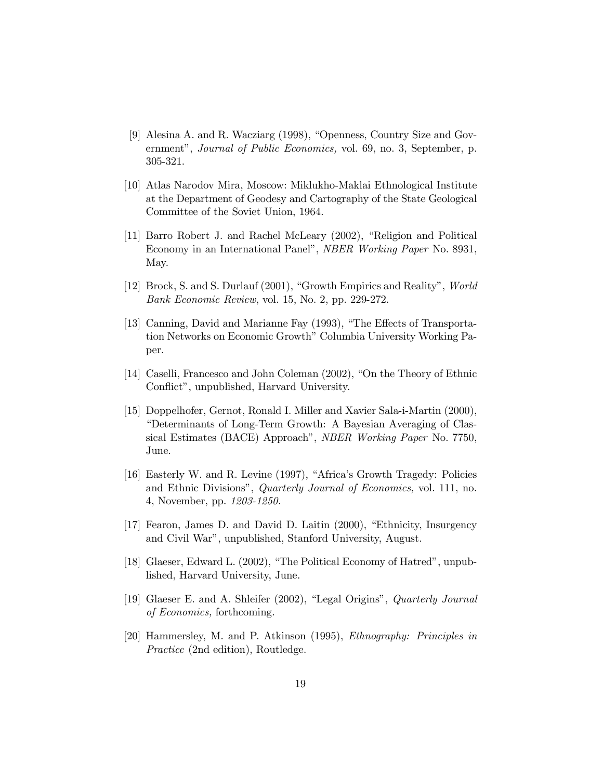- [9] Alesina A. and R. Wacziarg (1998), "Openness, Country Size and Government", Journal of Public Economics, vol. 69, no. 3, September, p. 305-321.
- [10] Atlas Narodov Mira, Moscow: Miklukho-Maklai Ethnological Institute at the Department of Geodesy and Cartography of the State Geological Committee of the Soviet Union, 1964.
- [11] Barro Robert J. and Rachel McLeary (2002), "Religion and Political Economy in an International Panel", NBER Working Paper No. 8931, May.
- [12] Brock, S. and S. Durlauf (2001), "Growth Empirics and Reality", World Bank Economic Review, vol. 15, No. 2, pp. 229-272.
- [13] Canning, David and Marianne Fay (1993), "The Effects of Transportation Networks on Economic Growth" Columbia University Working Paper.
- [14] Caselli, Francesco and John Coleman (2002), "On the Theory of Ethnic Conflict", unpublished, Harvard University.
- [15] Doppelhofer, Gernot, Ronald I. Miller and Xavier Sala-i-Martin (2000), "Determinants of Long-Term Growth: A Bayesian Averaging of Classical Estimates (BACE) Approach", NBER Working Paper No. 7750, June.
- [16] Easterly W. and R. Levine (1997), "Africa's Growth Tragedy: Policies and Ethnic Divisions", Quarterly Journal of Economics, vol. 111, no. 4, November, pp. 1203-1250.
- [17] Fearon, James D. and David D. Laitin (2000), "Ethnicity, Insurgency and Civil War", unpublished, Stanford University, August.
- [18] Glaeser, Edward L. (2002), "The Political Economy of Hatred", unpublished, Harvard University, June.
- [19] Glaeser E. and A. Shleifer (2002), "Legal Origins", Quarterly Journal of Economics, forthcoming.
- [20] Hammersley, M. and P. Atkinson (1995), Ethnography: Principles in Practice (2nd edition), Routledge.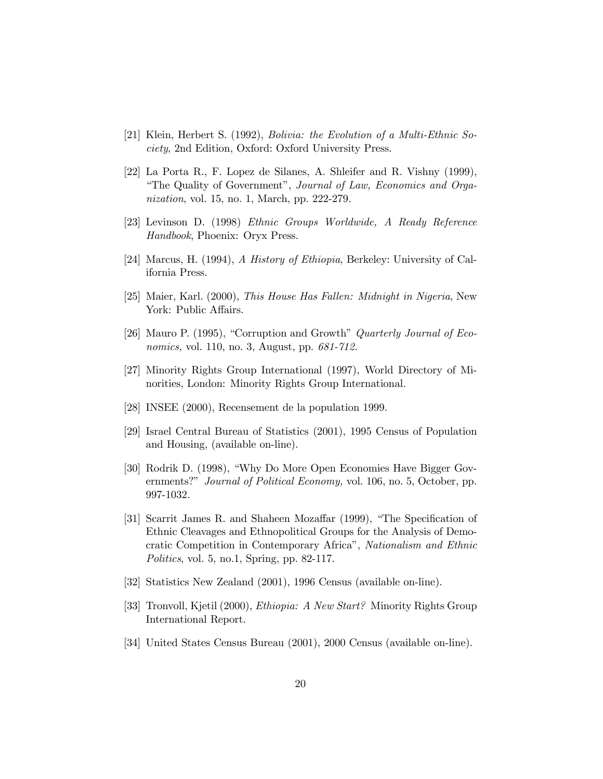- [21] Klein, Herbert S. (1992), Bolivia: the Evolution of a Multi-Ethnic Society, 2nd Edition, Oxford: Oxford University Press.
- [22] La Porta R., F. Lopez de Silanes, A. Shleifer and R. Vishny (1999), "The Quality of Government", Journal of Law, Economics and Organization, vol. 15, no. 1, March, pp. 222-279.
- [23] Levinson D. (1998) Ethnic Groups Worldwide, A Ready Reference Handbook, Phoenix: Oryx Press.
- [24] Marcus, H. (1994), A History of Ethiopia, Berkeley: University of California Press.
- [25] Maier, Karl. (2000), This House Has Fallen: Midnight in Nigeria, New York: Public Affairs.
- [26] Mauro P. (1995), "Corruption and Growth" Quarterly Journal of Economics, vol. 110, no. 3, August, pp. 681-712.
- [27] Minority Rights Group International (1997), World Directory of Minorities, London: Minority Rights Group International.
- [28] INSEE (2000), Recensement de la population 1999.
- [29] Israel Central Bureau of Statistics (2001), 1995 Census of Population and Housing, (available on-line).
- [30] Rodrik D. (1998), "Why Do More Open Economies Have Bigger Governments?" Journal of Political Economy, vol. 106, no. 5, October, pp. 997-1032.
- [31] Scarrit James R. and Shaheen Mozaffar (1999), "The Specification of Ethnic Cleavages and Ethnopolitical Groups for the Analysis of Democratic Competition in Contemporary Africa", Nationalism and Ethnic Politics, vol. 5, no.1, Spring, pp. 82-117.
- [32] Statistics New Zealand (2001), 1996 Census (available on-line).
- [33] Tronvoll, Kjetil (2000), Ethiopia: A New Start? Minority Rights Group International Report.
- [34] United States Census Bureau (2001), 2000 Census (available on-line).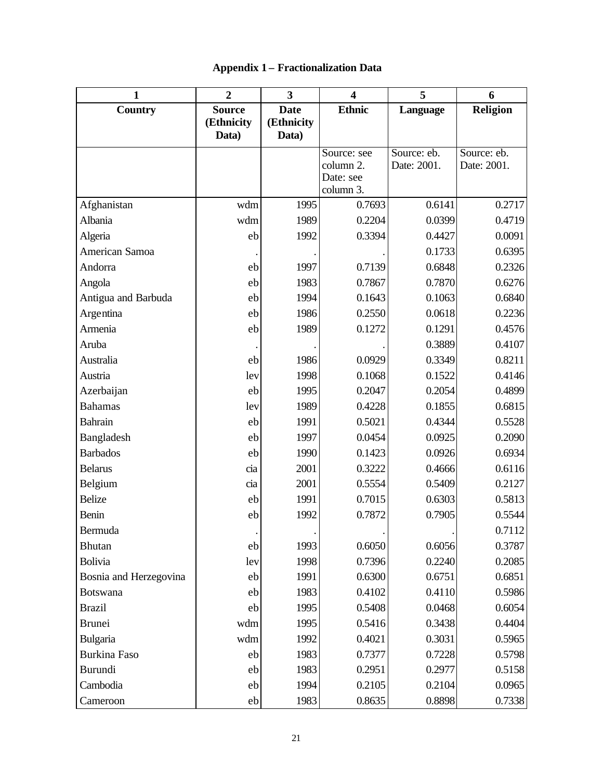| 1                      | $\overline{2}$      | 3                   | $\overline{\mathbf{4}}$                            | 5                          | 6                          |
|------------------------|---------------------|---------------------|----------------------------------------------------|----------------------------|----------------------------|
| <b>Country</b>         | <b>Source</b>       | <b>Date</b>         | <b>Ethnic</b>                                      | Language                   | <b>Religion</b>            |
|                        | (Ethnicity<br>Data) | (Ethnicity<br>Data) |                                                    |                            |                            |
|                        |                     |                     | Source: see<br>column 2.<br>Date: see<br>column 3. | Source: eb.<br>Date: 2001. | Source: eb.<br>Date: 2001. |
| Afghanistan            | wdm                 | 1995                | 0.7693                                             | 0.6141                     | 0.2717                     |
| Albania                | wdm                 | 1989                | 0.2204                                             | 0.0399                     | 0.4719                     |
| Algeria                | eb                  | 1992                | 0.3394                                             | 0.4427                     | 0.0091                     |
| American Samoa         |                     |                     |                                                    | 0.1733                     | 0.6395                     |
| Andorra                | eb                  | 1997                | 0.7139                                             | 0.6848                     | 0.2326                     |
| Angola                 | eb                  | 1983                | 0.7867                                             | 0.7870                     | 0.6276                     |
| Antigua and Barbuda    | eb                  | 1994                | 0.1643                                             | 0.1063                     | 0.6840                     |
| Argentina              | eb                  | 1986                | 0.2550                                             | 0.0618                     | 0.2236                     |
| Armenia                | eb                  | 1989                | 0.1272                                             | 0.1291                     | 0.4576                     |
| Aruba                  |                     |                     |                                                    | 0.3889                     | 0.4107                     |
| Australia              | eb                  | 1986                | 0.0929                                             | 0.3349                     | 0.8211                     |
| Austria                | lev                 | 1998                | 0.1068                                             | 0.1522                     | 0.4146                     |
| Azerbaijan             | eb                  | 1995                | 0.2047                                             | 0.2054                     | 0.4899                     |
| <b>Bahamas</b>         | lev                 | 1989                | 0.4228                                             | 0.1855                     | 0.6815                     |
| Bahrain                | eb                  | 1991                | 0.5021                                             | 0.4344                     | 0.5528                     |
| Bangladesh             | eb                  | 1997                | 0.0454                                             | 0.0925                     | 0.2090                     |
| <b>Barbados</b>        | eb                  | 1990                | 0.1423                                             | 0.0926                     | 0.6934                     |
| <b>Belarus</b>         | cia                 | 2001                | 0.3222                                             | 0.4666                     | 0.6116                     |
| Belgium                | cia                 | 2001                | 0.5554                                             | 0.5409                     | 0.2127                     |
| <b>Belize</b>          | eb                  | 1991                | 0.7015                                             | 0.6303                     | 0.5813                     |
| Benin                  | eb                  | 1992                | 0.7872                                             | 0.7905                     | 0.5544                     |
| Bermuda                |                     |                     |                                                    |                            | 0.7112                     |
| <b>Bhutan</b>          | eb                  | 1993                | 0.6050                                             | 0.6056                     | 0.3787                     |
| <b>Bolivia</b>         | lev                 | 1998                | 0.7396                                             | 0.2240                     | 0.2085                     |
| Bosnia and Herzegovina | eb                  | 1991                | 0.6300                                             | 0.6751                     | 0.6851                     |
| <b>Botswana</b>        | eb                  | 1983                | 0.4102                                             | 0.4110                     | 0.5986                     |
| <b>Brazil</b>          | eb                  | 1995                | 0.5408                                             | 0.0468                     | 0.6054                     |
| <b>Brunei</b>          | wdm                 | 1995                | 0.5416                                             | 0.3438                     | 0.4404                     |
| Bulgaria               | wdm                 | 1992                | 0.4021                                             | 0.3031                     | 0.5965                     |
| <b>Burkina Faso</b>    | eb                  | 1983                | 0.7377                                             | 0.7228                     | 0.5798                     |
| Burundi                | eb                  | 1983                | 0.2951                                             | 0.2977                     | 0.5158                     |
| Cambodia               | eb                  | 1994                | 0.2105                                             | 0.2104                     | 0.0965                     |
| Cameroon               | ${\rm e} {\rm b}$   | 1983                | 0.8635                                             | 0.8898                     | 0.7338                     |

#### **Appendix 1 – Fractionalization Data**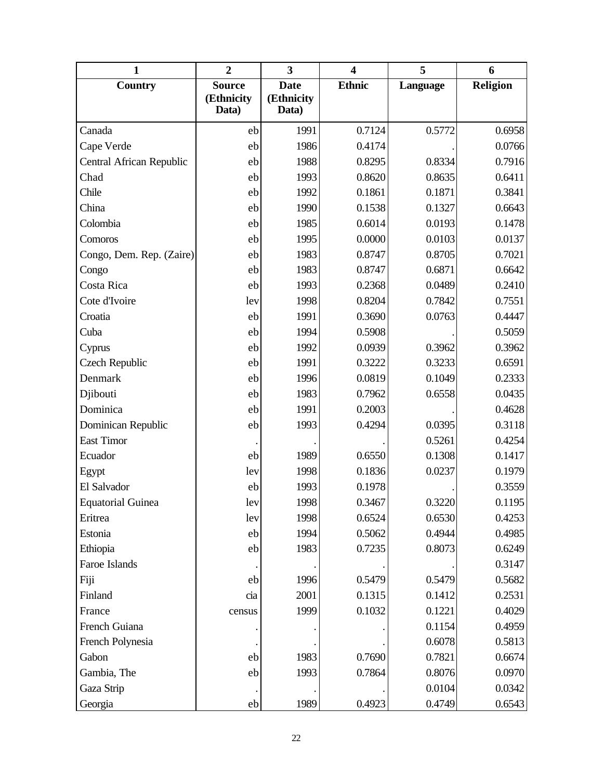| $\mathbf{1}$             | $\overline{2}$      | 3                   | $\overline{\mathbf{4}}$ | 5        | 6               |
|--------------------------|---------------------|---------------------|-------------------------|----------|-----------------|
| <b>Country</b>           | <b>Source</b>       | <b>Date</b>         | Ethnic                  | Language | <b>Religion</b> |
|                          | (Ethnicity<br>Data) | (Ethnicity<br>Data) |                         |          |                 |
| Canada                   | eb                  | 1991                | 0.7124                  | 0.5772   | 0.6958          |
| Cape Verde               | eb                  | 1986                | 0.4174                  |          | 0.0766          |
| Central African Republic | eb                  | 1988                | 0.8295                  | 0.8334   | 0.7916          |
| Chad                     | eb                  | 1993                | 0.8620                  | 0.8635   | 0.6411          |
| Chile                    | eb                  | 1992                | 0.1861                  | 0.1871   | 0.3841          |
| China                    | eb                  | 1990                | 0.1538                  | 0.1327   | 0.6643          |
| Colombia                 | eb                  | 1985                | 0.6014                  | 0.0193   | 0.1478          |
| Comoros                  | eb                  | 1995                | 0.0000                  | 0.0103   | 0.0137          |
| Congo, Dem. Rep. (Zaire) | eb                  | 1983                | 0.8747                  | 0.8705   | 0.7021          |
| Congo                    | eb                  | 1983                | 0.8747                  | 0.6871   | 0.6642          |
| Costa Rica               | eb                  | 1993                | 0.2368                  | 0.0489   | 0.2410          |
| Cote d'Ivoire            | lev                 | 1998                | 0.8204                  | 0.7842   | 0.7551          |
| Croatia                  | eb                  | 1991                | 0.3690                  | 0.0763   | 0.4447          |
| Cuba                     | eb                  | 1994                | 0.5908                  |          | 0.5059          |
| Cyprus                   | eb                  | 1992                | 0.0939                  | 0.3962   | 0.3962          |
| Czech Republic           | eb                  | 1991                | 0.3222                  | 0.3233   | 0.6591          |
| Denmark                  | eb                  | 1996                | 0.0819                  | 0.1049   | 0.2333          |
| Djibouti                 | eb                  | 1983                | 0.7962                  | 0.6558   | 0.0435          |
| Dominica                 | eb                  | 1991                | 0.2003                  |          | 0.4628          |
| Dominican Republic       | eb                  | 1993                | 0.4294                  | 0.0395   | 0.3118          |
| <b>East Timor</b>        |                     |                     |                         | 0.5261   | 0.4254          |
| Ecuador                  | eb                  | 1989                | 0.6550                  | 0.1308   | 0.1417          |
| Egypt                    | lev                 | 1998                | 0.1836                  | 0.0237   | 0.1979          |
| El Salvador              | eb                  | 1993                | 0.1978                  |          | 0.3559          |
| <b>Equatorial Guinea</b> | lev                 | 1998                | 0.3467                  | 0.3220   | 0.1195          |
| Eritrea                  | lev                 | 1998                | 0.6524                  | 0.6530   | 0.4253          |
| Estonia                  | eb                  | 1994                | 0.5062                  | 0.4944   | 0.4985          |
| Ethiopia                 | eb                  | 1983                | 0.7235                  | 0.8073   | 0.6249          |
| Faroe Islands            |                     |                     |                         |          | 0.3147          |
| Fiji                     | eb                  | 1996                | 0.5479                  | 0.5479   | 0.5682          |
| Finland                  | cia                 | 2001                | 0.1315                  | 0.1412   | 0.2531          |
| France                   | census              | 1999                | 0.1032                  | 0.1221   | 0.4029          |
| French Guiana            |                     |                     |                         | 0.1154   | 0.4959          |
| French Polynesia         |                     |                     |                         | 0.6078   | 0.5813          |
| Gabon                    | eb                  | 1983                | 0.7690                  | 0.7821   | 0.6674          |
| Gambia, The              | eb                  | 1993                | 0.7864                  | 0.8076   | 0.0970          |
| Gaza Strip               |                     |                     |                         | 0.0104   | 0.0342          |
| Georgia                  | eb                  | 1989                | 0.4923                  | 0.4749   | 0.6543          |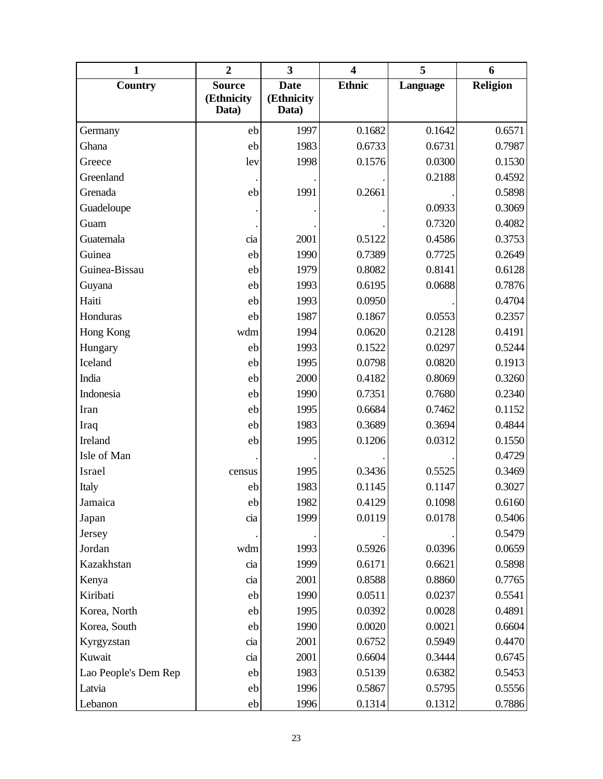| $\mathbf{1}$         | $\overline{2}$      | 3                   | $\overline{\mathbf{4}}$ | 5        | 6               |
|----------------------|---------------------|---------------------|-------------------------|----------|-----------------|
| <b>Country</b>       | <b>Source</b>       | <b>Date</b>         | <b>Ethnic</b>           | Language | <b>Religion</b> |
|                      | (Ethnicity<br>Data) | (Ethnicity<br>Data) |                         |          |                 |
| Germany              | eb                  | 1997                | 0.1682                  | 0.1642   | 0.6571          |
| Ghana                | eb                  | 1983                | 0.6733                  | 0.6731   | 0.7987          |
| Greece               | lev                 | 1998                | 0.1576                  | 0.0300   | 0.1530          |
| Greenland            |                     |                     |                         | 0.2188   | 0.4592          |
| Grenada              | eb                  | 1991                | 0.2661                  |          | 0.5898          |
| Guadeloupe           |                     |                     |                         | 0.0933   | 0.3069          |
| Guam                 |                     |                     |                         | 0.7320   | 0.4082          |
| Guatemala            | cia                 | 2001                | 0.5122                  | 0.4586   | 0.3753          |
| Guinea               | eb                  | 1990                | 0.7389                  | 0.7725   | 0.2649          |
| Guinea-Bissau        | eb                  | 1979                | 0.8082                  | 0.8141   | 0.6128          |
| Guyana               | eb                  | 1993                | 0.6195                  | 0.0688   | 0.7876          |
| Haiti                | eb                  | 1993                | 0.0950                  |          | 0.4704          |
| Honduras             | eb                  | 1987                | 0.1867                  | 0.0553   | 0.2357          |
| Hong Kong            | wdm                 | 1994                | 0.0620                  | 0.2128   | 0.4191          |
| Hungary              | eb                  | 1993                | 0.1522                  | 0.0297   | 0.5244          |
| Iceland              | eb                  | 1995                | 0.0798                  | 0.0820   | 0.1913          |
| India                | eb                  | 2000                | 0.4182                  | 0.8069   | 0.3260          |
| Indonesia            | eb                  | 1990                | 0.7351                  | 0.7680   | 0.2340          |
| Iran                 | eb                  | 1995                | 0.6684                  | 0.7462   | 0.1152          |
| Iraq                 | eb                  | 1983                | 0.3689                  | 0.3694   | 0.4844          |
| Ireland              | eb                  | 1995                | 0.1206                  | 0.0312   | 0.1550          |
| Isle of Man          |                     |                     |                         |          | 0.4729          |
| Israel               | census              | 1995                | 0.3436                  | 0.5525   | 0.3469          |
| Italy                | eb                  | 1983                | 0.1145                  | 0.1147   | 0.3027          |
| Jamaica              | eb                  | 1982                | 0.4129                  | 0.1098   | 0.6160          |
| Japan                | cia                 | 1999                | 0.0119                  | 0.0178   | 0.5406          |
| Jersey               |                     |                     |                         |          | 0.5479          |
| Jordan               | wdm                 | 1993                | 0.5926                  | 0.0396   | 0.0659          |
| Kazakhstan           | cia                 | 1999                | 0.6171                  | 0.6621   | 0.5898          |
| Kenya                | cia                 | 2001                | 0.8588                  | 0.8860   | 0.7765          |
| Kiribati             | eb                  | 1990                | 0.0511                  | 0.0237   | 0.5541          |
| Korea, North         | eb                  | 1995                | 0.0392                  | 0.0028   | 0.4891          |
| Korea, South         | eb                  | 1990                | 0.0020                  | 0.0021   | 0.6604          |
| Kyrgyzstan           | cia                 | 2001                | 0.6752                  | 0.5949   | 0.4470          |
| Kuwait               | cia                 | 2001                | 0.6604                  | 0.3444   | 0.6745          |
| Lao People's Dem Rep | eb                  | 1983                | 0.5139                  | 0.6382   | 0.5453          |
| Latvia               | eb                  | 1996                | 0.5867                  | 0.5795   | 0.5556          |
| Lebanon              | eb                  | 1996                | 0.1314                  | 0.1312   | 0.7886          |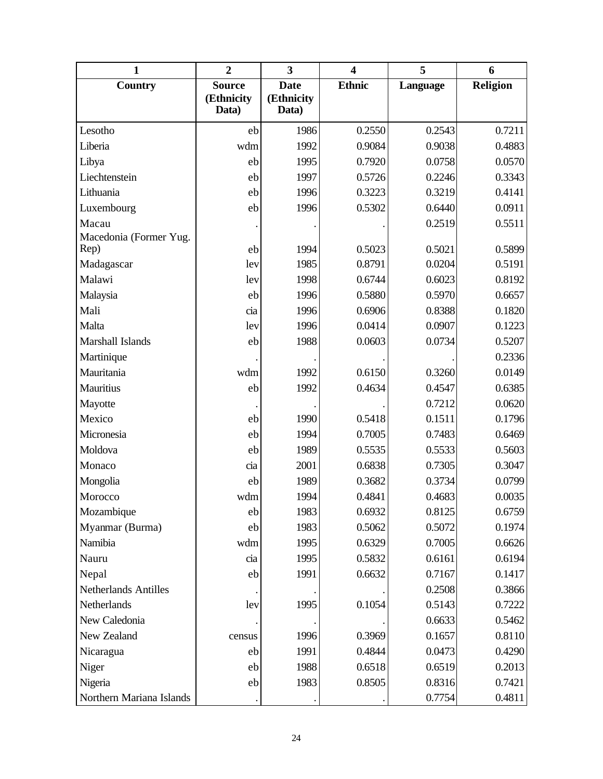| $\mathbf{1}$                    | $\overline{2}$      | 3                   | $\overline{\mathbf{4}}$ | 5        | 6               |
|---------------------------------|---------------------|---------------------|-------------------------|----------|-----------------|
| <b>Country</b>                  | <b>Source</b>       | <b>Date</b>         | <b>Ethnic</b>           | Language | <b>Religion</b> |
|                                 | (Ethnicity<br>Data) | (Ethnicity<br>Data) |                         |          |                 |
| Lesotho                         | eb                  | 1986                | 0.2550                  | 0.2543   | 0.7211          |
| Liberia                         | wdm                 | 1992                | 0.9084                  | 0.9038   | 0.4883          |
| Libya                           | eb                  | 1995                | 0.7920                  | 0.0758   | 0.0570          |
| Liechtenstein                   | eb                  | 1997                | 0.5726                  | 0.2246   | 0.3343          |
| Lithuania                       | eb                  | 1996                | 0.3223                  | 0.3219   | 0.4141          |
| Luxembourg                      | eb                  | 1996                | 0.5302                  | 0.6440   | 0.0911          |
| Macau<br>Macedonia (Former Yug. |                     |                     |                         | 0.2519   | 0.5511          |
| Rep)                            | eb                  | 1994                | 0.5023                  | 0.5021   | 0.5899          |
| Madagascar                      | lev                 | 1985                | 0.8791                  | 0.0204   | 0.5191          |
| Malawi                          | lev                 | 1998                | 0.6744                  | 0.6023   | 0.8192          |
| Malaysia                        | eb                  | 1996                | 0.5880                  | 0.5970   | 0.6657          |
| Mali                            | cia                 | 1996                | 0.6906                  | 0.8388   | 0.1820          |
| Malta                           | lev                 | 1996                | 0.0414                  | 0.0907   | 0.1223          |
| Marshall Islands                | eb                  | 1988                | 0.0603                  | 0.0734   | 0.5207          |
| Martinique                      |                     |                     |                         |          | 0.2336          |
| Mauritania                      | wdm                 | 1992                | 0.6150                  | 0.3260   | 0.0149          |
| Mauritius                       | eb                  | 1992                | 0.4634                  | 0.4547   | 0.6385          |
| Mayotte                         |                     |                     |                         | 0.7212   | 0.0620          |
| Mexico                          | eb                  | 1990                | 0.5418                  | 0.1511   | 0.1796          |
| Micronesia                      | eb                  | 1994                | 0.7005                  | 0.7483   | 0.6469          |
| Moldova                         | eb                  | 1989                | 0.5535                  | 0.5533   | 0.5603          |
| Monaco                          | cia                 | 2001                | 0.6838                  | 0.7305   | 0.3047          |
| Mongolia                        | eb                  | 1989                | 0.3682                  | 0.3734   | 0.0799          |
| Morocco                         | wdm                 | 1994                | 0.4841                  | 0.4683   | 0.0035          |
| Mozambique                      | eb                  | 1983                | 0.6932                  | 0.8125   | 0.6759          |
| Myanmar (Burma)                 | eb                  | 1983                | 0.5062                  | 0.5072   | 0.1974          |
| Namibia                         | wdm                 | 1995                | 0.6329                  | 0.7005   | 0.6626          |
| Nauru                           | cia                 | 1995                | 0.5832                  | 0.6161   | 0.6194          |
| Nepal                           | eb                  | 1991                | 0.6632                  | 0.7167   | 0.1417          |
| <b>Netherlands Antilles</b>     |                     |                     |                         | 0.2508   | 0.3866          |
| Netherlands                     | lev                 | 1995                | 0.1054                  | 0.5143   | 0.7222          |
| New Caledonia                   |                     |                     |                         | 0.6633   | 0.5462          |
| New Zealand                     | census              | 1996                | 0.3969                  | 0.1657   | 0.8110          |
| Nicaragua                       | eb                  | 1991                | 0.4844                  | 0.0473   | 0.4290          |
| Niger                           | eb                  | 1988                | 0.6518                  | 0.6519   | 0.2013          |
| Nigeria                         | eb                  | 1983                | 0.8505                  | 0.8316   | 0.7421          |
| Northern Mariana Islands        |                     |                     |                         | 0.7754   | 0.4811          |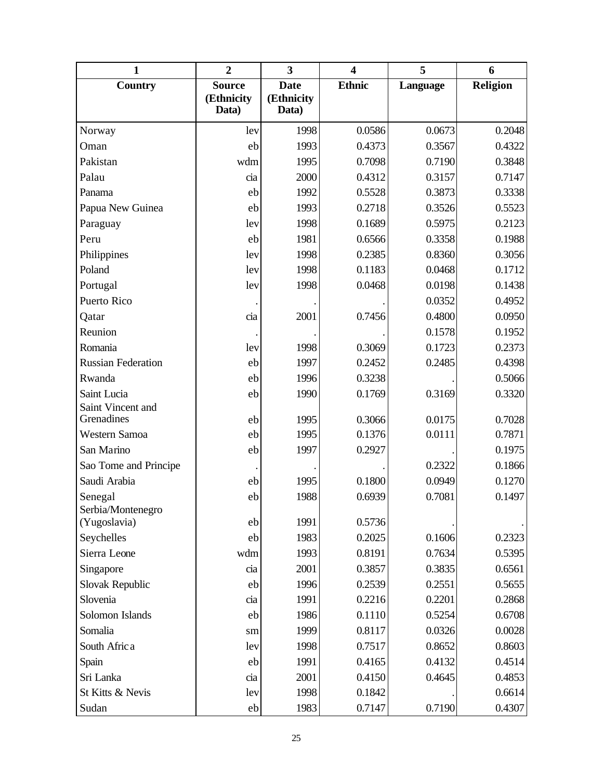| $\mathbf{1}$                    | $\overline{2}$      | 3                   | $\overline{\mathbf{4}}$ | 5        | 6               |
|---------------------------------|---------------------|---------------------|-------------------------|----------|-----------------|
| <b>Country</b>                  | <b>Source</b>       | <b>Date</b>         | <b>Ethnic</b>           | Language | <b>Religion</b> |
|                                 | (Ethnicity<br>Data) | (Ethnicity<br>Data) |                         |          |                 |
| Norway                          | lev                 | 1998                | 0.0586                  | 0.0673   | 0.2048          |
| Oman                            | eb                  | 1993                | 0.4373                  | 0.3567   | 0.4322          |
| Pakistan                        | wdm                 | 1995                | 0.7098                  | 0.7190   | 0.3848          |
| Palau                           | cia                 | 2000                | 0.4312                  | 0.3157   | 0.7147          |
| Panama                          | eb                  | 1992                | 0.5528                  | 0.3873   | 0.3338          |
| Papua New Guinea                | eb                  | 1993                | 0.2718                  | 0.3526   | 0.5523          |
| Paraguay                        | lev                 | 1998                | 0.1689                  | 0.5975   | 0.2123          |
| Peru                            | eb                  | 1981                | 0.6566                  | 0.3358   | 0.1988          |
| Philippines                     | lev                 | 1998                | 0.2385                  | 0.8360   | 0.3056          |
| Poland                          | lev                 | 1998                | 0.1183                  | 0.0468   | 0.1712          |
| Portugal                        | lev                 | 1998                | 0.0468                  | 0.0198   | 0.1438          |
| Puerto Rico                     |                     |                     |                         | 0.0352   | 0.4952          |
| Qatar                           | cia                 | 2001                | 0.7456                  | 0.4800   | 0.0950          |
| Reunion                         |                     |                     |                         | 0.1578   | 0.1952          |
| Romania                         | lev                 | 1998                | 0.3069                  | 0.1723   | 0.2373          |
| <b>Russian Federation</b>       | eb                  | 1997                | 0.2452                  | 0.2485   | 0.4398          |
| Rwanda                          | eb                  | 1996                | 0.3238                  |          | 0.5066          |
| Saint Lucia                     | eb                  | 1990                | 0.1769                  | 0.3169   | 0.3320          |
| Saint Vincent and<br>Grenadines | eb                  | 1995                | 0.3066                  | 0.0175   | 0.7028          |
| Western Samoa                   | eb                  | 1995                | 0.1376                  | 0.0111   | 0.7871          |
| San Marino                      | eb                  | 1997                | 0.2927                  |          | 0.1975          |
| Sao Tome and Principe           |                     |                     |                         | 0.2322   | 0.1866          |
| Saudi Arabia                    | eb                  | 1995                | 0.1800                  | 0.0949   | 0.1270          |
| Senegal                         | eb                  | 1988                | 0.6939                  | 0.7081   | 0.1497          |
| Serbia/Montenegro               |                     |                     |                         |          |                 |
| (Yugoslavia)                    | eb                  | 1991                | 0.5736                  |          |                 |
| Seychelles                      | eb                  | 1983                | 0.2025                  | 0.1606   | 0.2323          |
| Sierra Leone                    | wdm                 | 1993                | 0.8191                  | 0.7634   | 0.5395          |
| Singapore                       | cia                 | 2001                | 0.3857                  | 0.3835   | 0.6561          |
| Slovak Republic                 | eb                  | 1996                | 0.2539                  | 0.2551   | 0.5655          |
| Slovenia                        | cia                 | 1991                | 0.2216                  | 0.2201   | 0.2868          |
| Solomon Islands                 | eb                  | 1986                | 0.1110                  | 0.5254   | 0.6708          |
| Somalia                         | sm                  | 1999                | 0.8117                  | 0.0326   | 0.0028          |
| South Africa                    | lev                 | 1998                | 0.7517                  | 0.8652   | 0.8603          |
| Spain                           | eb                  | 1991                | 0.4165                  | 0.4132   | 0.4514          |
| Sri Lanka                       | cia                 | 2001                | 0.4150                  | 0.4645   | 0.4853          |
| St Kitts & Nevis                | lev                 | 1998                | 0.1842                  |          | 0.6614          |
| Sudan                           | eb                  | 1983                | 0.7147                  | 0.7190   | 0.4307          |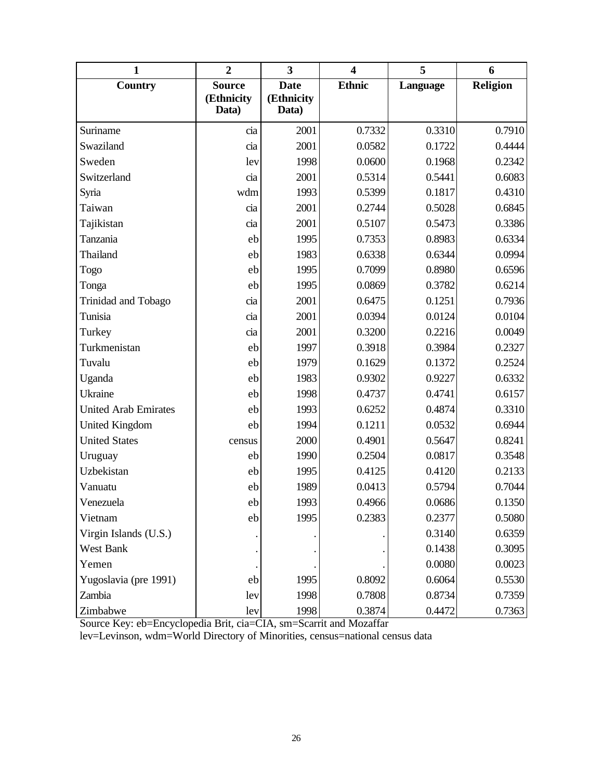| $\mathbf{1}$                | $\overline{2}$              | 3                         | 4             | 5        | 6               |
|-----------------------------|-----------------------------|---------------------------|---------------|----------|-----------------|
| <b>Country</b>              | <b>Source</b><br>(Ethnicity | <b>Date</b><br>(Ethnicity | <b>Ethnic</b> | Language | <b>Religion</b> |
|                             | Data)                       | Data)                     |               |          |                 |
| Suriname                    | cia                         | 2001                      | 0.7332        | 0.3310   | 0.7910          |
| Swaziland                   | cia                         | 2001                      | 0.0582        | 0.1722   | 0.4444          |
| Sweden                      | lev                         | 1998                      | 0.0600        | 0.1968   | 0.2342          |
| Switzerland                 | cia                         | 2001                      | 0.5314        | 0.5441   | 0.6083          |
| Syria                       | wdm                         | 1993                      | 0.5399        | 0.1817   | 0.4310          |
| Taiwan                      | cia                         | 2001                      | 0.2744        | 0.5028   | 0.6845          |
| Tajikistan                  | cia                         | 2001                      | 0.5107        | 0.5473   | 0.3386          |
| Tanzania                    | eb                          | 1995                      | 0.7353        | 0.8983   | 0.6334          |
| Thailand                    | eb                          | 1983                      | 0.6338        | 0.6344   | 0.0994          |
| Togo                        | eb                          | 1995                      | 0.7099        | 0.8980   | 0.6596          |
| Tonga                       | eb                          | 1995                      | 0.0869        | 0.3782   | 0.6214          |
| Trinidad and Tobago         | cia                         | 2001                      | 0.6475        | 0.1251   | 0.7936          |
| Tunisia                     | cia                         | 2001                      | 0.0394        | 0.0124   | 0.0104          |
| Turkey                      | cia                         | 2001                      | 0.3200        | 0.2216   | 0.0049          |
| Turkmenistan                | eb                          | 1997                      | 0.3918        | 0.3984   | 0.2327          |
| Tuvalu                      | eb                          | 1979                      | 0.1629        | 0.1372   | 0.2524          |
| Uganda                      | eb                          | 1983                      | 0.9302        | 0.9227   | 0.6332          |
| <b>Ukraine</b>              | eb                          | 1998                      | 0.4737        | 0.4741   | 0.6157          |
| <b>United Arab Emirates</b> | eb                          | 1993                      | 0.6252        | 0.4874   | 0.3310          |
| <b>United Kingdom</b>       | eb                          | 1994                      | 0.1211        | 0.0532   | 0.6944          |
| <b>United States</b>        | census                      | 2000                      | 0.4901        | 0.5647   | 0.8241          |
| Uruguay                     | eb                          | 1990                      | 0.2504        | 0.0817   | 0.3548          |
| Uzbekistan                  | eb                          | 1995                      | 0.4125        | 0.4120   | 0.2133          |
| Vanuatu                     | eb                          | 1989                      | 0.0413        | 0.5794   | 0.7044          |
| Venezuela                   | eb                          | 1993                      | 0.4966        | 0.0686   | 0.1350          |
| Vietnam                     | eb                          | 1995                      | 0.2383        | 0.2377   | 0.5080          |
| Virgin Islands (U.S.)       |                             |                           |               | 0.3140   | 0.6359          |
| West Bank                   |                             |                           |               | 0.1438   | 0.3095          |
| Yemen                       |                             |                           |               | 0.0080   | 0.0023          |
| Yugoslavia (pre 1991)       | eb                          | 1995                      | 0.8092        | 0.6064   | 0.5530          |
| Zambia                      | lev                         | 1998                      | 0.7808        | 0.8734   | 0.7359          |
| Zimbabwe                    | lev                         | 1998                      | 0.3874        | 0.4472   | 0.7363          |

Source Key: eb=Encyclopedia Brit, cia=CIA, sm=Scarrit and Mozaffar

lev=Levinson, wdm=World Directory of Minorities, census=national census data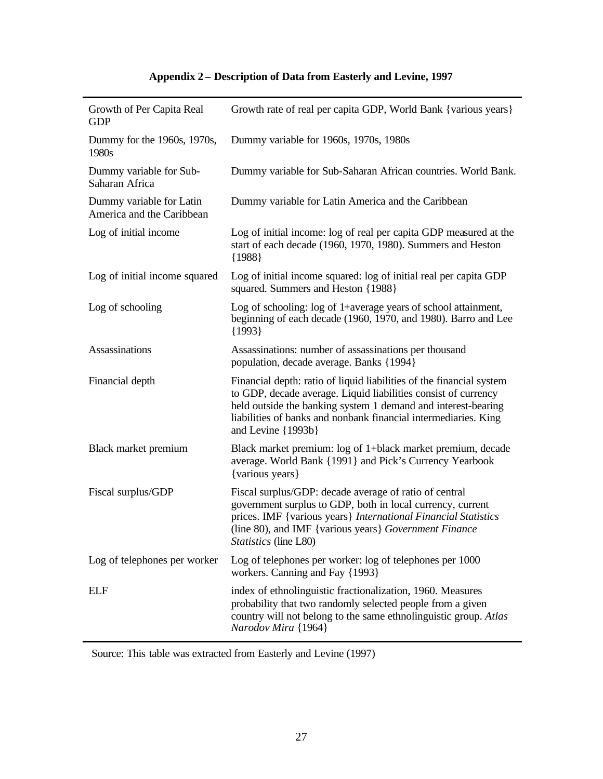| Appendix 2 – Description of Data from Easterly and Levine, 1997 |  |  |  |  |
|-----------------------------------------------------------------|--|--|--|--|
|                                                                 |  |  |  |  |

| Growth of Per Capita Real<br><b>GDP</b>               | Growth rate of real per capita GDP, World Bank {various years}                                                                                                                                                                                                                                     |
|-------------------------------------------------------|----------------------------------------------------------------------------------------------------------------------------------------------------------------------------------------------------------------------------------------------------------------------------------------------------|
| Dummy for the 1960s, 1970s,<br>1980s                  | Dummy variable for 1960s, 1970s, 1980s                                                                                                                                                                                                                                                             |
| Dummy variable for Sub-<br>Saharan Africa             | Dummy variable for Sub-Saharan African countries. World Bank.                                                                                                                                                                                                                                      |
| Dummy variable for Latin<br>America and the Caribbean | Dummy variable for Latin America and the Caribbean                                                                                                                                                                                                                                                 |
| Log of initial income                                 | Log of initial income: log of real per capita GDP measured at the<br>start of each decade (1960, 1970, 1980). Summers and Heston<br>${1988}$                                                                                                                                                       |
| Log of initial income squared                         | Log of initial income squared: log of initial real per capita GDP<br>squared. Summers and Heston {1988}                                                                                                                                                                                            |
| Log of schooling                                      | Log of schooling: log of 1+average years of school attainment,<br>beginning of each decade (1960, 1970, and 1980). Barro and Lee<br>${1993}$                                                                                                                                                       |
| Assassinations                                        | Assassinations: number of assassinations per thousand<br>population, decade average. Banks {1994}                                                                                                                                                                                                  |
| Financial depth                                       | Financial depth: ratio of liquid liabilities of the financial system<br>to GDP, decade average. Liquid liabilities consist of currency<br>held outside the banking system 1 demand and interest-bearing<br>liabilities of banks and nonbank financial intermediaries. King<br>and Levine ${1993b}$ |
| Black market premium                                  | Black market premium: log of 1+black market premium, decade<br>average. World Bank {1991} and Pick's Currency Yearbook<br>{various years}                                                                                                                                                          |
| Fiscal surplus/GDP                                    | Fiscal surplus/GDP: decade average of ratio of central<br>government surplus to GDP, both in local currency, current<br>prices. IMF {various years} International Financial Statistics<br>(line 80), and IMF {various years} Government Finance<br><i>Statistics</i> (line L80)                    |
| Log of telephones per worker                          | Log of telephones per worker: log of telephones per 1000<br>workers. Canning and Fay {1993}                                                                                                                                                                                                        |
| <b>ELF</b>                                            | index of ethnolinguistic fractionalization, 1960. Measures<br>probability that two randomly selected people from a given<br>country will not belong to the same ethnolinguistic group. Atlas<br>Narodov Mira {1964}                                                                                |

Source: This table was extracted from Easterly and Levine (1997)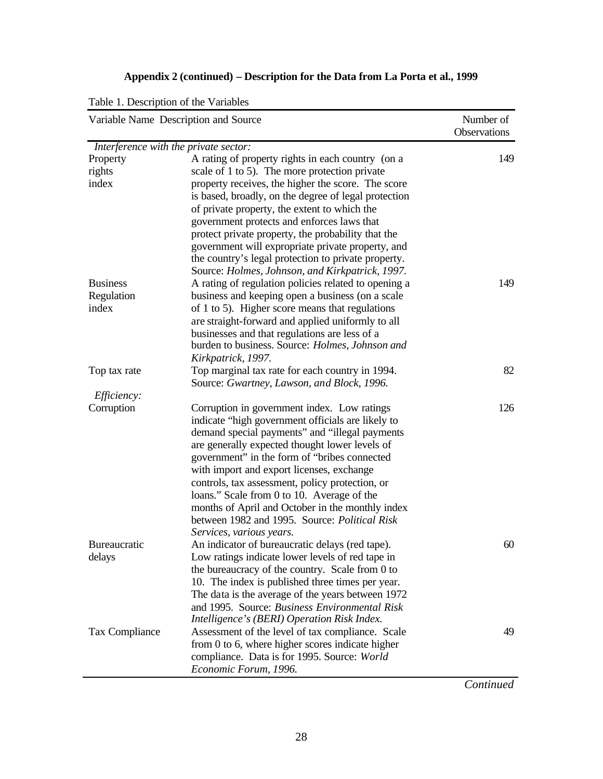| Appendix 2 (continued) – Description for the Data from La Porta et al., 1999 |  |  |  |  |  |
|------------------------------------------------------------------------------|--|--|--|--|--|
|------------------------------------------------------------------------------|--|--|--|--|--|

|  |  | Table 1. Description of the Variables |  |  |
|--|--|---------------------------------------|--|--|
|--|--|---------------------------------------|--|--|

| Variable Name Description and Source  |                                                      | Number of<br>Observations |
|---------------------------------------|------------------------------------------------------|---------------------------|
| Interference with the private sector: |                                                      |                           |
| Property                              | A rating of property rights in each country (on a    | 149                       |
| rights                                | scale of 1 to 5). The more protection private        |                           |
| index                                 | property receives, the higher the score. The score   |                           |
|                                       | is based, broadly, on the degree of legal protection |                           |
|                                       | of private property, the extent to which the         |                           |
|                                       | government protects and enforces laws that           |                           |
|                                       | protect private property, the probability that the   |                           |
|                                       | government will expropriate private property, and    |                           |
|                                       | the country's legal protection to private property.  |                           |
|                                       | Source: Holmes, Johnson, and Kirkpatrick, 1997.      |                           |
| <b>Business</b>                       | A rating of regulation policies related to opening a | 149                       |
| Regulation                            | business and keeping open a business (on a scale     |                           |
| index                                 | of 1 to 5). Higher score means that regulations      |                           |
|                                       | are straight-forward and applied uniformly to all    |                           |
|                                       | businesses and that regulations are less of a        |                           |
|                                       | burden to business. Source: Holmes, Johnson and      |                           |
|                                       | Kirkpatrick, 1997.                                   |                           |
| Top tax rate                          | Top marginal tax rate for each country in 1994.      | 82                        |
|                                       | Source: Gwartney, Lawson, and Block, 1996.           |                           |
| <i>Efficiency:</i>                    |                                                      |                           |
| Corruption                            | Corruption in government index. Low ratings          | 126                       |
|                                       | indicate "high government officials are likely to    |                           |
|                                       | demand special payments" and "illegal payments       |                           |
|                                       | are generally expected thought lower levels of       |                           |
|                                       | government" in the form of "bribes connected         |                           |
|                                       | with import and export licenses, exchange            |                           |
|                                       | controls, tax assessment, policy protection, or      |                           |
|                                       | loans." Scale from 0 to 10. Average of the           |                           |
|                                       | months of April and October in the monthly index     |                           |
|                                       | between 1982 and 1995. Source: Political Risk        |                           |
|                                       | Services, various years.                             |                           |
| Bureaucratic                          | An indicator of bureaucratic delays (red tape).      | 60                        |
| delays                                | Low ratings indicate lower levels of red tape in     |                           |
|                                       | the bureaucracy of the country. Scale from 0 to      |                           |
|                                       | 10. The index is published three times per year.     |                           |
|                                       | The data is the average of the years between 1972    |                           |
|                                       | and 1995. Source: Business Environmental Risk        |                           |
|                                       | Intelligence's (BERI) Operation Risk Index.          |                           |
| Tax Compliance                        | Assessment of the level of tax compliance. Scale     | 49                        |
|                                       | from 0 to 6, where higher scores indicate higher     |                           |
|                                       | compliance. Data is for 1995. Source: World          |                           |
|                                       |                                                      |                           |

*Continued*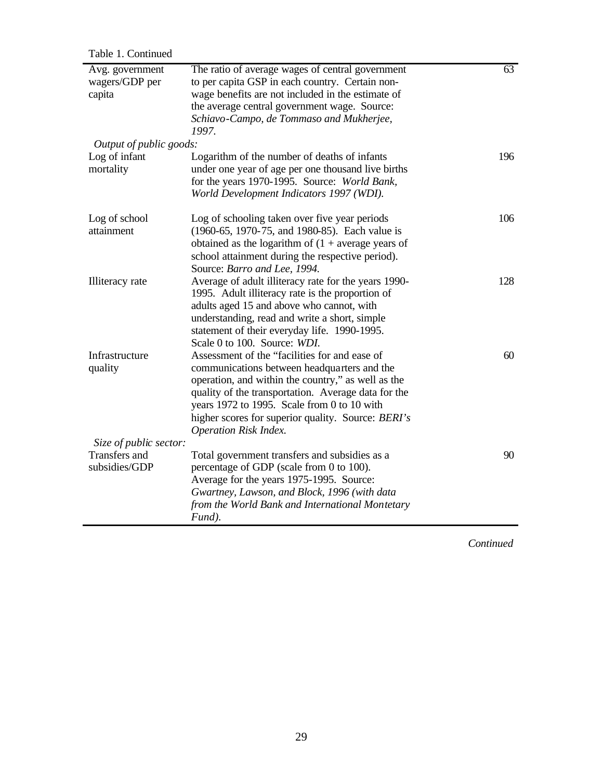| Table 1. Continued                                              |                                                                                                                                                                                                                                                                                                                                                |     |
|-----------------------------------------------------------------|------------------------------------------------------------------------------------------------------------------------------------------------------------------------------------------------------------------------------------------------------------------------------------------------------------------------------------------------|-----|
| Avg. government<br>wagers/GDP per<br>capita                     | The ratio of average wages of central government<br>to per capita GSP in each country. Certain non-<br>wage benefits are not included in the estimate of<br>the average central government wage. Source:<br>Schiavo-Campo, de Tommaso and Mukherjee,<br>1997.                                                                                  | 63  |
| Output of public goods:                                         |                                                                                                                                                                                                                                                                                                                                                |     |
| Log of infant<br>mortality                                      | Logarithm of the number of deaths of infants<br>under one year of age per one thousand live births<br>for the years 1970-1995. Source: World Bank,<br>World Development Indicators 1997 (WDI).                                                                                                                                                 | 196 |
| Log of school<br>attainment                                     | Log of schooling taken over five year periods<br>(1960-65, 1970-75, and 1980-85). Each value is<br>obtained as the logarithm of $(1 + \text{average years of})$<br>school attainment during the respective period).<br>Source: Barro and Lee, 1994.                                                                                            | 106 |
| Illiteracy rate                                                 | Average of adult illiteracy rate for the years 1990-<br>1995. Adult illiteracy rate is the proportion of<br>adults aged 15 and above who cannot, with<br>understanding, read and write a short, simple<br>statement of their everyday life. 1990-1995.<br>Scale 0 to 100. Source: WDI.                                                         | 128 |
| Infrastructure<br>quality                                       | Assessment of the "facilities for and ease of<br>communications between headquarters and the<br>operation, and within the country," as well as the<br>quality of the transportation. Average data for the<br>years 1972 to 1995. Scale from 0 to 10 with<br>higher scores for superior quality. Source: BERI's<br><b>Operation Risk Index.</b> | 60  |
| Size of public sector:<br><b>Transfers and</b><br>subsidies/GDP | Total government transfers and subsidies as a<br>percentage of GDP (scale from 0 to 100).<br>Average for the years 1975-1995. Source:<br>Gwartney, Lawson, and Block, 1996 (with data<br>from the World Bank and International Montetary<br>Fund).                                                                                             | 90  |

*Continued*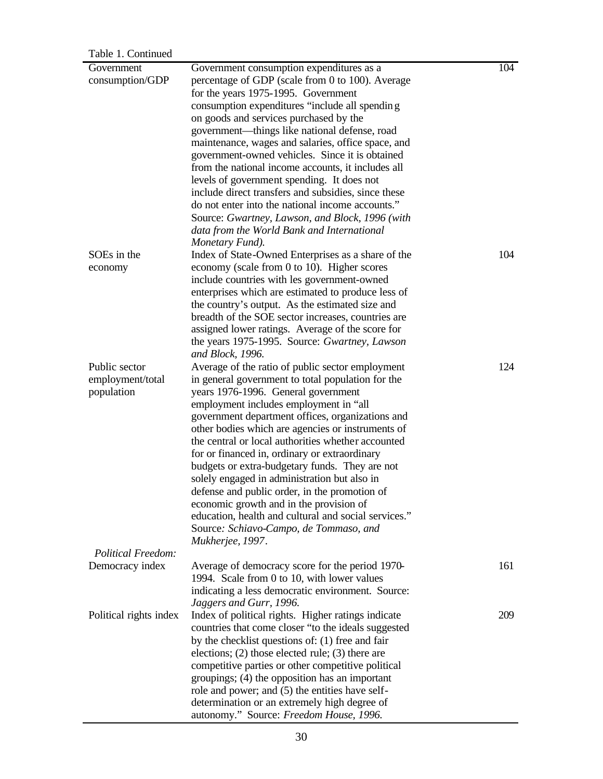| Taon T. Communi           |                                                                                                   |     |
|---------------------------|---------------------------------------------------------------------------------------------------|-----|
| Government                | Government consumption expenditures as a                                                          | 104 |
| consumption/GDP           | percentage of GDP (scale from 0 to 100). Average                                                  |     |
|                           | for the years 1975-1995. Government                                                               |     |
|                           | consumption expenditures "include all spending"                                                   |     |
|                           | on goods and services purchased by the                                                            |     |
|                           | government—things like national defense, road                                                     |     |
|                           | maintenance, wages and salaries, office space, and                                                |     |
|                           | government-owned vehicles. Since it is obtained                                                   |     |
|                           | from the national income accounts, it includes all                                                |     |
|                           | levels of government spending. It does not                                                        |     |
|                           | include direct transfers and subsidies, since these                                               |     |
|                           | do not enter into the national income accounts."                                                  |     |
|                           | Source: Gwartney, Lawson, and Block, 1996 (with                                                   |     |
|                           | data from the World Bank and International                                                        |     |
|                           | Monetary Fund).                                                                                   |     |
| SOEs in the               | Index of State-Owned Enterprises as a share of the                                                | 104 |
| economy                   | economy (scale from 0 to 10). Higher scores                                                       |     |
|                           | include countries with les government-owned                                                       |     |
|                           | enterprises which are estimated to produce less of                                                |     |
|                           | the country's output. As the estimated size and                                                   |     |
|                           | breadth of the SOE sector increases, countries are                                                |     |
|                           | assigned lower ratings. Average of the score for<br>the years 1975-1995. Source: Gwartney, Lawson |     |
|                           | and Block, 1996.                                                                                  |     |
| Public sector             | Average of the ratio of public sector employment                                                  | 124 |
| employment/total          | in general government to total population for the                                                 |     |
| population                | years 1976-1996. General government                                                               |     |
|                           | employment includes employment in "all                                                            |     |
|                           | government department offices, organizations and                                                  |     |
|                           | other bodies which are agencies or instruments of                                                 |     |
|                           | the central or local authorities whether accounted                                                |     |
|                           | for or financed in, ordinary or extraordinary                                                     |     |
|                           | budgets or extra-budgetary funds. They are not                                                    |     |
|                           | solely engaged in administration but also in                                                      |     |
|                           | defense and public order, in the promotion of                                                     |     |
|                           | economic growth and in the provision of                                                           |     |
|                           | education, health and cultural and social services."                                              |     |
|                           | Source: Schiavo-Campo, de Tommaso, and                                                            |     |
|                           | Mukherjee, 1997.                                                                                  |     |
| <b>Political Freedom:</b> |                                                                                                   |     |
| Democracy index           | Average of democracy score for the period 1970-                                                   | 161 |
|                           | 1994. Scale from 0 to 10, with lower values                                                       |     |
|                           | indicating a less democratic environment. Source:                                                 |     |
|                           | Jaggers and Gurr, 1996.                                                                           |     |
| Political rights index    | Index of political rights. Higher ratings indicate                                                | 209 |
|                           | countries that come closer "to the ideals suggested                                               |     |
|                           | by the checklist questions of: (1) free and fair                                                  |     |
|                           | elections; $(2)$ those elected rule; $(3)$ there are                                              |     |
|                           | competitive parties or other competitive political                                                |     |
|                           | groupings; (4) the opposition has an important                                                    |     |
|                           | role and power; and (5) the entities have self-                                                   |     |
|                           | determination or an extremely high degree of                                                      |     |
|                           | autonomy." Source: Freedom House, 1996.                                                           |     |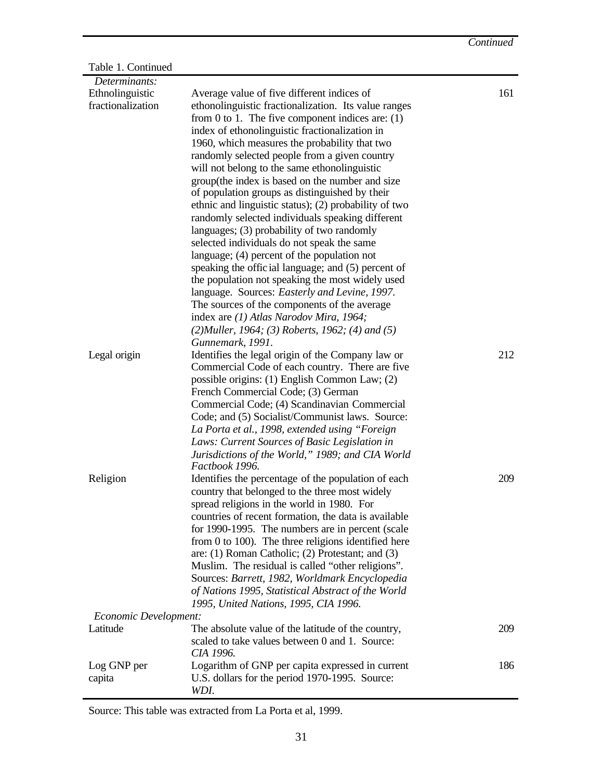| Table 1. Continued                |                                                             |     |
|-----------------------------------|-------------------------------------------------------------|-----|
| Determinants:                     |                                                             |     |
| Ethnolinguistic                   | Average value of five different indices of                  | 161 |
| fractionalization                 | ethonolinguistic fractionalization. Its value ranges        |     |
|                                   | from 0 to 1. The five component indices are: $(1)$          |     |
|                                   | index of ethonolinguistic fractionalization in              |     |
|                                   | 1960, which measures the probability that two               |     |
|                                   | randomly selected people from a given country               |     |
|                                   | will not belong to the same ethonolinguistic                |     |
|                                   | group(the index is based on the number and size             |     |
|                                   | of population groups as distinguished by their              |     |
|                                   | ethnic and linguistic status); (2) probability of two       |     |
|                                   | randomly selected individuals speaking different            |     |
|                                   | languages; (3) probability of two randomly                  |     |
|                                   | selected individuals do not speak the same                  |     |
|                                   | language; (4) percent of the population not                 |     |
|                                   | speaking the official language; and (5) percent of          |     |
|                                   | the population not speaking the most widely used            |     |
|                                   | language. Sources: Easterly and Levine, 1997.               |     |
|                                   | The sources of the components of the average                |     |
|                                   | index are (1) Atlas Narodov Mira, 1964;                     |     |
|                                   | $(2)$ Muller, 1964; (3) Roberts, 1962; (4) and (5)          |     |
|                                   | Gunnemark, 1991.                                            |     |
| Legal origin                      | Identifies the legal origin of the Company law or           | 212 |
|                                   | Commercial Code of each country. There are five             |     |
|                                   | possible origins: (1) English Common Law; (2)               |     |
|                                   | French Commercial Code; (3) German                          |     |
|                                   | Commercial Code; (4) Scandinavian Commercial                |     |
|                                   | Code; and (5) Socialist/Communist laws. Source:             |     |
|                                   | La Porta et al., 1998, extended using "Foreign              |     |
|                                   | Laws: Current Sources of Basic Legislation in               |     |
|                                   | Jurisdictions of the World," 1989; and CIA World            |     |
|                                   | Factbook 1996.                                              |     |
| Religion                          | Identifies the percentage of the population of each         | 209 |
|                                   | country that belonged to the three most widely              |     |
|                                   | spread religions in the world in 1980. For                  |     |
|                                   | countries of recent formation, the data is available        |     |
|                                   | for 1990-1995. The numbers are in percent (scale            |     |
|                                   | from $0$ to $100$ ). The three religions identified here    |     |
|                                   | are: (1) Roman Catholic; (2) Protestant; and (3)            |     |
|                                   | Muslim. The residual is called "other religions".           |     |
|                                   | Sources: Barrett, 1982, Worldmark Encyclopedia              |     |
|                                   | of Nations 1995, Statistical Abstract of the World          |     |
|                                   | 1995, United Nations, 1995, CIA 1996.                       |     |
| Economic Development:<br>Latitude |                                                             | 209 |
|                                   | The absolute value of the latitude of the country,          |     |
|                                   | scaled to take values between 0 and 1. Source:<br>CIA 1996. |     |
| Log GNP per                       | Logarithm of GNP per capita expressed in current            | 186 |
| capita                            | U.S. dollars for the period 1970-1995. Source:              |     |
|                                   | WDI.                                                        |     |
|                                   |                                                             |     |

Source: This table was extracted from La Porta et al, 1999.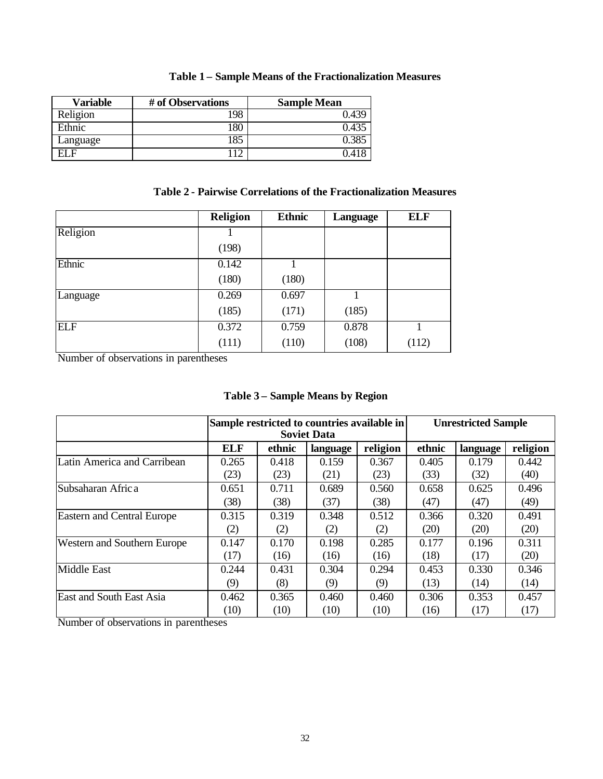| <b>Variable</b> | # of Observations | <b>Sample Mean</b> |
|-----------------|-------------------|--------------------|
| Religion        | 198               |                    |
| Ethnic          | 18C               | 0.43.              |
| Language        | 185               |                    |
|                 | $\sqrt{2}$        |                    |

#### **Table 1 – Sample Means of the Fractionalization Measures**

#### **Table 2 - Pairwise Correlations of the Fractionalization Measures**

|            | <b>Religion</b> | <b>Ethnic</b> | Language | <b>ELF</b> |
|------------|-----------------|---------------|----------|------------|
| Religion   |                 |               |          |            |
|            | (198)           |               |          |            |
| Ethnic     | 0.142           |               |          |            |
|            | (180)           | (180)         |          |            |
| Language   | 0.269           | 0.697         |          |            |
|            | (185)           | (171)         | (185)    |            |
| <b>ELF</b> | 0.372           | 0.759         | 0.878    |            |
|            | (111)           | (110)         | (108)    | (112)      |

Number of observations in parentheses

|  | Table 3 - Sample Means by Region |  |  |
|--|----------------------------------|--|--|
|  |                                  |  |  |

|                                    | Sample restricted to countries available in |        |          | <b>Unrestricted Sample</b> |        |          |          |
|------------------------------------|---------------------------------------------|--------|----------|----------------------------|--------|----------|----------|
|                                    | <b>Soviet Data</b>                          |        |          |                            |        |          |          |
|                                    | <b>ELF</b>                                  | ethnic | language | religion                   | ethnic | language | religion |
| Latin America and Carribean        | 0.265                                       | 0.418  | 0.159    | 0.367                      | 0.405  | 0.179    | 0.442    |
|                                    | (23)                                        | (23)   | (21)     | (23)                       | (33)   | (32)     | (40)     |
| Subsaharan Afric a                 | 0.651                                       | 0.711  | 0.689    | 0.560                      | 0.658  | 0.625    | 0.496    |
|                                    | (38)                                        | (38)   | (37)     | (38)                       | (47)   | (47)     | (49)     |
| <b>Eastern and Central Europe</b>  | 0.315                                       | 0.319  | 0.348    | 0.512                      | 0.366  | 0.320    | 0.491    |
|                                    | (2)                                         | (2)    | (2)      | (2)                        | (20)   | (20)     | (20)     |
| <b>Western and Southern Europe</b> | 0.147                                       | 0.170  | 0.198    | 0.285                      | 0.177  | 0.196    | 0.311    |
|                                    | (17)                                        | (16)   | (16)     | (16)                       | (18)   | (17)     | (20)     |
| Middle East                        | 0.244                                       | 0.431  | 0.304    | 0.294                      | 0.453  | 0.330    | 0.346    |
|                                    | (9)                                         | (8)    | (9)      | (9)                        | (13)   | (14)     | (14)     |
| East and South East Asia           | 0.462                                       | 0.365  | 0.460    | 0.460                      | 0.306  | 0.353    | 0.457    |
|                                    | (10)                                        | (10)   | (10)     | (10)                       | (16)   | (17)     | (17)     |

Number of observations in parentheses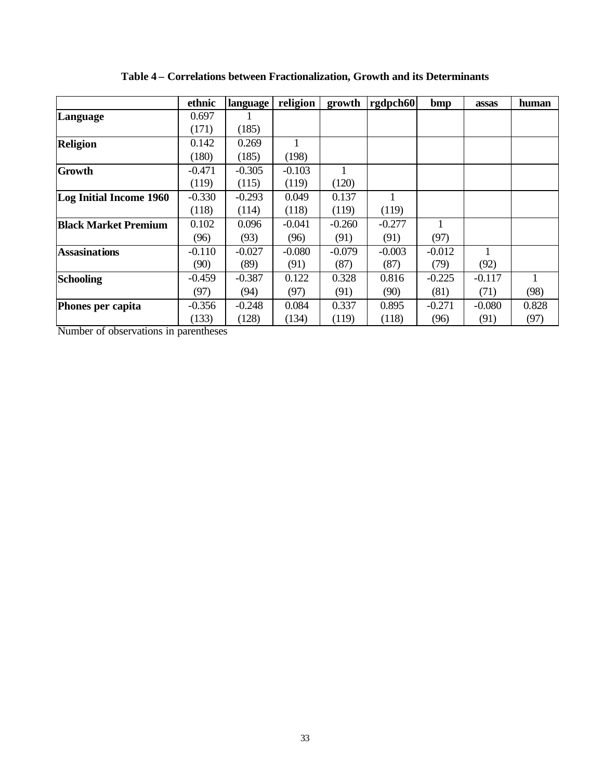|                                | ethnic   | language | religion | growth   | rgdpch60 | bmp      | assas    | human |
|--------------------------------|----------|----------|----------|----------|----------|----------|----------|-------|
| Language                       | 0.697    |          |          |          |          |          |          |       |
|                                | (171)    | (185)    |          |          |          |          |          |       |
| <b>Religion</b>                | 0.142    | 0.269    |          |          |          |          |          |       |
|                                | (180)    | (185)    | (198)    |          |          |          |          |       |
| <b>Growth</b>                  | $-0.471$ | $-0.305$ | $-0.103$ |          |          |          |          |       |
|                                | (119)    | (115)    | (119)    | (120)    |          |          |          |       |
| <b>Log Initial Income 1960</b> | $-0.330$ | $-0.293$ | 0.049    | 0.137    | 1        |          |          |       |
|                                | (118)    | (114)    | (118)    | (119)    | (119)    |          |          |       |
| <b>Black Market Premium</b>    | 0.102    | 0.096    | $-0.041$ | $-0.260$ | $-0.277$ |          |          |       |
|                                | (96)     | (93)     | (96)     | (91)     | (91)     | (97)     |          |       |
| <b>Assasinations</b>           | $-0.110$ | $-0.027$ | $-0.080$ | $-0.079$ | $-0.003$ | $-0.012$ |          |       |
|                                | (90)     | (89)     | (91)     | (87)     | (87)     | (79)     | (92)     |       |
| <b>Schooling</b>               | -0.459   | $-0.387$ | 0.122    | 0.328    | 0.816    | $-0.225$ | $-0.117$ |       |
|                                | (97)     | (94)     | (97)     | (91)     | (90)     | (81)     | (71)     | (98)  |
| Phones per capita              | $-0.356$ | $-0.248$ | 0.084    | 0.337    | 0.895    | $-0.271$ | $-0.080$ | 0.828 |
|                                | (133)    | (128)    | (134)    | (119)    | (118)    | (96)     | (91)     | (97)  |

**Table 4 – Correlations between Fractionalization, Growth and its Determinants**

Number of observations in parentheses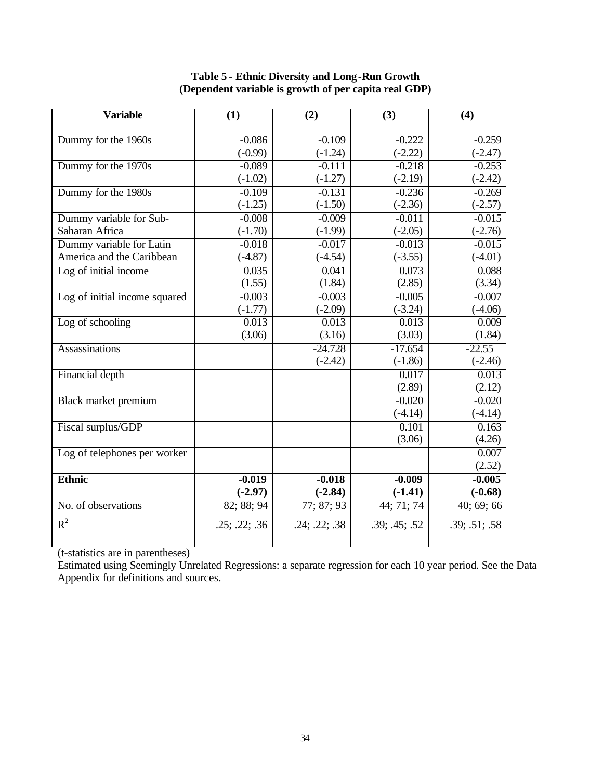**Table 5 - Ethnic Diversity and Long-Run Growth (Dependent variable is growth of per capita real GDP)**

| (1)           | (2)                                            | (3)                                             | (4)                                                                   |
|---------------|------------------------------------------------|-------------------------------------------------|-----------------------------------------------------------------------|
|               |                                                |                                                 | $-0.259$                                                              |
|               |                                                |                                                 | $(-2.47)$                                                             |
|               |                                                |                                                 | $-0.253$                                                              |
| $(-1.02)$     | $(-1.27)$                                      | $(-2.19)$                                       | $(-2.42)$                                                             |
| $-0.109$      | $-0.131$                                       | $-0.236$                                        | $-0.269$                                                              |
| $(-1.25)$     | $(-1.50)$                                      | $(-2.36)$                                       | $(-2.57)$                                                             |
| $-0.008$      | $-0.009$                                       | $-0.011$                                        | $-0.015$                                                              |
| $(-1.70)$     | $(-1.99)$                                      | $(-2.05)$                                       | $(-2.76)$                                                             |
| $-0.018$      | $-0.017$                                       | $-0.013$                                        | $-0.015$                                                              |
| $(-4.87)$     | $(-4.54)$                                      | $(-3.55)$                                       | $(-4.01)$                                                             |
| 0.035         | 0.041                                          | 0.073                                           | 0.088                                                                 |
| (1.55)        | (1.84)                                         | (2.85)                                          | (3.34)                                                                |
| $-0.003$      | $-0.003$                                       | $-0.005$                                        | $-0.007$                                                              |
| $(-1.77)$     | $(-2.09)$                                      | $(-3.24)$                                       | $(-4.06)$                                                             |
| 0.013         | 0.013                                          | 0.013                                           | 0.009                                                                 |
| (3.06)        | (3.16)                                         | (3.03)                                          | (1.84)                                                                |
|               | $-24.728$                                      | $-17.654$                                       | $-22.55$                                                              |
|               | $(-2.42)$                                      | $(-1.86)$                                       | $(-2.46)$                                                             |
|               |                                                | 0.017                                           | 0.013                                                                 |
|               |                                                | (2.89)                                          | (2.12)                                                                |
|               |                                                |                                                 | $-0.020$                                                              |
|               |                                                | $(-4.14)$                                       | $(-4.14)$                                                             |
|               |                                                | 0.101                                           | 0.163                                                                 |
|               |                                                |                                                 | (4.26)                                                                |
|               |                                                |                                                 | 0.007                                                                 |
|               |                                                |                                                 | (2.52)                                                                |
| $-0.019$      | $-0.018$                                       | $-0.009$                                        | $-0.005$                                                              |
|               | $(-2.84)$                                      | $(-1.41)$                                       | $(-0.68)$                                                             |
| 82; 88; 94    |                                                |                                                 | 40; 69; 66                                                            |
| .25; .22; .36 | .24: .22: .38                                  | .39: .45: .52                                   | .39: .51: .58                                                         |
|               | $-0.086$<br>$(-0.99)$<br>$-0.089$<br>$(-2.97)$ | $-0.109$<br>$(-1.24)$<br>$-0.111$<br>77; 87; 93 | $-0.222$<br>$(-2.22)$<br>$-0.218$<br>$-0.020$<br>(3.06)<br>44; 71; 74 |

(t-statistics are in parentheses)

Estimated using Seemingly Unrelated Regressions: a separate regression for each 10 year period. See the Data Appendix for definitions and sources.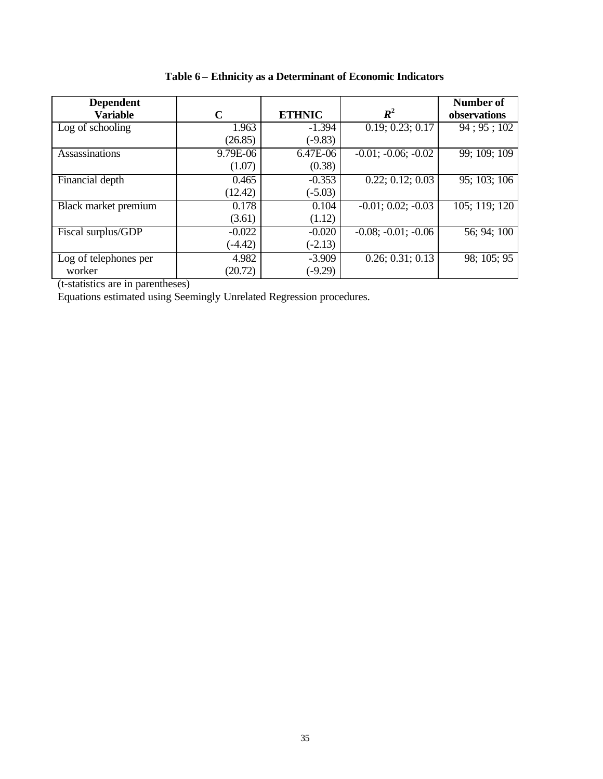| <b>Dependent</b>      |             |               |                       | <b>Number of</b> |
|-----------------------|-------------|---------------|-----------------------|------------------|
| <b>Variable</b>       | $\mathbf C$ | <b>ETHNIC</b> | $R^2$                 | observations     |
| Log of schooling      | 1.963       | $-1.394$      | 0.19; 0.23; 0.17      | 94:95:102        |
|                       | (26.85)     | $(-9.83)$     |                       |                  |
| Assassinations        | 9.79E-06    | 6.47E-06      | $-0.01; -0.06; -0.02$ | 99; 109; 109     |
|                       | (1.07)      | (0.38)        |                       |                  |
| Financial depth       | 0.465       | $-0.353$      | 0.22; 0.12; 0.03      | 95; 103; 106     |
|                       | (12.42)     | $(-5.03)$     |                       |                  |
| Black market premium  | 0.178       | 0.104         | $-0.01; 0.02; -0.03$  | 105; 119; 120    |
|                       | (3.61)      | (1.12)        |                       |                  |
| Fiscal surplus/GDP    | $-0.022$    | $-0.020$      | $-0.08; -0.01; -0.06$ | 56; 94; 100      |
|                       | $(-4.42)$   | $(-2.13)$     |                       |                  |
| Log of telephones per | 4.982       | $-3.909$      | 0.26; 0.31; 0.13      | 98; 105; 95      |
| worker                | (20.72)     | $(-9.29)$     |                       |                  |

#### **Table 6 – Ethnicity as a Determinant of Economic Indicators**

(t-statistics are in parentheses)

Equations estimated using Seemingly Unrelated Regression procedures.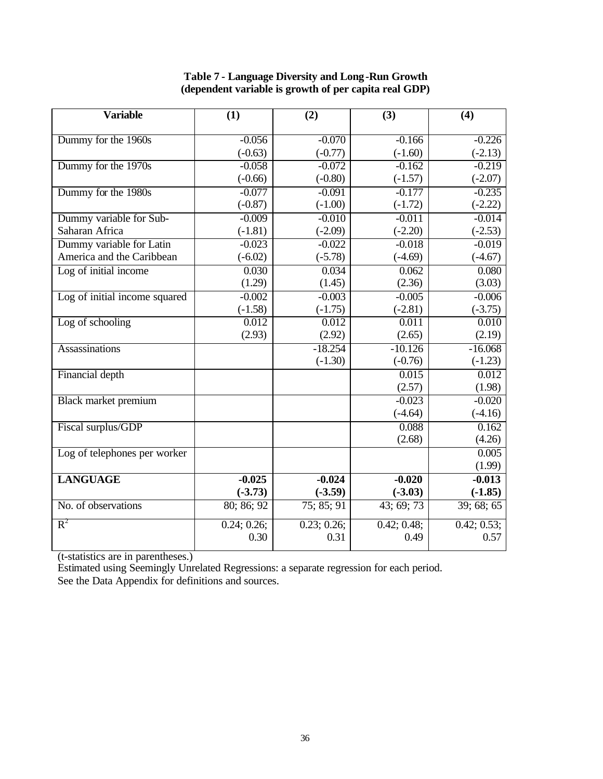**Table 7 - Language Diversity and Long-Run Growth (dependent variable is growth of per capita real GDP)**

| <b>Variable</b>               | (1)         | (2)         | (3)         | (4)         |
|-------------------------------|-------------|-------------|-------------|-------------|
| Dummy for the 1960s           | $-0.056$    | $-0.070$    | $-0.166$    | $-0.226$    |
|                               | $(-0.63)$   | $(-0.77)$   | $(-1.60)$   | $(-2.13)$   |
| Dummy for the 1970s           | $-0.058$    | $-0.072$    | $-0.162$    | $-0.219$    |
|                               | $(-0.66)$   | $(-0.80)$   | $(-1.57)$   | $(-2.07)$   |
| Dummy for the 1980s           | $-0.077$    | $-0.091$    | $-0.177$    | $-0.235$    |
|                               | $(-0.87)$   | $(-1.00)$   | $(-1.72)$   | $(-2.22)$   |
| Dummy variable for Sub-       | $-0.009$    | $-0.010$    | $-0.011$    | $-0.014$    |
| Saharan Africa                | $(-1.81)$   | $(-2.09)$   | $(-2.20)$   | $(-2.53)$   |
| Dummy variable for Latin      | $-0.023$    | $-0.022$    | $-0.018$    | $-0.019$    |
| America and the Caribbean     | $(-6.02)$   | $(-5.78)$   | $(-4.69)$   | $(-4.67)$   |
| Log of initial income         | 0.030       | 0.034       | 0.062       | 0.080       |
|                               | (1.29)      | (1.45)      | (2.36)      | (3.03)      |
| Log of initial income squared | $-0.002$    | $-0.003$    | $-0.005$    | $-0.006$    |
|                               | $(-1.58)$   | $(-1.75)$   | $(-2.81)$   | $(-3.75)$   |
| Log of schooling              | 0.012       | 0.012       | 0.011       | 0.010       |
|                               | (2.93)      | (2.92)      | (2.65)      | (2.19)      |
| <b>Assassinations</b>         |             | $-18.254$   | $-10.126$   | $-16.068$   |
|                               |             | $(-1.30)$   | $(-0.76)$   | $(-1.23)$   |
| Financial depth               |             |             | 0.015       | 0.012       |
|                               |             |             | (2.57)      | (1.98)      |
| Black market premium          |             |             | $-0.023$    | $-0.020$    |
|                               |             |             | $(-4.64)$   | $(-4.16)$   |
| Fiscal surplus/GDP            |             |             | 0.088       | 0.162       |
|                               |             |             | (2.68)      | (4.26)      |
| Log of telephones per worker  |             |             |             | 0.005       |
|                               |             |             |             | (1.99)      |
| <b>LANGUAGE</b>               | $-0.025$    | $-0.024$    | $-0.020$    | $-0.013$    |
|                               | $(-3.73)$   | $(-3.59)$   | $(-3.03)$   | $(-1.85)$   |
| No. of observations           | 80; 86; 92  | 75; 85; 91  | 43; 69; 73  | 39; 68; 65  |
| $R^2$                         | 0.24; 0.26; | 0.23; 0.26; | 0.42; 0.48; | 0.42; 0.53; |
|                               | 0.30        | 0.31        | 0.49        | 0.57        |
|                               |             |             |             |             |

(t-statistics are in parentheses.)

Estimated using Seemingly Unrelated Regressions: a separate regression for each period. See the Data Appendix for definitions and sources.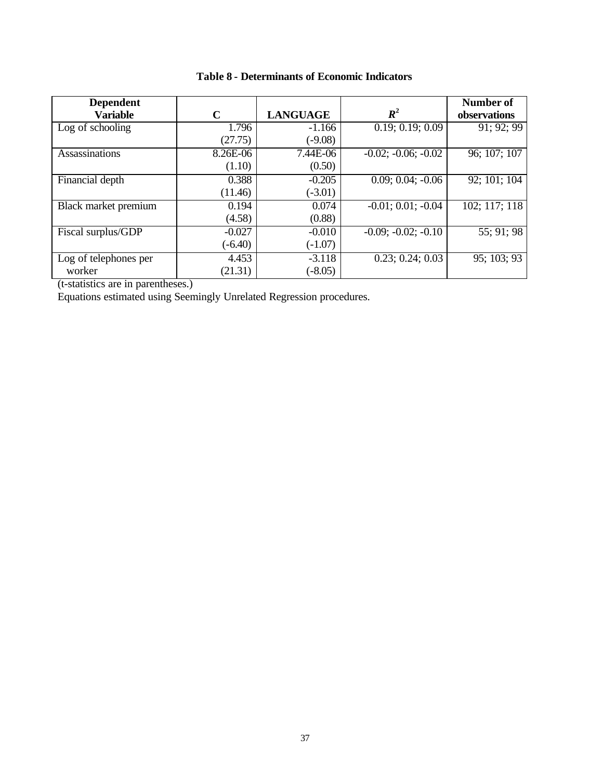| <b>Dependent</b>      |           |                 |                       | <b>Number of</b>          |
|-----------------------|-----------|-----------------|-----------------------|---------------------------|
| <b>Variable</b>       | C         | <b>LANGUAGE</b> | $R^2$                 | observations              |
| Log of schooling      | 1.796     | $-1.166$        | 0.19; 0.19; 0.09      | 91; 92; 99                |
|                       | (27.75)   | $(-9.08)$       |                       |                           |
| Assassinations        | 8.26E-06  | 7.44E-06        | $-0.02; -0.06; -0.02$ | $\overline{96; 107; 107}$ |
|                       | (1.10)    | (0.50)          |                       |                           |
| Financial depth       | 0.388     | $-0.205$        | $0.09; 0.04; -0.06$   | 92; 101; 104              |
|                       | (11.46)   | $(-3.01)$       |                       |                           |
| Black market premium  | 0.194     | 0.074           | $-0.01; 0.01; -0.04$  | 102; 117; 118             |
|                       | (4.58)    | (0.88)          |                       |                           |
| Fiscal surplus/GDP    | $-0.027$  | $-0.010$        | $-0.09; -0.02; -0.10$ | 55; 91; 98                |
|                       | $(-6.40)$ | $(-1.07)$       |                       |                           |
| Log of telephones per | 4.453     | $-3.118$        | 0.23; 0.24; 0.03      | 95; 103; 93               |
| worker                | (21.31)   | $(-8.05)$       |                       |                           |

#### **Table 8 - Determinants of Economic Indicators**

(t-statistics are in parentheses.)

Equations estimated using Seemingly Unrelated Regression procedures.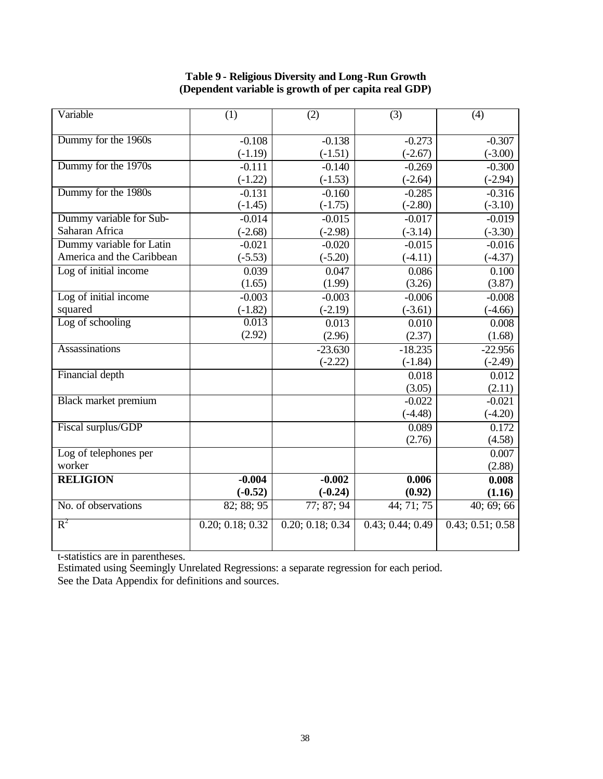**Table 9 - Religious Diversity and Long-Run Growth (Dependent variable is growth of per capita real GDP)**

| Variable                  | $\overline{(1)}$ | $\overline{(2)}$ | $\overline{(3)}$ | $\overline{(4)}$ |
|---------------------------|------------------|------------------|------------------|------------------|
|                           |                  |                  |                  |                  |
| Dummy for the 1960s       | $-0.108$         | $-0.138$         | $-0.273$         | $-0.307$         |
|                           | $(-1.19)$        | $(-1.51)$        | $(-2.67)$        | $(-3.00)$        |
| Dummy for the 1970s       | $-0.111$         | $-0.140$         | $-0.269$         | $-0.300$         |
|                           | $(-1.22)$        | $(-1.53)$        | $(-2.64)$        | $(-2.94)$        |
| Dummy for the 1980s       | $-0.131$         | $-0.160$         | $-0.285$         | $-0.316$         |
|                           | $(-1.45)$        | $(-1.75)$        | $(-2.80)$        | $(-3.10)$        |
| Dummy variable for Sub-   | $-0.014$         | $-0.015$         | $-0.017$         | $-0.019$         |
| Saharan Africa            | $(-2.68)$        | $(-2.98)$        | $(-3.14)$        | $(-3.30)$        |
| Dummy variable for Latin  | $-0.021$         | $-0.020$         | $-0.015$         | $-0.016$         |
| America and the Caribbean | $(-5.53)$        | $(-5.20)$        | $(-4.11)$        | $(-4.37)$        |
| Log of initial income     | 0.039            | 0.047            | 0.086            | 0.100            |
|                           | (1.65)           | (1.99)           | (3.26)           | (3.87)           |
| Log of initial income     | $-0.003$         | $-0.003$         | $-0.006$         | $-0.008$         |
| squared                   | $(-1.82)$        | $(-2.19)$        | $(-3.61)$        | $(-4.66)$        |
| Log of schooling          | 0.013            | 0.013            | 0.010            | 0.008            |
|                           | (2.92)           | (2.96)           | (2.37)           | (1.68)           |
| <b>Assassinations</b>     |                  | $-23.630$        | $-18.235$        | $-22.956$        |
|                           |                  | $(-2.22)$        | $(-1.84)$        | $(-2.49)$        |
| Financial depth           |                  |                  | 0.018            | 0.012            |
|                           |                  |                  | (3.05)           | (2.11)           |
| Black market premium      |                  |                  | $-0.022$         | $-0.021$         |
|                           |                  |                  | $(-4.48)$        | $(-4.20)$        |
| Fiscal surplus/GDP        |                  |                  | 0.089            | 0.172            |
|                           |                  |                  | (2.76)           | (4.58)           |
| Log of telephones per     |                  |                  |                  | 0.007            |
| worker                    |                  |                  |                  | (2.88)           |
| <b>RELIGION</b>           | $-0.004$         | $-0.002$         | 0.006            | 0.008            |
|                           | $(-0.52)$        | $(-0.24)$        | (0.92)           | (1.16)           |
| No. of observations       | 82; 88; 95       | 77; 87; 94       | 44; 71; 75       | 40; 69; 66       |
| $R^2$                     | 0.20; 0.18; 0.32 | 0.20; 0.18; 0.34 | 0.43; 0.44; 0.49 | 0.43; 0.51; 0.58 |
|                           |                  |                  |                  |                  |

t-statistics are in parentheses.

Estimated using Seemingly Unrelated Regressions: a separate regression for each period. See the Data Appendix for definitions and sources.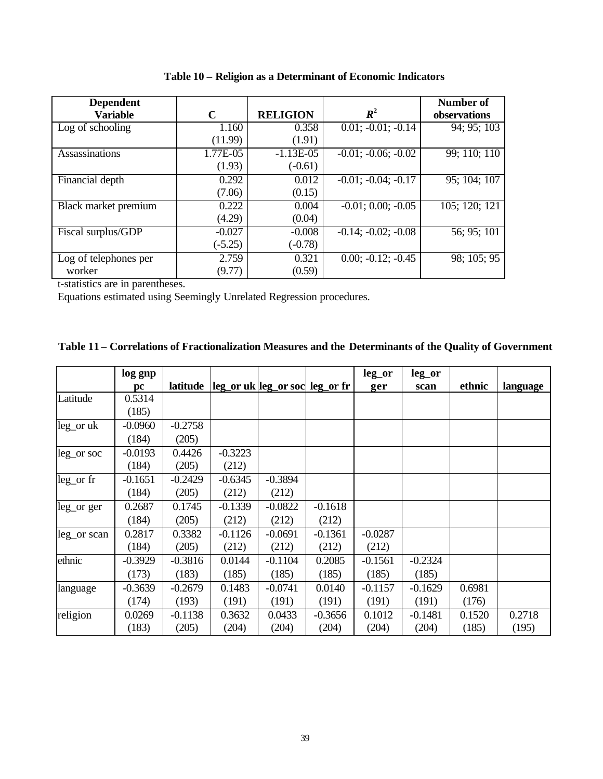| <b>Dependent</b>      |           |                 |                       | <b>Number of</b> |
|-----------------------|-----------|-----------------|-----------------------|------------------|
| <b>Variable</b>       | C         | <b>RELIGION</b> | $\boldsymbol{R}^2$    | observations     |
| Log of schooling      | 1.160     | 0.358           | $0.01; -0.01; -0.14$  | 94; 95; 103      |
|                       | (11.99)   | (1.91)          |                       |                  |
| Assassinations        | 1.77E-05  | $-1.13E-05$     | $-0.01; -0.06; -0.02$ | 99; 110; 110     |
|                       | (1.93)    | $(-0.61)$       |                       |                  |
| Financial depth       | 0.292     | 0.012           | $-0.01; -0.04; -0.17$ | 95; 104; 107     |
|                       | (7.06)    | (0.15)          |                       |                  |
| Black market premium  | 0.222     | 0.004           | $-0.01; 0.00; -0.05$  | 105; 120; 121    |
|                       | (4.29)    | (0.04)          |                       |                  |
| Fiscal surplus/GDP    | $-0.027$  | $-0.008$        | $-0.14; -0.02; -0.08$ | 56; 95; 101      |
|                       | $(-5.25)$ | $(-0.78)$       |                       |                  |
| Log of telephones per | 2.759     | 0.321           | $0.00; -0.12; -0.45$  | 98; 105; 95      |
| worker                | (9.77)    | (0.59)          |                       |                  |

#### **Table 10 – Religion as a Determinant of Economic Indicators**

t-statistics are in parentheses.

Equations estimated using Seemingly Unrelated Regression procedures.

|             | log gnp   |           |           |                                |           | leg_or    | leg_or    |        |          |
|-------------|-----------|-----------|-----------|--------------------------------|-----------|-----------|-----------|--------|----------|
|             | pc        | latitude  |           | leg_or uk leg_or soc leg_or fr |           | ger       | scan      | ethnic | language |
| Latitude    | 0.5314    |           |           |                                |           |           |           |        |          |
|             | (185)     |           |           |                                |           |           |           |        |          |
| leg_or uk   | $-0.0960$ | $-0.2758$ |           |                                |           |           |           |        |          |
|             | (184)     | (205)     |           |                                |           |           |           |        |          |
| leg_or soc  | $-0.0193$ | 0.4426    | $-0.3223$ |                                |           |           |           |        |          |
|             | (184)     | (205)     | (212)     |                                |           |           |           |        |          |
| leg_or fr   | $-0.1651$ | $-0.2429$ | $-0.6345$ | $-0.3894$                      |           |           |           |        |          |
|             | (184)     | (205)     | (212)     | (212)                          |           |           |           |        |          |
| leg_or ger  | 0.2687    | 0.1745    | $-0.1339$ | $-0.0822$                      | $-0.1618$ |           |           |        |          |
|             | (184)     | (205)     | (212)     | (212)                          | (212)     |           |           |        |          |
| leg_or scan | 0.2817    | 0.3382    | $-0.1126$ | $-0.0691$                      | $-0.1361$ | $-0.0287$ |           |        |          |
|             | (184)     | (205)     | (212)     | (212)                          | (212)     | (212)     |           |        |          |
| ethnic      | $-0.3929$ | $-0.3816$ | 0.0144    | $-0.1104$                      | 0.2085    | $-0.1561$ | $-0.2324$ |        |          |
|             | (173)     | (183)     | (185)     | (185)                          | (185)     | (185)     | (185)     |        |          |
| language    | $-0.3639$ | $-0.2679$ | 0.1483    | $-0.0741$                      | 0.0140    | $-0.1157$ | $-0.1629$ | 0.6981 |          |
|             | (174)     | (193)     | (191)     | (191)                          | (191)     | (191)     | (191)     | (176)  |          |
| religion    | 0.0269    | $-0.1138$ | 0.3632    | 0.0433                         | $-0.3656$ | 0.1012    | $-0.1481$ | 0.1520 | 0.2718   |
|             | (183)     | (205)     | (204)     | (204)                          | (204)     | (204)     | (204)     | (185)  | (195)    |

#### **Table 11 – Correlations of Fractionalization Measures and the Determinants of the Quality of Government**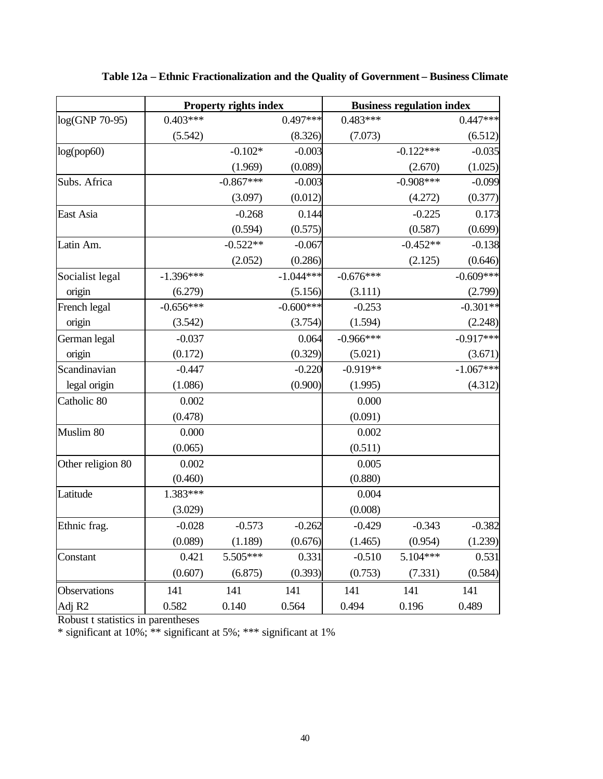|                   |             | <b>Property rights index</b> |             | <b>Business regulation index</b> |             |             |  |
|-------------------|-------------|------------------------------|-------------|----------------------------------|-------------|-------------|--|
| log(GNP 70-95)    | $0.403***$  |                              | $0.497***$  | $0.483***$                       |             | $0.447***$  |  |
|                   | (5.542)     |                              | (8.326)     | (7.073)                          |             | (6.512)     |  |
| log(pop60)        |             | $-0.102*$                    | $-0.003$    |                                  | $-0.122***$ | $-0.035$    |  |
|                   |             | (1.969)                      | (0.089)     |                                  | (2.670)     | (1.025)     |  |
| Subs. Africa      |             | $-0.867***$                  | $-0.003$    |                                  | $-0.908***$ | $-0.099$    |  |
|                   |             | (3.097)                      | (0.012)     |                                  | (4.272)     | (0.377)     |  |
| East Asia         |             | $-0.268$                     | 0.144       |                                  | $-0.225$    | 0.173       |  |
|                   |             | (0.594)                      | (0.575)     |                                  | (0.587)     | (0.699)     |  |
| Latin Am.         |             | $-0.522**$                   | $-0.067$    |                                  | $-0.452**$  | $-0.138$    |  |
|                   |             | (2.052)                      | (0.286)     |                                  | (2.125)     | (0.646)     |  |
| Socialist legal   | $-1.396***$ |                              | $-1.044***$ | $-0.676***$                      |             | $-0.609***$ |  |
| origin            | (6.279)     |                              | (5.156)     | (3.111)                          |             | (2.799)     |  |
| French legal      | $-0.656***$ |                              | $-0.600***$ | $-0.253$                         |             | $-0.301**$  |  |
| origin            | (3.542)     |                              | (3.754)     | (1.594)                          |             | (2.248)     |  |
| German legal      | $-0.037$    |                              | 0.064       | $-0.966***$                      |             | $-0.917***$ |  |
| origin            | (0.172)     |                              | (0.329)     | (5.021)                          |             | (3.671)     |  |
| Scandinavian      | $-0.447$    |                              | $-0.220$    | $-0.919**$                       |             | $-1.067***$ |  |
| legal origin      | (1.086)     |                              | (0.900)     | (1.995)                          |             | (4.312)     |  |
| Catholic 80       | 0.002       |                              |             | 0.000                            |             |             |  |
|                   | (0.478)     |                              |             | (0.091)                          |             |             |  |
| Muslim 80         | 0.000       |                              |             | 0.002                            |             |             |  |
|                   | (0.065)     |                              |             | (0.511)                          |             |             |  |
| Other religion 80 | 0.002       |                              |             | 0.005                            |             |             |  |
|                   | (0.460)     |                              |             | (0.880)                          |             |             |  |
| Latitude          | 1.383***    |                              |             | 0.004                            |             |             |  |
|                   | (3.029)     |                              |             | (0.008)                          |             |             |  |
| Ethnic frag.      | $-0.028$    | $-0.573$                     | $-0.262$    | $-0.429$                         | $-0.343$    | $-0.382$    |  |
|                   | (0.089)     | (1.189)                      | (0.676)     | (1.465)                          | (0.954)     | (1.239)     |  |
| Constant          | 0.421       | 5.505***                     | 0.331       | $-0.510$                         | $5.104***$  | 0.531       |  |
|                   | (0.607)     | (6.875)                      | (0.393)     | (0.753)                          | (7.331)     | (0.584)     |  |
| Observations      | 141         | 141                          | 141         | 141                              | 141         | 141         |  |
| Adj R2            | 0.582       | 0.140                        | 0.564       | 0.494                            | 0.196       | 0.489       |  |

**Table 12a – Ethnic Fractionalization and the Quality of Government – Business Climate**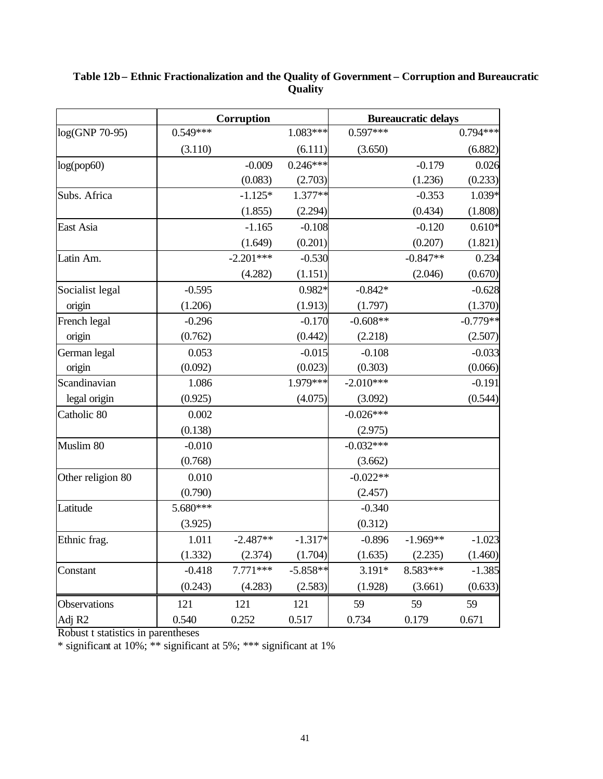|                   |            | Corruption  |            | <b>Bureaucratic delays</b> |            |            |
|-------------------|------------|-------------|------------|----------------------------|------------|------------|
| $log(GNP 70-95)$  | $0.549***$ |             | 1.083***   | $0.597***$                 |            | $0.794***$ |
|                   | (3.110)    |             | (6.111)    | (3.650)                    |            | (6.882)    |
| log(pop60)        |            | $-0.009$    | $0.246***$ |                            | $-0.179$   | 0.026      |
|                   |            | (0.083)     | (2.703)    |                            | (1.236)    | (0.233)    |
| Subs. Africa      |            | $-1.125*$   | $1.377**$  |                            | $-0.353$   | 1.039*     |
|                   |            | (1.855)     | (2.294)    |                            | (0.434)    | (1.808)    |
| East Asia         |            | $-1.165$    | $-0.108$   |                            | $-0.120$   | $0.610*$   |
|                   |            | (1.649)     | (0.201)    |                            | (0.207)    | (1.821)    |
| Latin Am.         |            | $-2.201***$ | $-0.530$   |                            | $-0.847**$ | 0.234      |
|                   |            | (4.282)     | (1.151)    |                            | (2.046)    | (0.670)    |
| Socialist legal   | $-0.595$   |             | $0.982*$   | $-0.842*$                  |            | $-0.628$   |
| origin            | (1.206)    |             | (1.913)    | (1.797)                    |            | (1.370)    |
| French legal      | $-0.296$   |             | $-0.170$   | $-0.608**$                 |            | $-0.779**$ |
| origin            | (0.762)    |             | (0.442)    | (2.218)                    |            | (2.507)    |
| German legal      | 0.053      |             | $-0.015$   | $-0.108$                   |            | $-0.033$   |
| origin            | (0.092)    |             | (0.023)    | (0.303)                    |            | (0.066)    |
| Scandinavian      | 1.086      |             | 1.979***   | $-2.010***$                |            | $-0.191$   |
| legal origin      | (0.925)    |             | (4.075)    | (3.092)                    |            | (0.544)    |
| Catholic 80       | 0.002      |             |            | $-0.026***$                |            |            |
|                   | (0.138)    |             |            | (2.975)                    |            |            |
| Muslim 80         | $-0.010$   |             |            | $-0.032***$                |            |            |
|                   | (0.768)    |             |            | (3.662)                    |            |            |
| Other religion 80 | 0.010      |             |            | $-0.022**$                 |            |            |
|                   | (0.790)    |             |            | (2.457)                    |            |            |
| Latitude          | 5.680***   |             |            | $-0.340$                   |            |            |
|                   | (3.925)    |             |            | (0.312)                    |            |            |
| Ethnic frag.      | 1.011      | $-2.487**$  | $-1.317*$  | $-0.896$                   | $-1.969**$ | $-1.023$   |
|                   | (1.332)    | (2.374)     | (1.704)    | (1.635)                    | (2.235)    | (1.460)    |
| Constant          | $-0.418$   | 7.771***    | $-5.858**$ | 3.191*                     | 8.583***   | $-1.385$   |
|                   | (0.243)    | (4.283)     | (2.583)    | (1.928)                    | (3.661)    | (0.633)    |
| Observations      | 121        | 121         | 121        | 59                         | 59         | 59         |
| Adj R2            | 0.540      | 0.252       | 0.517      | 0.734                      | 0.179      | 0.671      |

#### **Table 12b – Ethnic Fractionalization and the Quality of Government – Corruption and Bureaucratic Quality**

Robust t statistics in parentheses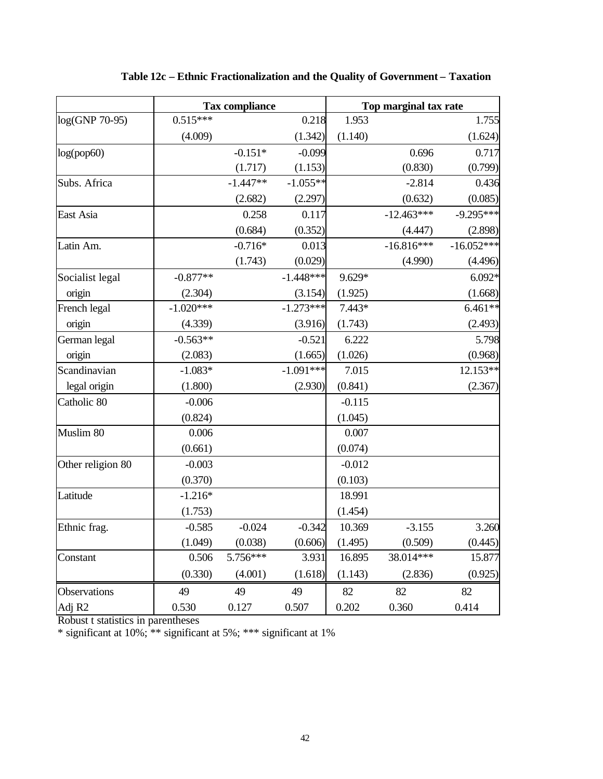|                    |             | <b>Tax compliance</b> |             | Top marginal tax rate |              |              |
|--------------------|-------------|-----------------------|-------------|-----------------------|--------------|--------------|
| $log(GNP 70-95)$   | $0.515***$  |                       | 0.218       | 1.953                 |              | 1.755        |
|                    | (4.009)     |                       | (1.342)     | (1.140)               |              | (1.624)      |
| log(pop60)         |             | $-0.151*$             | $-0.099$    |                       | 0.696        | 0.717        |
|                    |             | (1.717)               | (1.153)     |                       | (0.830)      | (0.799)      |
| Subs. Africa       |             | $-1.447**$            | $-1.055**$  |                       | $-2.814$     | 0.436        |
|                    |             | (2.682)               | (2.297)     |                       | (0.632)      | (0.085)      |
| East Asia          |             | 0.258                 | 0.117       |                       | $-12.463***$ | $-9.295***$  |
|                    |             | (0.684)               | (0.352)     |                       | (4.447)      | (2.898)      |
| Latin Am.          |             | $-0.716*$             | 0.013       |                       | $-16.816***$ | $-16.052***$ |
|                    |             | (1.743)               | (0.029)     |                       | (4.990)      | (4.496)      |
| Socialist legal    | $-0.877**$  |                       | $-1.448***$ | 9.629*                |              | $6.092*$     |
| origin             | (2.304)     |                       | (3.154)     | (1.925)               |              | (1.668)      |
| French legal       | $-1.020***$ |                       | $-1.273***$ | $7.443*$              |              | $6.461**$    |
| origin             | (4.339)     |                       | (3.916)     | (1.743)               |              | (2.493)      |
| German legal       | $-0.563**$  |                       | $-0.521$    | 6.222                 |              | 5.798        |
| origin             | (2.083)     |                       | (1.665)     | (1.026)               |              | (0.968)      |
| Scandinavian       | $-1.083*$   |                       | $-1.091***$ | 7.015                 |              | 12.153**     |
| legal origin       | (1.800)     |                       | (2.930)     | (0.841)               |              | (2.367)      |
| Catholic 80        | $-0.006$    |                       |             | $-0.115$              |              |              |
|                    | (0.824)     |                       |             | (1.045)               |              |              |
| Muslim 80          | 0.006       |                       |             | 0.007                 |              |              |
|                    | (0.661)     |                       |             | (0.074)               |              |              |
| Other religion 80  | $-0.003$    |                       |             | $-0.012$              |              |              |
|                    | (0.370)     |                       |             | (0.103)               |              |              |
| Latitude           | $-1.216*$   |                       |             | 18.991                |              |              |
|                    | (1.753)     |                       |             | (1.454)               |              |              |
| Ethnic frag.       | $-0.585$    | $-0.024$              | $-0.342$    | 10.369                | $-3.155$     | 3.260        |
|                    | (1.049)     | (0.038)               | (0.606)     | (1.495)               | (0.509)      | (0.445)      |
| Constant           | 0.506       | 5.756***              | 3.931       | 16.895                | 38.014***    | 15.877       |
|                    | (0.330)     | (4.001)               | (1.618)     | (1.143)               | (2.836)      | (0.925)      |
| Observations       | 49          | 49                    | 49          | 82                    | 82           | 82           |
| Adj R <sub>2</sub> | 0.530       | 0.127                 | 0.507       | 0.202                 | 0.360        | 0.414        |

**Table 12c – Ethnic Fractionalization and the Quality of Government – Taxation**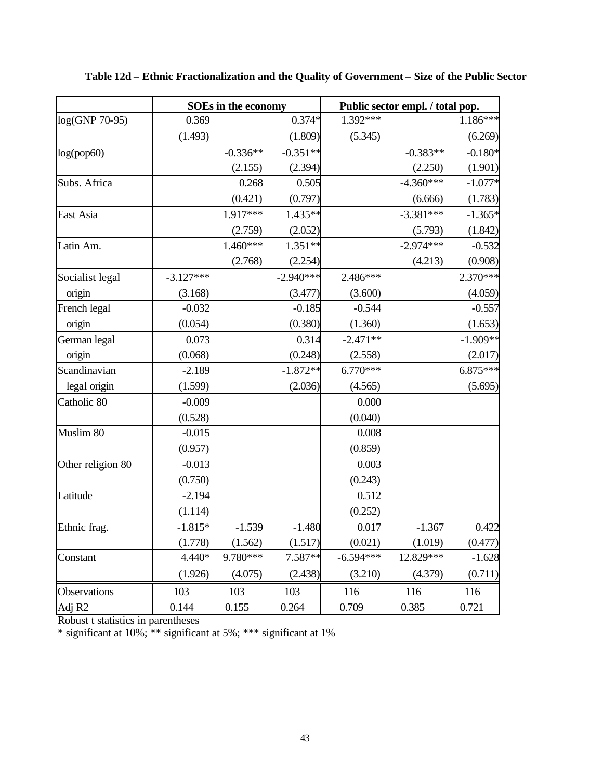|                    | <b>SOEs in the economy</b> |            |             | Public sector empl. / total pop. |             |            |
|--------------------|----------------------------|------------|-------------|----------------------------------|-------------|------------|
| log(GNP 70-95)     | 0.369                      |            | $0.374*$    | 1.392***                         |             | $1.186***$ |
|                    | (1.493)                    |            | (1.809)     | (5.345)                          |             | (6.269)    |
| log(pop60)         |                            | $-0.336**$ | $-0.351**$  |                                  | $-0.383**$  | $-0.180*$  |
|                    |                            | (2.155)    | (2.394)     |                                  | (2.250)     | (1.901)    |
| Subs. Africa       |                            | 0.268      | 0.505       |                                  | $-4.360***$ | $-1.077*$  |
|                    |                            | (0.421)    | (0.797)     |                                  | (6.666)     | (1.783)    |
| East Asia          |                            | 1.917***   | $1.435**$   |                                  | $-3.381***$ | $-1.365*$  |
|                    |                            | (2.759)    | (2.052)     |                                  | (5.793)     | (1.842)    |
| Latin Am.          |                            | 1.460***   | $1.351**$   |                                  | $-2.974***$ | $-0.532$   |
|                    |                            | (2.768)    | (2.254)     |                                  | (4.213)     | (0.908)    |
| Socialist legal    | $-3.127***$                |            | $-2.940***$ | 2.486***                         |             | $2.370***$ |
| origin             | (3.168)                    |            | (3.477)     | (3.600)                          |             | (4.059)    |
| French legal       | $-0.032$                   |            | $-0.185$    | $-0.544$                         |             | $-0.557$   |
| origin             | (0.054)                    |            | (0.380)     | (1.360)                          |             | (1.653)    |
| German legal       | 0.073                      |            | 0.314       | $-2.471**$                       |             | $-1.909**$ |
| origin             | (0.068)                    |            | (0.248)     | (2.558)                          |             | (2.017)    |
| Scandinavian       | $-2.189$                   |            | $-1.872**$  | $6.770***$                       |             | 6.875***   |
| legal origin       | (1.599)                    |            | (2.036)     | (4.565)                          |             | (5.695)    |
| Catholic 80        | $-0.009$                   |            |             | 0.000                            |             |            |
|                    | (0.528)                    |            |             | (0.040)                          |             |            |
| Muslim 80          | $-0.015$                   |            |             | 0.008                            |             |            |
|                    | (0.957)                    |            |             | (0.859)                          |             |            |
| Other religion 80  | $-0.013$                   |            |             | 0.003                            |             |            |
|                    | (0.750)                    |            |             | (0.243)                          |             |            |
| Latitude           | $-2.194$                   |            |             | 0.512                            |             |            |
|                    | (1.114)                    |            |             | (0.252)                          |             |            |
| Ethnic frag.       | $-1.815*$                  | $-1.539$   | $-1.480$    | 0.017                            | $-1.367$    | 0.422      |
|                    | (1.778)                    | (1.562)    | (1.517)     | (0.021)                          | (1.019)     | (0.477)    |
| Constant           | 4.440*                     | 9.780***   | 7.587**     | $-6.594***$                      | 12.829***   | $-1.628$   |
|                    | (1.926)                    | (4.075)    | (2.438)     | (3.210)                          | (4.379)     | (0.711)    |
| Observations       | 103                        | 103        | 103         | 116                              | 116         | 116        |
| Adj R <sub>2</sub> | 0.144                      | 0.155      | 0.264       | 0.709                            | 0.385       | 0.721      |

**Table 12d – Ethnic Fractionalization and the Quality of Government – Size of the Public Sector**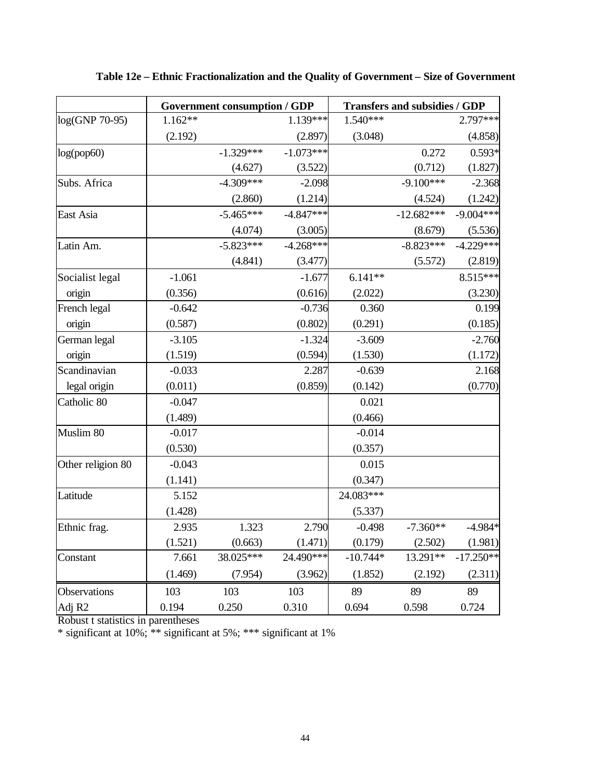|                    |           | <b>Government consumption / GDP</b> |             |            | <b>Transfers and subsidies / GDP</b> |             |  |
|--------------------|-----------|-------------------------------------|-------------|------------|--------------------------------------|-------------|--|
| $log(GNP 70-95)$   | $1.162**$ |                                     | 1.139***    | $1.540***$ |                                      | $2.797***$  |  |
|                    | (2.192)   |                                     | (2.897)     | (3.048)    |                                      | (4.858)     |  |
| log(pop60)         |           | $-1.329***$                         | $-1.073***$ |            | 0.272                                | $0.593*$    |  |
|                    |           | (4.627)                             | (3.522)     |            | (0.712)                              | (1.827)     |  |
| Subs. Africa       |           | $-4.309***$                         | $-2.098$    |            | $-9.100***$                          | $-2.368$    |  |
|                    |           | (2.860)                             | (1.214)     |            | (4.524)                              | (1.242)     |  |
| East Asia          |           | $-5.465***$                         | $-4.847***$ |            | $-12.682***$                         | $-9.004***$ |  |
|                    |           | (4.074)                             | (3.005)     |            | (8.679)                              | (5.536)     |  |
| Latin Am.          |           | $-5.823***$                         | $-4.268***$ |            | $-8.823***$                          | $-4.229***$ |  |
|                    |           | (4.841)                             | (3.477)     |            | (5.572)                              | (2.819)     |  |
| Socialist legal    | $-1.061$  |                                     | $-1.677$    | $6.141**$  |                                      | 8.515***    |  |
| origin             | (0.356)   |                                     | (0.616)     | (2.022)    |                                      | (3.230)     |  |
| French legal       | $-0.642$  |                                     | $-0.736$    | 0.360      |                                      | 0.199       |  |
| origin             | (0.587)   |                                     | (0.802)     | (0.291)    |                                      | (0.185)     |  |
| German legal       | $-3.105$  |                                     | $-1.324$    | $-3.609$   |                                      | $-2.760$    |  |
| origin             | (1.519)   |                                     | (0.594)     | (1.530)    |                                      | (1.172)     |  |
| Scandinavian       | $-0.033$  |                                     | 2.287       | $-0.639$   |                                      | 2.168       |  |
| legal origin       | (0.011)   |                                     | (0.859)     | (0.142)    |                                      | (0.770)     |  |
| Catholic 80        | $-0.047$  |                                     |             | 0.021      |                                      |             |  |
|                    | (1.489)   |                                     |             | (0.466)    |                                      |             |  |
| Muslim 80          | $-0.017$  |                                     |             | $-0.014$   |                                      |             |  |
|                    | (0.530)   |                                     |             | (0.357)    |                                      |             |  |
| Other religion 80  | $-0.043$  |                                     |             | 0.015      |                                      |             |  |
|                    | (1.141)   |                                     |             | (0.347)    |                                      |             |  |
| Latitude           | 5.152     |                                     |             | 24.083***  |                                      |             |  |
|                    | (1.428)   |                                     |             | (5.337)    |                                      |             |  |
| Ethnic frag.       | 2.935     | 1.323                               | 2.790       | $-0.498$   | $-7.360**$                           | $-4.984*$   |  |
|                    | (1.521)   | (0.663)                             | (1.471)     | (0.179)    | (2.502)                              | (1.981)     |  |
| Constant           | 7.661     | 38.025***                           | 24.490***   | $-10.744*$ | 13.291**                             | $-17.250**$ |  |
|                    | (1.469)   | (7.954)                             | (3.962)     | (1.852)    | (2.192)                              | (2.311)     |  |
| Observations       | 103       | 103                                 | 103         | 89         | 89                                   | 89          |  |
| Adj R <sub>2</sub> | 0.194     | 0.250                               | 0.310       | 0.694      | 0.598                                | 0.724       |  |

**Table 12e – Ethnic Fractionalization and the Quality of Government – Size of Government**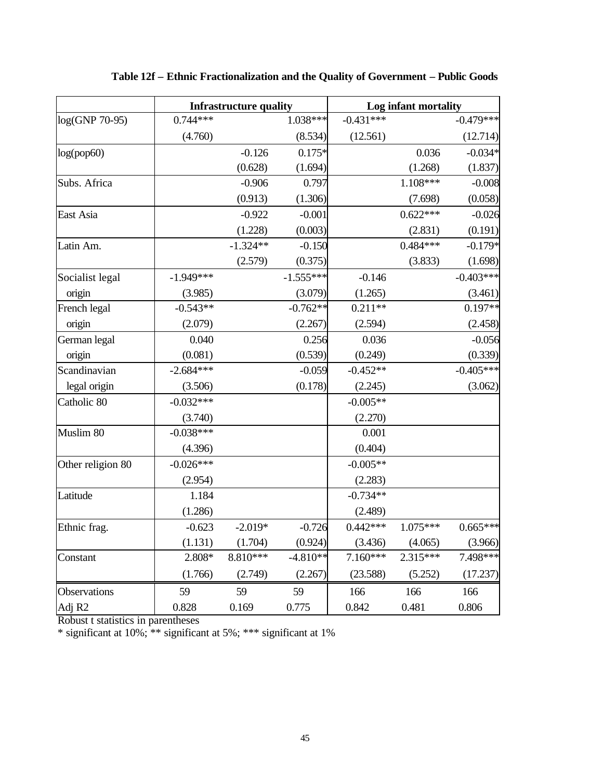|                    |             | <b>Infrastructure quality</b> |             | Log infant mortality |            |             |
|--------------------|-------------|-------------------------------|-------------|----------------------|------------|-------------|
| $log(GNP 70-95)$   | $0.744***$  |                               | 1.038***    | $-0.431***$          |            | $-0.479***$ |
|                    | (4.760)     |                               | (8.534)     | (12.561)             |            | (12.714)    |
| log(pop60)         |             | $-0.126$                      | $0.175*$    |                      | 0.036      | $-0.034*$   |
|                    |             | (0.628)                       | (1.694)     |                      | (1.268)    | (1.837)     |
| Subs. Africa       |             | $-0.906$                      | 0.797       |                      | $1.108***$ | $-0.008$    |
|                    |             | (0.913)                       | (1.306)     |                      | (7.698)    | (0.058)     |
| East Asia          |             | $-0.922$                      | $-0.001$    |                      | $0.622***$ | $-0.026$    |
|                    |             | (1.228)                       | (0.003)     |                      | (2.831)    | (0.191)     |
| Latin Am.          |             | $-1.324**$                    | $-0.150$    |                      | $0.484***$ | $-0.179*$   |
|                    |             | (2.579)                       | (0.375)     |                      | (3.833)    | (1.698)     |
| Socialist legal    | $-1.949***$ |                               | $-1.555***$ | $-0.146$             |            | $-0.403***$ |
| origin             | (3.985)     |                               | (3.079)     | (1.265)              |            | (3.461)     |
| French legal       | $-0.543**$  |                               | $-0.762**$  | $0.211**$            |            | $0.197**$   |
| origin             | (2.079)     |                               | (2.267)     | (2.594)              |            | (2.458)     |
| German legal       | 0.040       |                               | 0.256       | 0.036                |            | $-0.056$    |
| origin             | (0.081)     |                               | (0.539)     | (0.249)              |            | (0.339)     |
| Scandinavian       | $-2.684***$ |                               | $-0.059$    | $-0.452**$           |            | $-0.405***$ |
| legal origin       | (3.506)     |                               | (0.178)     | (2.245)              |            | (3.062)     |
| Catholic 80        | $-0.032***$ |                               |             | $-0.005**$           |            |             |
|                    | (3.740)     |                               |             | (2.270)              |            |             |
| Muslim 80          | $-0.038***$ |                               |             | 0.001                |            |             |
|                    | (4.396)     |                               |             | (0.404)              |            |             |
| Other religion 80  | $-0.026***$ |                               |             | $-0.005**$           |            |             |
|                    | (2.954)     |                               |             | (2.283)              |            |             |
| Latitude           | 1.184       |                               |             | $-0.734**$           |            |             |
|                    | (1.286)     |                               |             | (2.489)              |            |             |
| Ethnic frag.       | $-0.623$    | $-2.019*$                     | $-0.726$    | $0.442***$           | 1.075***   | $0.665***$  |
|                    | (1.131)     | (1.704)                       | (0.924)     | (3.436)              | (4.065)    | (3.966)     |
| Constant           | 2.808*      | 8.810***                      | $-4.810**$  | 7.160***             | 2.315***   | 7.498***    |
|                    | (1.766)     | (2.749)                       | (2.267)     | (23.588)             | (5.252)    | (17.237)    |
| Observations       | 59          | 59                            | 59          | 166                  | 166        | 166         |
| Adj R <sub>2</sub> | 0.828       | 0.169                         | 0.775       | 0.842                | 0.481      | 0.806       |

**Table 12f – Ethnic Fractionalization and the Quality of Government – Public Goods**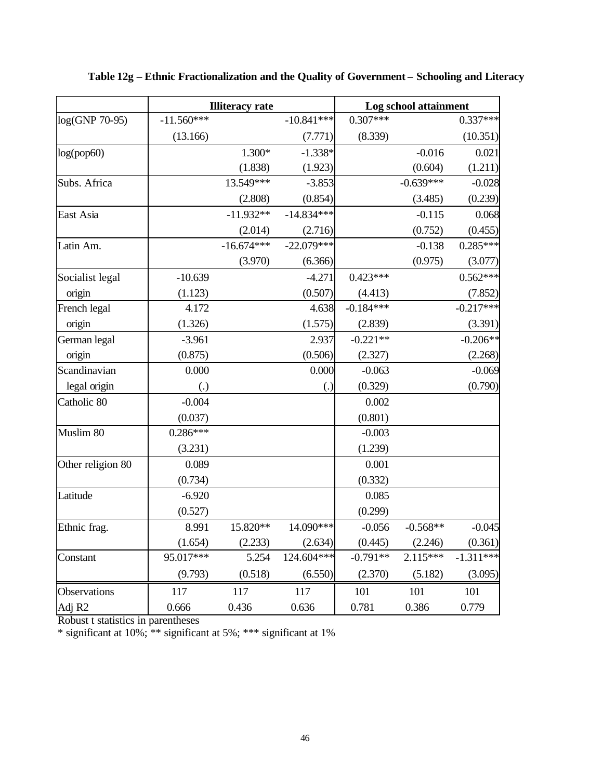|                   |                   | <b>Illiteracy</b> rate |                   |             |             | Log school attainment |  |
|-------------------|-------------------|------------------------|-------------------|-------------|-------------|-----------------------|--|
| $log(GNP 70-95)$  | $-11.560***$      |                        | $-10.841***$      | $0.307***$  |             | $0.337***$            |  |
|                   | (13.166)          |                        | (7.771)           | (8.339)     |             | (10.351)              |  |
| log(pop60)        |                   | 1.300*                 | $-1.338*$         |             | $-0.016$    | 0.021                 |  |
|                   |                   | (1.838)                | (1.923)           |             | (0.604)     | (1.211)               |  |
| Subs. Africa      |                   | 13.549***              | $-3.853$          |             | $-0.639***$ | $-0.028$              |  |
|                   |                   | (2.808)                | (0.854)           |             | (3.485)     | (0.239)               |  |
| East Asia         |                   | $-11.932**$            | $-14.834***$      |             | $-0.115$    | 0.068                 |  |
|                   |                   | (2.014)                | (2.716)           |             | (0.752)     | (0.455)               |  |
| Latin Am.         |                   | $-16.674***$           | $-22.079***$      |             | $-0.138$    | $0.285***$            |  |
|                   |                   | (3.970)                | (6.366)           |             | (0.975)     | (3.077)               |  |
| Socialist legal   | $-10.639$         |                        | $-4.271$          | $0.423***$  |             | $0.562***$            |  |
| origin            | (1.123)           |                        | (0.507)           | (4.413)     |             | (7.852)               |  |
| French legal      | 4.172             |                        | 4.638             | $-0.184***$ |             | $-0.217***$           |  |
| origin            | (1.326)           |                        | (1.575)           | (2.839)     |             | (3.391)               |  |
| German legal      | $-3.961$          |                        | 2.937             | $-0.221**$  |             | $-0.206**$            |  |
| origin            | (0.875)           |                        | (0.506)           | (2.327)     |             | (2.268)               |  |
| Scandinavian      | 0.000             |                        | 0.000             | $-0.063$    |             | $-0.069$              |  |
| legal origin      | $\left( .\right)$ |                        | $\left( .\right)$ | (0.329)     |             | (0.790)               |  |
| Catholic 80       | $-0.004$          |                        |                   | 0.002       |             |                       |  |
|                   | (0.037)           |                        |                   | (0.801)     |             |                       |  |
| Muslim 80         | $0.286***$        |                        |                   | $-0.003$    |             |                       |  |
|                   | (3.231)           |                        |                   | (1.239)     |             |                       |  |
| Other religion 80 | 0.089             |                        |                   | 0.001       |             |                       |  |
|                   | (0.734)           |                        |                   | (0.332)     |             |                       |  |
| Latitude          | $-6.920$          |                        |                   | 0.085       |             |                       |  |
|                   | (0.527)           |                        |                   | (0.299)     |             |                       |  |
| Ethnic frag.      | 8.991             | 15.820**               | 14.090***         | $-0.056$    | $-0.568**$  | $-0.045$              |  |
|                   | (1.654)           | (2.233)                | (2.634)           | (0.445)     | (2.246)     | (0.361)               |  |
| Constant          | 95.017***         | 5.254                  | 124.604***        | $-0.791**$  | $2.115***$  | $-1.311***$           |  |
|                   | (9.793)           | (0.518)                | (6.550)           | (2.370)     | (5.182)     | (3.095)               |  |
| Observations      | 117               | 117                    | 117               | 101         | 101         | 101                   |  |
| Adj R2            | 0.666             | 0.436                  | 0.636             | 0.781       | 0.386       | 0.779                 |  |

**Table 12g – Ethnic Fractionalization and the Quality of Government – Schooling and Literacy**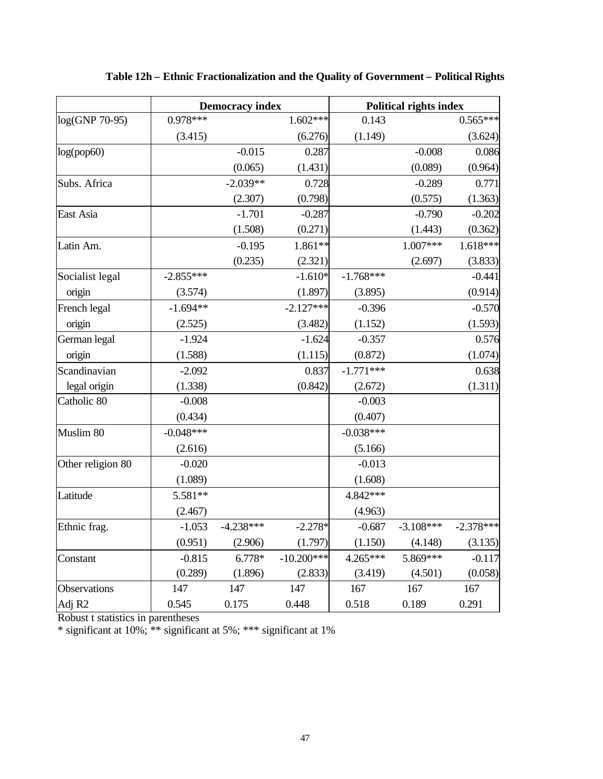|                    |             | <b>Democracy index</b> |              |             | <b>Political rights index</b> |             |  |
|--------------------|-------------|------------------------|--------------|-------------|-------------------------------|-------------|--|
| $log(GNP 70-95)$   | $0.978***$  |                        | $1.602***$   | 0.143       |                               | $0.565***$  |  |
|                    | (3.415)     |                        | (6.276)      | (1.149)     |                               | (3.624)     |  |
| log(pop60)         |             | $-0.015$               | 0.287        |             | $-0.008$                      | 0.086       |  |
|                    |             | (0.065)                | (1.431)      |             | (0.089)                       | (0.964)     |  |
| Subs. Africa       |             | $-2.039**$             | 0.728        |             | $-0.289$                      | 0.771       |  |
|                    |             | (2.307)                | (0.798)      |             | (0.575)                       | (1.363)     |  |
| East Asia          |             | $-1.701$               | $-0.287$     |             | $-0.790$                      | $-0.202$    |  |
|                    |             | (1.508)                | (0.271)      |             | (1.443)                       | (0.362)     |  |
| Latin Am.          |             | $-0.195$               | 1.861**      |             | $1.007***$                    | 1.618***    |  |
|                    |             | (0.235)                | (2.321)      |             | (2.697)                       | (3.833)     |  |
| Socialist legal    | $-2.855***$ |                        | $-1.610*$    | $-1.768***$ |                               | $-0.441$    |  |
| origin             | (3.574)     |                        | (1.897)      | (3.895)     |                               | (0.914)     |  |
| French legal       | $-1.694**$  |                        | $-2.127***$  | $-0.396$    |                               | $-0.570$    |  |
| origin             | (2.525)     |                        | (3.482)      | (1.152)     |                               | (1.593)     |  |
| German legal       | $-1.924$    |                        | $-1.624$     | $-0.357$    |                               | 0.576       |  |
| origin             | (1.588)     |                        | (1.115)      | (0.872)     |                               | (1.074)     |  |
| Scandinavian       | $-2.092$    |                        | 0.837        | $-1.771***$ |                               | 0.638       |  |
| legal origin       | (1.338)     |                        | (0.842)      | (2.672)     |                               | (1.311)     |  |
| Catholic 80        | $-0.008$    |                        |              | $-0.003$    |                               |             |  |
|                    | (0.434)     |                        |              | (0.407)     |                               |             |  |
| Muslim 80          | $-0.048***$ |                        |              | $-0.038***$ |                               |             |  |
|                    | (2.616)     |                        |              | (5.166)     |                               |             |  |
| Other religion 80  | $-0.020$    |                        |              | $-0.013$    |                               |             |  |
|                    | (1.089)     |                        |              | (1.608)     |                               |             |  |
| Latitude           | 5.581**     |                        |              | 4.842***    |                               |             |  |
|                    | (2.467)     |                        |              | (4.963)     |                               |             |  |
| Ethnic frag.       | $-1.053$    | $-4.238***$            | $-2.278*$    | $-0.687$    | $-3.108***$                   | $-2.378***$ |  |
|                    | (0.951)     | (2.906)                | (1.797)      | (1.150)     | (4.148)                       | (3.135)     |  |
| Constant           | $-0.815$    | 6.778*                 | $-10.200***$ | 4.265***    | 5.869***                      | $-0.117$    |  |
|                    | (0.289)     | (1.896)                | (2.833)      | (3.419)     | (4.501)                       | (0.058)     |  |
| Observations       | 147         | 147                    | 147          | 167         | 167                           | 167         |  |
| Adj R <sub>2</sub> | 0.545       | 0.175                  | 0.448        | 0.518       | 0.189                         | 0.291       |  |

#### **Table 12h – Ethnic Fractionalization and the Quality of Government – Political Rights**

Robust t statistics in parentheses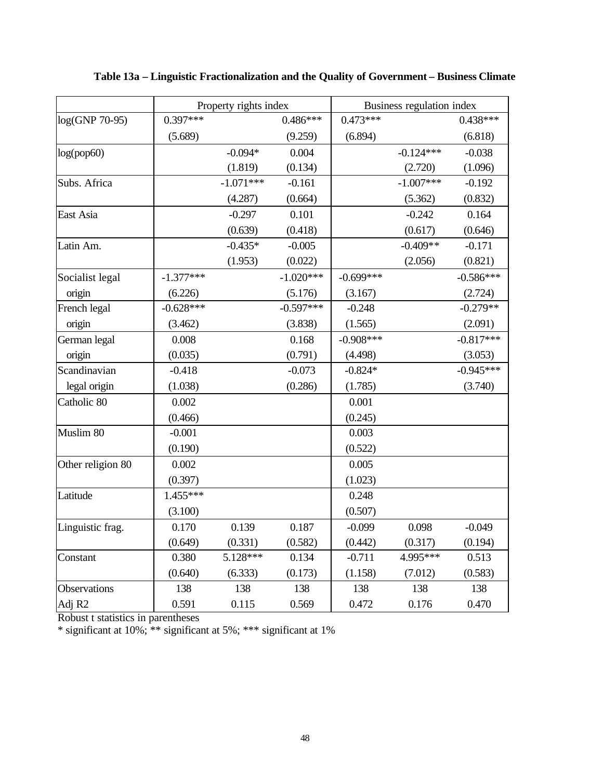|                   |             | Property rights index |             | Business regulation index |             |             |
|-------------------|-------------|-----------------------|-------------|---------------------------|-------------|-------------|
| $log(GNP 70-95)$  | $0.397***$  |                       | $0.486***$  | $0.473***$                |             | $0.438***$  |
|                   | (5.689)     |                       | (9.259)     | (6.894)                   |             | (6.818)     |
| log(pop60)        |             | $-0.094*$             | 0.004       |                           | $-0.124***$ | $-0.038$    |
|                   |             | (1.819)               | (0.134)     |                           | (2.720)     | (1.096)     |
| Subs. Africa      |             | $-1.071***$           | $-0.161$    |                           | $-1.007***$ | $-0.192$    |
|                   |             | (4.287)               | (0.664)     |                           | (5.362)     | (0.832)     |
| East Asia         |             | $-0.297$              | 0.101       |                           | $-0.242$    | 0.164       |
|                   |             | (0.639)               | (0.418)     |                           | (0.617)     | (0.646)     |
| Latin Am.         |             | $-0.435*$             | $-0.005$    |                           | $-0.409**$  | $-0.171$    |
|                   |             | (1.953)               | (0.022)     |                           | (2.056)     | (0.821)     |
| Socialist legal   | $-1.377***$ |                       | $-1.020***$ | $-0.699***$               |             | $-0.586***$ |
| origin            | (6.226)     |                       | (5.176)     | (3.167)                   |             | (2.724)     |
| French legal      | $-0.628***$ |                       | $-0.597***$ | $-0.248$                  |             | $-0.279**$  |
| origin            | (3.462)     |                       | (3.838)     | (1.565)                   |             | (2.091)     |
| German legal      | 0.008       |                       | 0.168       | $-0.908***$               |             | $-0.817***$ |
| origin            | (0.035)     |                       | (0.791)     | (4.498)                   |             | (3.053)     |
| Scandinavian      | $-0.418$    |                       | $-0.073$    | $-0.824*$                 |             | $-0.945***$ |
| legal origin      | (1.038)     |                       | (0.286)     | (1.785)                   |             | (3.740)     |
| Catholic 80       | 0.002       |                       |             | 0.001                     |             |             |
|                   | (0.466)     |                       |             | (0.245)                   |             |             |
| Muslim 80         | $-0.001$    |                       |             | 0.003                     |             |             |
|                   | (0.190)     |                       |             | (0.522)                   |             |             |
| Other religion 80 | 0.002       |                       |             | 0.005                     |             |             |
|                   | (0.397)     |                       |             | (1.023)                   |             |             |
| Latitude          | 1.455***    |                       |             | 0.248                     |             |             |
|                   | (3.100)     |                       |             | (0.507)                   |             |             |
| Linguistic frag.  | 0.170       | 0.139                 | 0.187       | $-0.099$                  | 0.098       | $-0.049$    |
|                   | (0.649)     | (0.331)               | (0.582)     | (0.442)                   | (0.317)     | (0.194)     |
| Constant          | 0.380       | 5.128***              | 0.134       | $-0.711$                  | 4.995***    | 0.513       |
|                   | (0.640)     | (6.333)               | (0.173)     | (1.158)                   | (7.012)     | (0.583)     |
| Observations      | 138         | 138                   | 138         | 138                       | 138         | 138         |
| Adj R2            | 0.591       | 0.115                 | 0.569       | 0.472                     | 0.176       | 0.470       |

**Table 13a – Linguistic Fractionalization and the Quality of Government – Business Climate**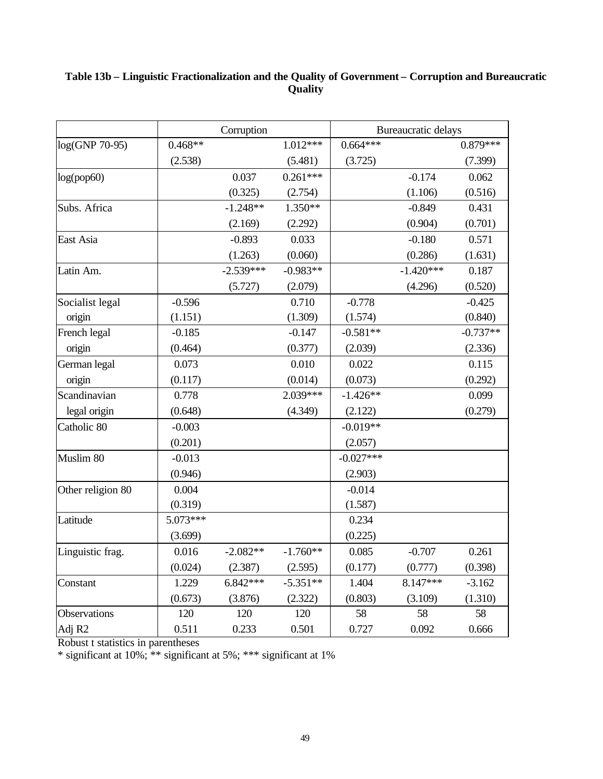|                   |           | Corruption  |            | Bureaucratic delays |             |            |
|-------------------|-----------|-------------|------------|---------------------|-------------|------------|
| $log(GNP 70-95)$  | $0.468**$ |             | $1.012***$ | $0.664***$          |             | $0.879***$ |
|                   | (2.538)   |             | (5.481)    | (3.725)             |             | (7.399)    |
| log(pop60)        |           | 0.037       | $0.261***$ |                     | $-0.174$    | 0.062      |
|                   |           | (0.325)     | (2.754)    |                     | (1.106)     | (0.516)    |
| Subs. Africa      |           | $-1.248**$  | $1.350**$  |                     | $-0.849$    | 0.431      |
|                   |           | (2.169)     | (2.292)    |                     | (0.904)     | (0.701)    |
| East Asia         |           | $-0.893$    | 0.033      |                     | $-0.180$    | 0.571      |
|                   |           | (1.263)     | (0.060)    |                     | (0.286)     | (1.631)    |
| Latin Am.         |           | $-2.539***$ | $-0.983**$ |                     | $-1.420***$ | 0.187      |
|                   |           | (5.727)     | (2.079)    |                     | (4.296)     | (0.520)    |
| Socialist legal   | $-0.596$  |             | 0.710      | $-0.778$            |             | $-0.425$   |
| origin            | (1.151)   |             | (1.309)    | (1.574)             |             | (0.840)    |
| French legal      | $-0.185$  |             | $-0.147$   | $-0.581**$          |             | $-0.737**$ |
| origin            | (0.464)   |             | (0.377)    | (2.039)             |             | (2.336)    |
| German legal      | 0.073     |             | 0.010      | 0.022               |             | 0.115      |
| origin            | (0.117)   |             | (0.014)    | (0.073)             |             | (0.292)    |
| Scandinavian      | 0.778     |             | 2.039***   | $-1.426**$          |             | 0.099      |
| legal origin      | (0.648)   |             | (4.349)    | (2.122)             |             | (0.279)    |
| Catholic 80       | $-0.003$  |             |            | $-0.019**$          |             |            |
|                   | (0.201)   |             |            | (2.057)             |             |            |
| Muslim 80         | $-0.013$  |             |            | $-0.027***$         |             |            |
|                   | (0.946)   |             |            | (2.903)             |             |            |
| Other religion 80 | 0.004     |             |            | $-0.014$            |             |            |
|                   | (0.319)   |             |            | (1.587)             |             |            |
| Latitude          | 5.073***  |             |            | 0.234               |             |            |
|                   | (3.699)   |             |            | (0.225)             |             |            |
| Linguistic frag.  | 0.016     | $-2.082**$  | $-1.760**$ | 0.085               | $-0.707$    | 0.261      |
|                   | (0.024)   | (2.387)     | (2.595)    | (0.177)             | (0.777)     | (0.398)    |
| Constant          | 1.229     | 6.842***    | $-5.351**$ | 1.404               | 8.147***    | $-3.162$   |
|                   | (0.673)   | (3.876)     | (2.322)    | (0.803)             | (3.109)     | (1.310)    |
| Observations      | 120       | 120         | 120        | 58                  | 58          | 58         |
| Adj R2            | 0.511     | 0.233       | 0.501      | 0.727               | 0.092       | 0.666      |

#### **Table 13b – Linguistic Fractionalization and the Quality of Government – Corruption and Bureaucratic Quality**

Robust t statistics in parentheses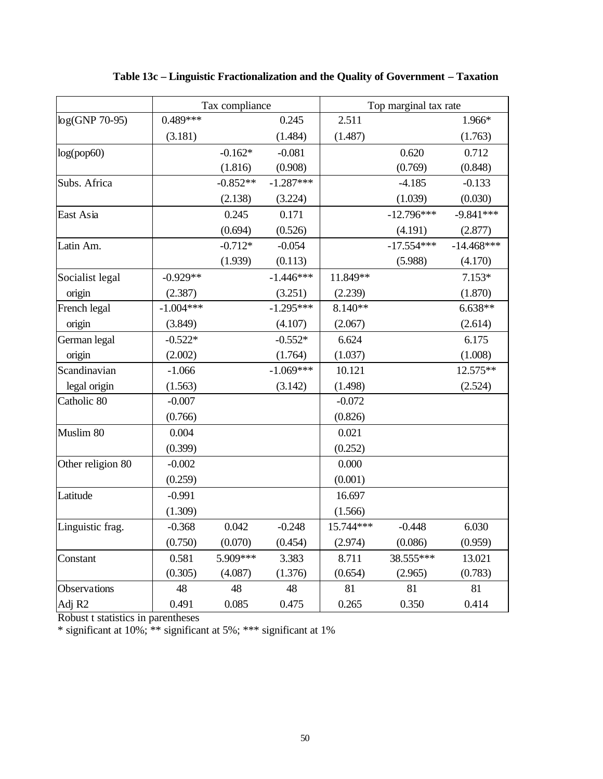|                   |             | Tax compliance |             |           | Top marginal tax rate |              |  |  |
|-------------------|-------------|----------------|-------------|-----------|-----------------------|--------------|--|--|
| $log(GNP 70-95)$  | $0.489***$  |                | 0.245       | 2.511     |                       | 1.966*       |  |  |
|                   | (3.181)     |                | (1.484)     | (1.487)   |                       | (1.763)      |  |  |
| log(pop60)        |             | $-0.162*$      | $-0.081$    |           | 0.620                 | 0.712        |  |  |
|                   |             | (1.816)        | (0.908)     |           | (0.769)               | (0.848)      |  |  |
| Subs. Africa      |             | $-0.852**$     | $-1.287***$ |           | $-4.185$              | $-0.133$     |  |  |
|                   |             | (2.138)        | (3.224)     |           | (1.039)               | (0.030)      |  |  |
| East Asia         |             | 0.245          | 0.171       |           | $-12.796***$          | $-9.841***$  |  |  |
|                   |             | (0.694)        | (0.526)     |           | (4.191)               | (2.877)      |  |  |
| Latin Am.         |             | $-0.712*$      | $-0.054$    |           | $-17.554***$          | $-14.468***$ |  |  |
|                   |             | (1.939)        | (0.113)     |           | (5.988)               | (4.170)      |  |  |
| Socialist legal   | $-0.929**$  |                | $-1.446***$ | 11.849**  |                       | $7.153*$     |  |  |
| origin            | (2.387)     |                | (3.251)     | (2.239)   |                       | (1.870)      |  |  |
| French legal      | $-1.004***$ |                | $-1.295***$ | 8.140**   |                       | 6.638**      |  |  |
| origin            | (3.849)     |                | (4.107)     | (2.067)   |                       | (2.614)      |  |  |
| German legal      | $-0.522*$   |                | $-0.552*$   | 6.624     |                       | 6.175        |  |  |
| origin            | (2.002)     |                | (1.764)     | (1.037)   |                       | (1.008)      |  |  |
| Scandinavian      | $-1.066$    |                | $-1.069***$ | 10.121    |                       | 12.575**     |  |  |
| legal origin      | (1.563)     |                | (3.142)     | (1.498)   |                       | (2.524)      |  |  |
| Catholic 80       | $-0.007$    |                |             | $-0.072$  |                       |              |  |  |
|                   | (0.766)     |                |             | (0.826)   |                       |              |  |  |
| Muslim 80         | 0.004       |                |             | 0.021     |                       |              |  |  |
|                   | (0.399)     |                |             | (0.252)   |                       |              |  |  |
| Other religion 80 | $-0.002$    |                |             | 0.000     |                       |              |  |  |
|                   | (0.259)     |                |             | (0.001)   |                       |              |  |  |
| Latitude          | $-0.991$    |                |             | 16.697    |                       |              |  |  |
|                   | (1.309)     |                |             | (1.566)   |                       |              |  |  |
| Linguistic frag.  | $-0.368$    | 0.042          | $-0.248$    | 15.744*** | $-0.448$              | 6.030        |  |  |
|                   | (0.750)     | (0.070)        | (0.454)     | (2.974)   | (0.086)               | (0.959)      |  |  |
| Constant          | 0.581       | 5.909***       | 3.383       | 8.711     | 38.555***             | 13.021       |  |  |
|                   | (0.305)     | (4.087)        | (1.376)     | (0.654)   | (2.965)               | (0.783)      |  |  |
| Observations      | 48          | 48             | 48          | 81        | 81                    | 81           |  |  |
| Adj R2            | 0.491       | 0.085          | 0.475       | 0.265     | 0.350                 | 0.414        |  |  |

**Table 13c – Linguistic Fractionalization and the Quality of Government – Taxation**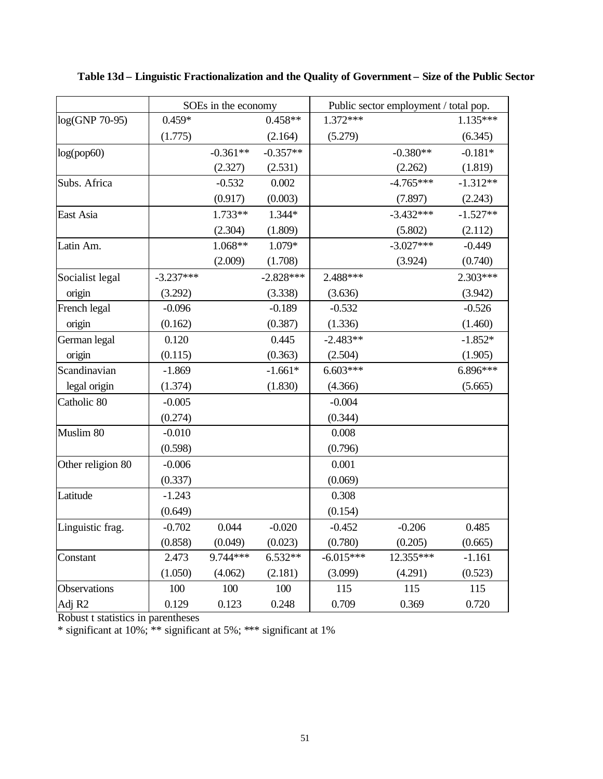|                   |             | SOEs in the economy |             | Public sector employment / total pop. |             |            |
|-------------------|-------------|---------------------|-------------|---------------------------------------|-------------|------------|
| $log(GNP 70-95)$  | $0.459*$    |                     | $0.458**$   | 1.372***                              |             | $1.135***$ |
|                   | (1.775)     |                     | (2.164)     | (5.279)                               |             | (6.345)    |
| log(pop60)        |             | $-0.361**$          | $-0.357**$  |                                       | $-0.380**$  | $-0.181*$  |
|                   |             | (2.327)             | (2.531)     |                                       | (2.262)     | (1.819)    |
| Subs. Africa      |             | $-0.532$            | 0.002       |                                       | $-4.765***$ | $-1.312**$ |
|                   |             | (0.917)             | (0.003)     |                                       | (7.897)     | (2.243)    |
| East Asia         |             | 1.733**             | 1.344*      |                                       | $-3.432***$ | $-1.527**$ |
|                   |             | (2.304)             | (1.809)     |                                       | (5.802)     | (2.112)    |
| Latin Am.         |             | 1.068**             | 1.079*      |                                       | $-3.027***$ | $-0.449$   |
|                   |             | (2.009)             | (1.708)     |                                       | (3.924)     | (0.740)    |
| Socialist legal   | $-3.237***$ |                     | $-2.828***$ | 2.488***                              |             | 2.303***   |
| origin            | (3.292)     |                     | (3.338)     | (3.636)                               |             | (3.942)    |
| French legal      | $-0.096$    |                     | $-0.189$    | $-0.532$                              |             | $-0.526$   |
| origin            | (0.162)     |                     | (0.387)     | (1.336)                               |             | (1.460)    |
| German legal      | 0.120       |                     | 0.445       | $-2.483**$                            |             | $-1.852*$  |
| origin            | (0.115)     |                     | (0.363)     | (2.504)                               |             | (1.905)    |
| Scandinavian      | $-1.869$    |                     | $-1.661*$   | $6.603***$                            |             | 6.896***   |
| legal origin      | (1.374)     |                     | (1.830)     | (4.366)                               |             | (5.665)    |
| Catholic 80       | $-0.005$    |                     |             | $-0.004$                              |             |            |
|                   | (0.274)     |                     |             | (0.344)                               |             |            |
| Muslim 80         | $-0.010$    |                     |             | 0.008                                 |             |            |
|                   | (0.598)     |                     |             | (0.796)                               |             |            |
| Other religion 80 | $-0.006$    |                     |             | 0.001                                 |             |            |
|                   | (0.337)     |                     |             | (0.069)                               |             |            |
| Latitude          | $-1.243$    |                     |             | 0.308                                 |             |            |
|                   | (0.649)     |                     |             | (0.154)                               |             |            |
| Linguistic frag.  | $-0.702$    | 0.044               | $-0.020$    | $-0.452$                              | $-0.206$    | 0.485      |
|                   | (0.858)     | (0.049)             | (0.023)     | (0.780)                               | (0.205)     | (0.665)    |
| Constant          | 2.473       | 9.744***            | $6.532**$   | $-6.015***$                           | 12.355***   | $-1.161$   |
|                   | (1.050)     | (4.062)             | (2.181)     | (3.099)                               | (4.291)     | (0.523)    |
| Observations      | 100         | 100                 | 100         | 115                                   | 115         | 115        |
| Adj R2            | 0.129       | 0.123               | 0.248       | 0.709                                 | 0.369       | 0.720      |

**Table 13d – Linguistic Fractionalization and the Quality of Government – Size of the Public Sector**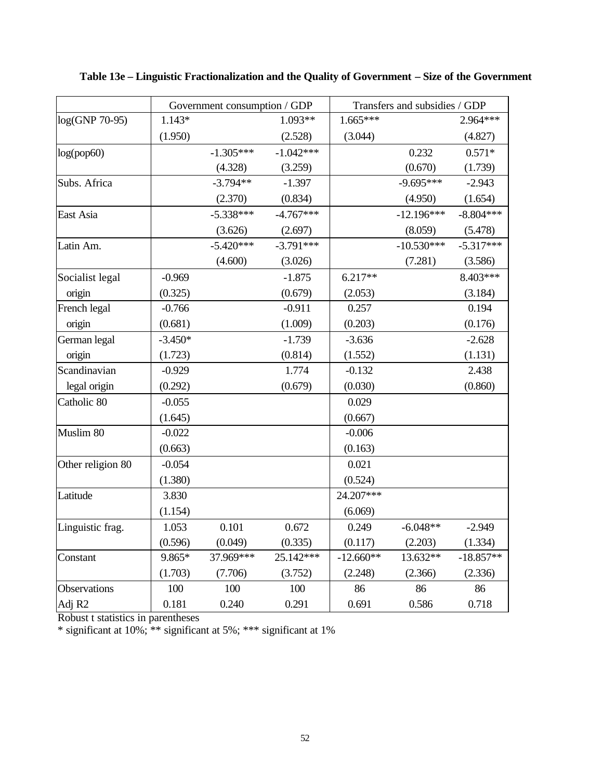|                    |           | Government consumption / GDP |             | Transfers and subsidies / GDP |              |             |
|--------------------|-----------|------------------------------|-------------|-------------------------------|--------------|-------------|
| $log(GNP 70-95)$   | $1.143*$  |                              | 1.093**     | $1.665***$                    |              | 2.964***    |
|                    | (1.950)   |                              | (2.528)     | (3.044)                       |              | (4.827)     |
| log(pop60)         |           | $-1.305***$                  | $-1.042***$ |                               | 0.232        | $0.571*$    |
|                    |           | (4.328)                      | (3.259)     |                               | (0.670)      | (1.739)     |
| Subs. Africa       |           | $-3.794**$                   | $-1.397$    |                               | $-9.695***$  | $-2.943$    |
|                    |           | (2.370)                      | (0.834)     |                               | (4.950)      | (1.654)     |
| East Asia          |           | $-5.338***$                  | $-4.767***$ |                               | $-12.196***$ | $-8.804***$ |
|                    |           | (3.626)                      | (2.697)     |                               | (8.059)      | (5.478)     |
| Latin Am.          |           | $-5.420***$                  | $-3.791***$ |                               | $-10.530***$ | $-5.317***$ |
|                    |           | (4.600)                      | (3.026)     |                               | (7.281)      | (3.586)     |
| Socialist legal    | $-0.969$  |                              | $-1.875$    | $6.217**$                     |              | 8.403***    |
| origin             | (0.325)   |                              | (0.679)     | (2.053)                       |              | (3.184)     |
| French legal       | $-0.766$  |                              | $-0.911$    | 0.257                         |              | 0.194       |
| origin             | (0.681)   |                              | (1.009)     | (0.203)                       |              | (0.176)     |
| German legal       | $-3.450*$ |                              | $-1.739$    | $-3.636$                      |              | $-2.628$    |
| origin             | (1.723)   |                              | (0.814)     | (1.552)                       |              | (1.131)     |
| Scandinavian       | $-0.929$  |                              | 1.774       | $-0.132$                      |              | 2.438       |
| legal origin       | (0.292)   |                              | (0.679)     | (0.030)                       |              | (0.860)     |
| Catholic 80        | $-0.055$  |                              |             | 0.029                         |              |             |
|                    | (1.645)   |                              |             | (0.667)                       |              |             |
| Muslim 80          | $-0.022$  |                              |             | $-0.006$                      |              |             |
|                    | (0.663)   |                              |             | (0.163)                       |              |             |
| Other religion 80  | $-0.054$  |                              |             | 0.021                         |              |             |
|                    | (1.380)   |                              |             | (0.524)                       |              |             |
| Latitude           | 3.830     |                              |             | 24.207***                     |              |             |
|                    | (1.154)   |                              |             | (6.069)                       |              |             |
| Linguistic frag.   | 1.053     | 0.101                        | 0.672       | 0.249                         | $-6.048**$   | $-2.949$    |
|                    | (0.596)   | (0.049)                      | (0.335)     | (0.117)                       | (2.203)      | (1.334)     |
| Constant           | 9.865*    | 37.969***                    | 25.142***   | $-12.660**$                   | 13.632**     | $-18.857**$ |
|                    | (1.703)   | (7.706)                      | (3.752)     | (2.248)                       | (2.366)      | (2.336)     |
| Observations       | 100       | 100                          | 100         | 86                            | 86           | 86          |
| Adj R <sub>2</sub> | 0.181     | 0.240                        | 0.291       | 0.691                         | 0.586        | 0.718       |

**Table 13e – Linguistic Fractionalization and the Quality of Government – Size of the Government**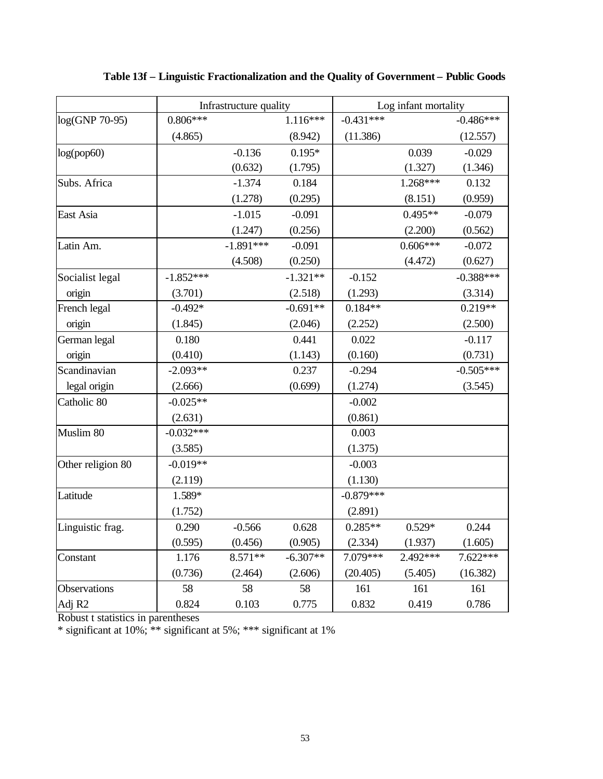|                    |             | Infrastructure quality |            |             | Log infant mortality |             |  |
|--------------------|-------------|------------------------|------------|-------------|----------------------|-------------|--|
| $log(GNP 70-95)$   | $0.806***$  |                        | $1.116***$ | $-0.431***$ |                      | $-0.486***$ |  |
|                    | (4.865)     |                        | (8.942)    | (11.386)    |                      | (12.557)    |  |
| log(pop60)         |             | $-0.136$               | $0.195*$   |             | 0.039                | $-0.029$    |  |
|                    |             | (0.632)                | (1.795)    |             | (1.327)              | (1.346)     |  |
| Subs. Africa       |             | $-1.374$               | 0.184      |             | 1.268***             | 0.132       |  |
|                    |             | (1.278)                | (0.295)    |             | (8.151)              | (0.959)     |  |
| East Asia          |             | $-1.015$               | $-0.091$   |             | $0.495**$            | $-0.079$    |  |
|                    |             | (1.247)                | (0.256)    |             | (2.200)              | (0.562)     |  |
| Latin Am.          |             | $-1.891***$            | $-0.091$   |             | $0.606***$           | $-0.072$    |  |
|                    |             | (4.508)                | (0.250)    |             | (4.472)              | (0.627)     |  |
| Socialist legal    | $-1.852***$ |                        | $-1.321**$ | $-0.152$    |                      | $-0.388***$ |  |
| origin             | (3.701)     |                        | (2.518)    | (1.293)     |                      | (3.314)     |  |
| French legal       | $-0.492*$   |                        | $-0.691**$ | $0.184**$   |                      | $0.219**$   |  |
| origin             | (1.845)     |                        | (2.046)    | (2.252)     |                      | (2.500)     |  |
| German legal       | 0.180       |                        | 0.441      | 0.022       |                      | $-0.117$    |  |
| origin             | (0.410)     |                        | (1.143)    | (0.160)     |                      | (0.731)     |  |
| Scandinavian       | $-2.093**$  |                        | 0.237      | $-0.294$    |                      | $-0.505***$ |  |
| legal origin       | (2.666)     |                        | (0.699)    | (1.274)     |                      | (3.545)     |  |
| Catholic 80        | $-0.025**$  |                        |            | $-0.002$    |                      |             |  |
|                    | (2.631)     |                        |            | (0.861)     |                      |             |  |
| Muslim 80          | $-0.032***$ |                        |            | 0.003       |                      |             |  |
|                    | (3.585)     |                        |            | (1.375)     |                      |             |  |
| Other religion 80  | $-0.019**$  |                        |            | $-0.003$    |                      |             |  |
|                    | (2.119)     |                        |            | (1.130)     |                      |             |  |
| Latitude           | 1.589*      |                        |            | $-0.879***$ |                      |             |  |
|                    | (1.752)     |                        |            | (2.891)     |                      |             |  |
| Linguistic frag.   | 0.290       | $-0.566$               | 0.628      | $0.285**$   | $0.529*$             | 0.244       |  |
|                    | (0.595)     | (0.456)                | (0.905)    | (2.334)     | (1.937)              | (1.605)     |  |
| Constant           | 1.176       | 8.571**                | $-6.307**$ | 7.079***    | 2.492***             | 7.622***    |  |
|                    | (0.736)     | (2.464)                | (2.606)    | (20.405)    | (5.405)              | (16.382)    |  |
| Observations       | 58          | 58                     | 58         | 161         | 161                  | 161         |  |
| Adj R <sub>2</sub> | 0.824       | 0.103                  | 0.775      | 0.832       | 0.419                | 0.786       |  |

**Table 13f – Linguistic Fractionalization and the Quality of Government – Public Goods**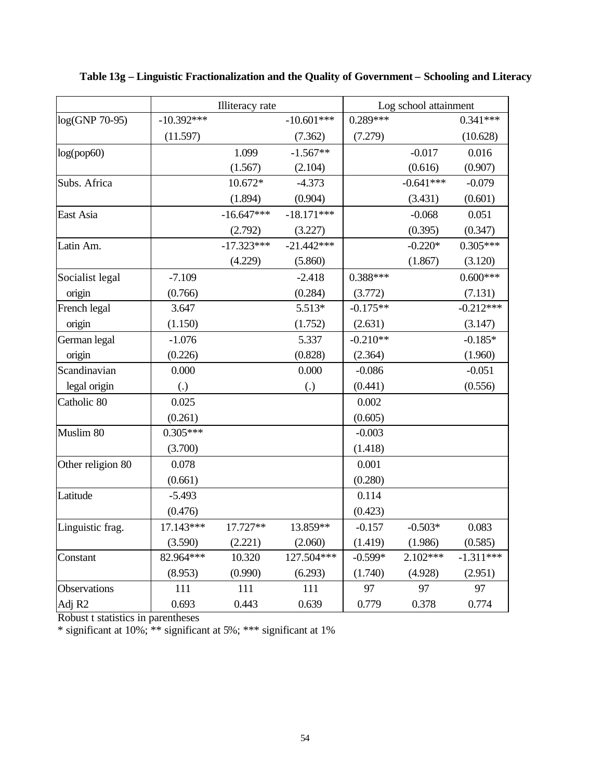|                    |                   | Illiteracy rate |                   |            | Log school attainment |             |  |
|--------------------|-------------------|-----------------|-------------------|------------|-----------------------|-------------|--|
| log(GNP 70-95)     | $-10.392***$      |                 | $-10.601***$      | $0.289***$ |                       | $0.341***$  |  |
|                    | (11.597)          |                 | (7.362)           | (7.279)    |                       | (10.628)    |  |
| log(pop60)         |                   | 1.099           | $-1.567**$        |            | $-0.017$              | 0.016       |  |
|                    |                   | (1.567)         | (2.104)           |            | (0.616)               | (0.907)     |  |
| Subs. Africa       |                   | 10.672*         | $-4.373$          |            | $-0.641***$           | $-0.079$    |  |
|                    |                   | (1.894)         | (0.904)           |            | (3.431)               | (0.601)     |  |
| East Asia          |                   | $-16.647***$    | $-18.171***$      |            | $-0.068$              | 0.051       |  |
|                    |                   | (2.792)         | (3.227)           |            | (0.395)               | (0.347)     |  |
| Latin Am.          |                   | $-17.323***$    | $-21.442***$      |            | $-0.220*$             | $0.305***$  |  |
|                    |                   | (4.229)         | (5.860)           |            | (1.867)               | (3.120)     |  |
| Socialist legal    | $-7.109$          |                 | $-2.418$          | $0.388***$ |                       | $0.600***$  |  |
| origin             | (0.766)           |                 | (0.284)           | (3.772)    |                       | (7.131)     |  |
| French legal       | 3.647             |                 | 5.513*            | $-0.175**$ |                       | $-0.212***$ |  |
| origin             | (1.150)           |                 | (1.752)           | (2.631)    |                       | (3.147)     |  |
| German legal       | $-1.076$          |                 | 5.337             | $-0.210**$ |                       | $-0.185*$   |  |
| origin             | (0.226)           |                 | (0.828)           | (2.364)    |                       | (1.960)     |  |
| Scandinavian       | 0.000             |                 | 0.000             | $-0.086$   |                       | $-0.051$    |  |
| legal origin       | $\left( .\right)$ |                 | $\left( .\right)$ | (0.441)    |                       | (0.556)     |  |
| Catholic 80        | 0.025             |                 |                   | 0.002      |                       |             |  |
|                    | (0.261)           |                 |                   | (0.605)    |                       |             |  |
| Muslim 80          | $0.305***$        |                 |                   | $-0.003$   |                       |             |  |
|                    | (3.700)           |                 |                   | (1.418)    |                       |             |  |
| Other religion 80  | 0.078             |                 |                   | 0.001      |                       |             |  |
|                    | (0.661)           |                 |                   | (0.280)    |                       |             |  |
| Latitude           | $-5.493$          |                 |                   | 0.114      |                       |             |  |
|                    | (0.476)           |                 |                   | (0.423)    |                       |             |  |
| Linguistic frag.   | 17.143***         | 17.727**        | 13.859**          | $-0.157$   | $-0.503*$             | 0.083       |  |
|                    | (3.590)           | (2.221)         | (2.060)           | (1.419)    | (1.986)               | (0.585)     |  |
| Constant           | 82.964***         | 10.320          | 127.504***        | $-0.599*$  | $2.102***$            | $-1.311***$ |  |
|                    | (8.953)           | (0.990)         | (6.293)           | (1.740)    | (4.928)               | (2.951)     |  |
| Observations       | 111               | 111             | 111               | 97         | 97                    | 97          |  |
| Adj R <sub>2</sub> | 0.693             | 0.443           | 0.639             | 0.779      | 0.378                 | 0.774       |  |

**Table 13g – Linguistic Fractionalization and the Quality of Government – Schooling and Literacy**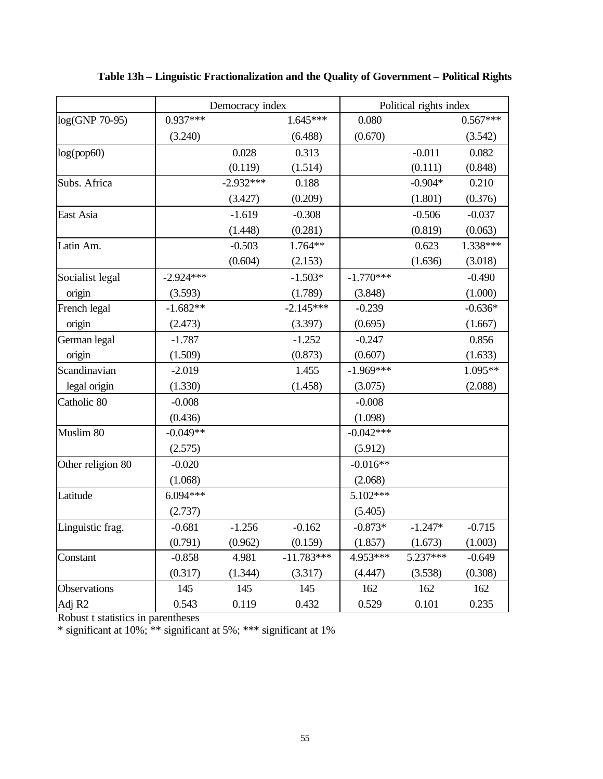|                   |             | Democracy index |              |             | Political rights index |            |  |
|-------------------|-------------|-----------------|--------------|-------------|------------------------|------------|--|
| $log(GNP 70-95)$  | $0.937***$  |                 | $1.645***$   | 0.080       |                        | $0.567***$ |  |
|                   | (3.240)     |                 | (6.488)      | (0.670)     |                        | (3.542)    |  |
| log(pop60)        |             | 0.028           | 0.313        |             | $-0.011$               | 0.082      |  |
|                   |             | (0.119)         | (1.514)      |             | (0.111)                | (0.848)    |  |
| Subs. Africa      |             | $-2.932***$     | 0.188        |             | $-0.904*$              | 0.210      |  |
|                   |             | (3.427)         | (0.209)      |             | (1.801)                | (0.376)    |  |
| East Asia         |             | $-1.619$        | $-0.308$     |             | $-0.506$               | $-0.037$   |  |
|                   |             | (1.448)         | (0.281)      |             | (0.819)                | (0.063)    |  |
| Latin Am.         |             | $-0.503$        | 1.764**      |             | 0.623                  | 1.338***   |  |
|                   |             | (0.604)         | (2.153)      |             | (1.636)                | (3.018)    |  |
| Socialist legal   | $-2.924***$ |                 | $-1.503*$    | $-1.770***$ |                        | $-0.490$   |  |
| origin            | (3.593)     |                 | (1.789)      | (3.848)     |                        | (1.000)    |  |
| French legal      | $-1.682**$  |                 | $-2.145***$  | $-0.239$    |                        | $-0.636*$  |  |
| origin            | (2.473)     |                 | (3.397)      | (0.695)     |                        | (1.667)    |  |
| German legal      | $-1.787$    |                 | $-1.252$     | $-0.247$    |                        | 0.856      |  |
| origin            | (1.509)     |                 | (0.873)      | (0.607)     |                        | (1.633)    |  |
| Scandinavian      | $-2.019$    |                 | 1.455        | $-1.969***$ |                        | $1.095**$  |  |
| legal origin      | (1.330)     |                 | (1.458)      | (3.075)     |                        | (2.088)    |  |
| Catholic 80       | $-0.008$    |                 |              | $-0.008$    |                        |            |  |
|                   | (0.436)     |                 |              | (1.098)     |                        |            |  |
| Muslim 80         | $-0.049**$  |                 |              | $-0.042***$ |                        |            |  |
|                   | (2.575)     |                 |              | (5.912)     |                        |            |  |
| Other religion 80 | $-0.020$    |                 |              | $-0.016**$  |                        |            |  |
|                   | (1.068)     |                 |              | (2.068)     |                        |            |  |
| Latitude          | $6.094***$  |                 |              | 5.102***    |                        |            |  |
|                   | (2.737)     |                 |              | (5.405)     |                        |            |  |
| Linguistic frag.  | $-0.681$    | $-1.256$        | $-0.162$     | $-0.873*$   | $-1.247*$              | $-0.715$   |  |
|                   | (0.791)     | (0.962)         | (0.159)      | (1.857)     | (1.673)                | (1.003)    |  |
| Constant          | $-0.858$    | 4.981           | $-11.783***$ | 4.953***    | 5.237***               | $-0.649$   |  |
|                   | (0.317)     | (1.344)         | (3.317)      | (4.447)     | (3.538)                | (0.308)    |  |
| Observations      | 145         | 145             | 145          | 162         | 162                    | 162        |  |
| Adj R2            | 0.543       | 0.119           | 0.432        | 0.529       | 0.101                  | 0.235      |  |

#### **Table 13h – Linguistic Fractionalization and the Quality of Government – Political Rights**

Robust t statistics in parentheses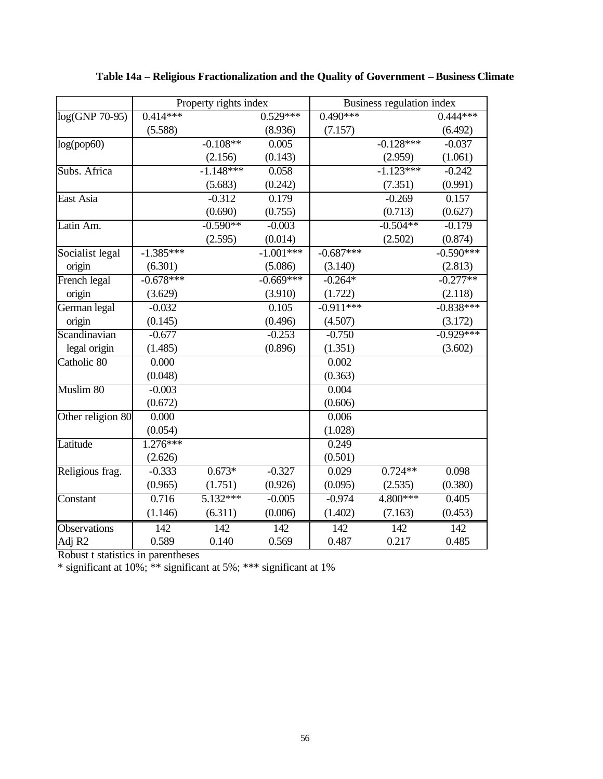|                   |             | Property rights index |             | Business regulation index |             |             |  |
|-------------------|-------------|-----------------------|-------------|---------------------------|-------------|-------------|--|
| $log(GNP 70-95)$  | $0.414***$  |                       | $0.529***$  | $0.490***$                |             | $0.444***$  |  |
|                   | (5.588)     |                       | (8.936)     | (7.157)                   |             | (6.492)     |  |
| log(pop60)        |             | $-0.108**$            | 0.005       |                           | $-0.128***$ | $-0.037$    |  |
|                   |             | (2.156)               | (0.143)     |                           | (2.959)     | (1.061)     |  |
| Subs. Africa      |             | $-1.148***$           | 0.058       |                           | $-1.123***$ | $-0.242$    |  |
|                   |             | (5.683)               | (0.242)     |                           | (7.351)     | (0.991)     |  |
| East Asia         |             | $-0.312$              | 0.179       |                           | $-0.269$    | 0.157       |  |
|                   |             | (0.690)               | (0.755)     |                           | (0.713)     | (0.627)     |  |
| Latin Am.         |             | $-0.590**$            | $-0.003$    |                           | $-0.504**$  | $-0.179$    |  |
|                   |             | (2.595)               | (0.014)     |                           | (2.502)     | (0.874)     |  |
| Socialist legal   | $-1.385***$ |                       | $-1.001***$ | $-0.687***$               |             | $-0.590***$ |  |
| origin            | (6.301)     |                       | (5.086)     | (3.140)                   |             | (2.813)     |  |
| French legal      | $-0.678***$ |                       | $-0.669***$ | $-0.264*$                 |             | $-0.277**$  |  |
| origin            | (3.629)     |                       | (3.910)     | (1.722)                   |             | (2.118)     |  |
| German legal      | $-0.032$    |                       | 0.105       | $-0.911***$               |             | $-0.838***$ |  |
| origin            | (0.145)     |                       | (0.496)     | (4.507)                   |             | (3.172)     |  |
| Scandinavian      | $-0.677$    |                       | $-0.253$    | $-0.750$                  |             | $-0.929***$ |  |
| legal origin      | (1.485)     |                       | (0.896)     | (1.351)                   |             | (3.602)     |  |
| Catholic 80       | 0.000       |                       |             | 0.002                     |             |             |  |
|                   | (0.048)     |                       |             | (0.363)                   |             |             |  |
| Muslim 80         | $-0.003$    |                       |             | 0.004                     |             |             |  |
|                   | (0.672)     |                       |             | (0.606)                   |             |             |  |
| Other religion 80 | 0.000       |                       |             | 0.006                     |             |             |  |
|                   | (0.054)     |                       |             | (1.028)                   |             |             |  |
| Latitude          | $1.276***$  |                       |             | 0.249                     |             |             |  |
|                   | (2.626)     |                       |             | (0.501)                   |             |             |  |
| Religious frag.   | $-0.333$    | $0.673*$              | $-0.327$    | 0.029                     | $0.724**$   | 0.098       |  |
|                   | (0.965)     | (1.751)               | (0.926)     | (0.095)                   | (2.535)     | (0.380)     |  |
| Constant          | 0.716       | $5.132***$            | $-0.005$    | $-0.974$                  | $4.800***$  | 0.405       |  |
|                   | (1.146)     | (6.311)               | (0.006)     | (1.402)                   | (7.163)     | (0.453)     |  |
| Observations      | 142         | 142                   | 142         | 142                       | 142         | 142         |  |
| Adj R2            | 0.589       | 0.140                 | 0.569       | 0.487                     | 0.217       | 0.485       |  |

**Table 14a – Religious Fractionalization and the Quality of Government – Business Climate**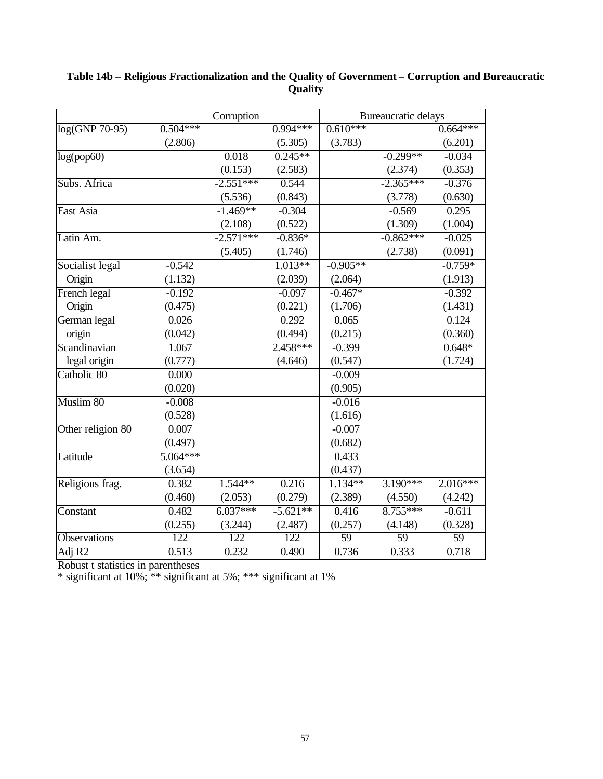|                   | Corruption       |             | Bureaucratic delays |                 |                 |                 |
|-------------------|------------------|-------------|---------------------|-----------------|-----------------|-----------------|
| $log(GNP 70-95)$  | $0.504***$       |             | 0.994***            | $0.610***$      |                 | $0.664***$      |
|                   | (2.806)          |             | (5.305)             | (3.783)         |                 | (6.201)         |
| log(pop60)        |                  | 0.018       | $0.245**$           |                 | $-0.299**$      | $-0.034$        |
|                   |                  | (0.153)     | (2.583)             |                 | (2.374)         | (0.353)         |
| Subs. Africa      |                  | $-2.551***$ | 0.544               |                 | $-2.365***$     | $-0.376$        |
|                   |                  | (5.536)     | (0.843)             |                 | (3.778)         | (0.630)         |
| East Asia         |                  | $-1.469**$  | $-0.304$            |                 | $-0.569$        | 0.295           |
|                   |                  | (2.108)     | (0.522)             |                 | (1.309)         | (1.004)         |
| Latin Am.         |                  | $-2.571***$ | $-0.836*$           |                 | $-0.862***$     | $-0.025$        |
|                   |                  | (5.405)     | (1.746)             |                 | (2.738)         | (0.091)         |
| Socialist legal   | $-0.542$         |             | $1.013**$           | $-0.905**$      |                 | $-0.759*$       |
| Origin            | (1.132)          |             | (2.039)             | (2.064)         |                 | (1.913)         |
| French legal      | $-0.192$         |             | $-0.097$            | $-0.467*$       |                 | $-0.392$        |
| Origin            | (0.475)          |             | (0.221)             | (1.706)         |                 | (1.431)         |
| German legal      | 0.026            |             | 0.292               | 0.065           |                 | 0.124           |
| origin            | (0.042)          |             | (0.494)             | (0.215)         |                 | (0.360)         |
| Scandinavian      | 1.067            |             | $2.458***$          | $-0.399$        |                 | $0.648*$        |
| legal origin      | (0.777)          |             | (4.646)             | (0.547)         |                 | (1.724)         |
| Catholic 80       | 0.000            |             |                     | $-0.009$        |                 |                 |
|                   | (0.020)          |             |                     | (0.905)         |                 |                 |
| Muslim 80         | $-0.008$         |             |                     | $-0.016$        |                 |                 |
|                   | (0.528)          |             |                     | (1.616)         |                 |                 |
| Other religion 80 | 0.007            |             |                     | $-0.007$        |                 |                 |
|                   | (0.497)          |             |                     | (0.682)         |                 |                 |
| Latitude          | $5.064***$       |             |                     | 0.433           |                 |                 |
|                   | (3.654)          |             |                     | (0.437)         |                 |                 |
| Religious frag.   | 0.382            | $1.544**$   | 0.216               | $1.134**$       | $3.190***$      | $2.016***$      |
|                   | (0.460)          | (2.053)     | (0.279)             | (2.389)         | (4.550)         | (4.242)         |
| Constant          | 0.482            | $6.037***$  | $-5.621**$          | 0.416           | $8.755***$      | $-0.611$        |
|                   | (0.255)          | (3.244)     | (2.487)             | (0.257)         | (4.148)         | (0.328)         |
| Observations      | $\overline{122}$ | 122         | $\overline{122}$    | $\overline{59}$ | $\overline{59}$ | $\overline{59}$ |
| Adj R2            | 0.513            | 0.232       | 0.490               | 0.736           | 0.333           | 0.718           |

#### **Table 14b – Religious Fractionalization and the Quality of Government – Corruption and Bureaucratic Quality**

Robust t statistics in parentheses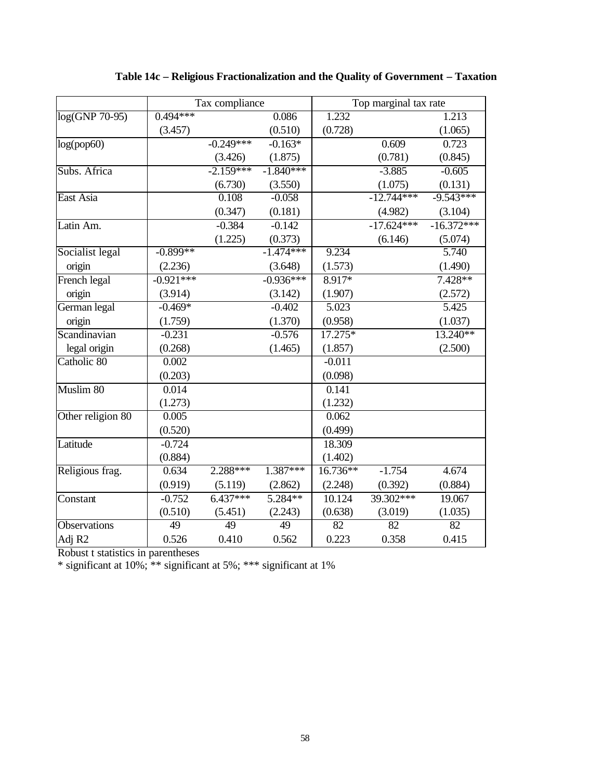|                   |             | Tax compliance |             | Top marginal tax rate |              |              |  |
|-------------------|-------------|----------------|-------------|-----------------------|--------------|--------------|--|
| $log(GNP 70-95)$  | 0.494***    |                | 0.086       | 1.232                 |              | 1.213        |  |
|                   | (3.457)     |                | (0.510)     | (0.728)               |              | (1.065)      |  |
| log(pop60)        |             | $-0.249***$    | $-0.163*$   |                       | 0.609        | 0.723        |  |
|                   |             | (3.426)        | (1.875)     |                       | (0.781)      | (0.845)      |  |
| Subs. Africa      |             | $-2.159***$    | $-1.840***$ |                       | $-3.885$     | $-0.605$     |  |
|                   |             | (6.730)        | (3.550)     |                       | (1.075)      | (0.131)      |  |
| East Asia         |             | 0.108          | $-0.058$    |                       | $-12.744***$ | $-9.543***$  |  |
|                   |             | (0.347)        | (0.181)     |                       | (4.982)      | (3.104)      |  |
| Latin Am.         |             | $-0.384$       | $-0.142$    |                       | $-17.624***$ | $-16.372***$ |  |
|                   |             | (1.225)        | (0.373)     |                       | (6.146)      | (5.074)      |  |
| Socialist legal   | $-0.899**$  |                | $-1.474***$ | 9.234                 |              | 5.740        |  |
| origin            | (2.236)     |                | (3.648)     | (1.573)               |              | (1.490)      |  |
| French legal      | $-0.921***$ |                | $-0.936***$ | 8.917*                |              | 7.428**      |  |
| origin            | (3.914)     |                | (3.142)     | (1.907)               |              | (2.572)      |  |
| German legal      | $-0.469*$   |                | $-0.402$    | 5.023                 |              | 5.425        |  |
| origin            | (1.759)     |                | (1.370)     | (0.958)               |              | (1.037)      |  |
| Scandinavian      | $-0.231$    |                | $-0.576$    | 17.275*               |              | 13.240**     |  |
| legal origin      | (0.268)     |                | (1.465)     | (1.857)               |              | (2.500)      |  |
| Catholic 80       | 0.002       |                |             | $-0.011$              |              |              |  |
|                   | (0.203)     |                |             | (0.098)               |              |              |  |
| Muslim 80         | 0.014       |                |             | 0.141                 |              |              |  |
|                   | (1.273)     |                |             | (1.232)               |              |              |  |
| Other religion 80 | 0.005       |                |             | 0.062                 |              |              |  |
|                   | (0.520)     |                |             | (0.499)               |              |              |  |
| Latitude          | $-0.724$    |                |             | 18.309                |              |              |  |
|                   | (0.884)     |                |             | (1.402)               |              |              |  |
| Religious frag.   | 0.634       | $2.288***$     | $1.387***$  | $16.736**$            | $-1.754$     | 4.674        |  |
|                   | (0.919)     | (5.119)        | (2.862)     | (2.248)               | (0.392)      | (0.884)      |  |
| Constant          | $-0.752$    | $6.437***$     | 5.284**     | 10.124                | 39.302***    | 19.067       |  |
|                   | (0.510)     | (5.451)        | (2.243)     | (0.638)               | (3.019)      | (1.035)      |  |
| Observations      | 49          | 49             | 49          | $\overline{82}$       | 82           | 82           |  |
| Adj R2            | 0.526       | 0.410          | 0.562       | 0.223                 | 0.358        | 0.415        |  |

**Table 14c – Religious Fractionalization and the Quality of Government – Taxation**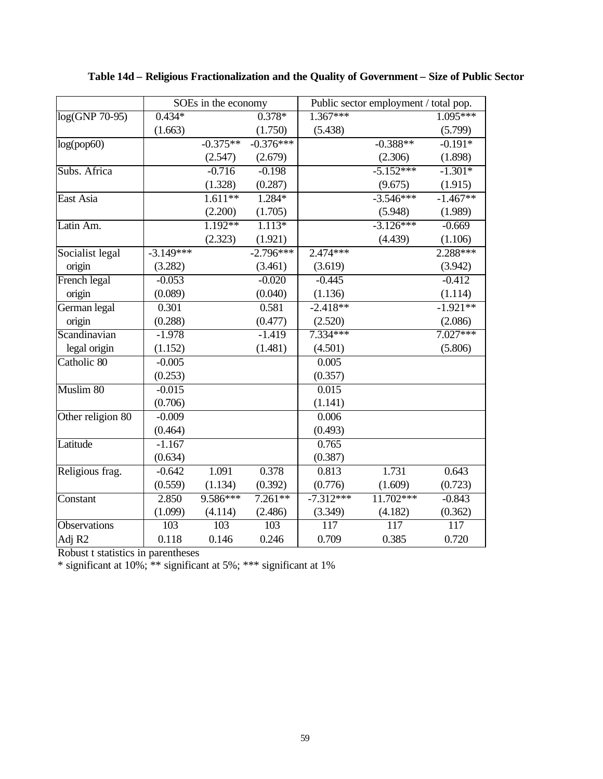|                     |             | SOEs in the economy |                  | Public sector employment / total pop. |             |            |  |
|---------------------|-------------|---------------------|------------------|---------------------------------------|-------------|------------|--|
| $log(GNP 70-95)$    | $0.434*$    |                     | $0.378*$         | $1.367***$                            |             | $1.095***$ |  |
|                     | (1.663)     |                     | (1.750)          | (5.438)                               |             | (5.799)    |  |
| log(pop60)          |             | $-0.375**$          | $-0.376***$      |                                       | $-0.388**$  | $-0.191*$  |  |
|                     |             | (2.547)             | (2.679)          |                                       | (2.306)     | (1.898)    |  |
| Subs. Africa        |             | $-0.716$            | $-0.198$         |                                       | $-5.152***$ | $-1.301*$  |  |
|                     |             | (1.328)             | (0.287)          |                                       | (9.675)     | (1.915)    |  |
| East Asia           |             | $1.611**$           | 1.284*           |                                       | $-3.546***$ | $-1.467**$ |  |
|                     |             | (2.200)             | (1.705)          |                                       | (5.948)     | (1.989)    |  |
| Latin Am.           |             | $1.192**$           | $1.113*$         |                                       | $-3.126***$ | $-0.669$   |  |
|                     |             | (2.323)             | (1.921)          |                                       | (4.439)     | (1.106)    |  |
| Socialist legal     | $-3.149***$ |                     | $-2.796***$      | $2.474***$                            |             | 2.288***   |  |
| origin              | (3.282)     |                     | (3.461)          | (3.619)                               |             | (3.942)    |  |
| French legal        | $-0.053$    |                     | $-0.020$         | $-0.445$                              |             | $-0.412$   |  |
| origin              | (0.089)     |                     | (0.040)          | (1.136)                               |             | (1.114)    |  |
| German legal        | 0.301       |                     | 0.581            | $-2.418**$                            |             | $-1.921**$ |  |
| origin              | (0.288)     |                     | (0.477)          | (2.520)                               |             | (2.086)    |  |
| Scandinavian        | $-1.978$    |                     | $-1.419$         | $7.334***$                            |             | $7.027***$ |  |
| legal origin        | (1.152)     |                     | (1.481)          | (4.501)                               |             | (5.806)    |  |
| Catholic 80         | $-0.005$    |                     |                  | 0.005                                 |             |            |  |
|                     | (0.253)     |                     |                  | (0.357)                               |             |            |  |
| Muslim 80           | $-0.015$    |                     |                  | 0.015                                 |             |            |  |
|                     | (0.706)     |                     |                  | (1.141)                               |             |            |  |
| Other religion 80   | $-0.009$    |                     |                  | 0.006                                 |             |            |  |
|                     | (0.464)     |                     |                  | (0.493)                               |             |            |  |
| Latitude            | $-1.167$    |                     |                  | 0.765                                 |             |            |  |
|                     | (0.634)     |                     |                  | (0.387)                               |             |            |  |
| Religious frag.     | $-0.642$    | 1.091               | 0.378            | 0.813                                 | 1.731       | 0.643      |  |
|                     | (0.559)     | (1.134)             | (0.392)          | (0.776)                               | (1.609)     | (0.723)    |  |
| Constant            | 2.850       | 9.586***            | $7.261**$        | $-7.312***$                           | $11.702***$ | $-0.843$   |  |
|                     | (1.099)     | (4.114)             | (2.486)          | (3.349)                               | (4.182)     | (0.362)    |  |
| <b>Observations</b> | 103         | 103                 | $\overline{103}$ | 117                                   | 117         | 117        |  |
| Adj R <sub>2</sub>  | 0.118       | 0.146               | 0.246            | 0.709                                 | 0.385       | 0.720      |  |

**Table 14d – Religious Fractionalization and the Quality of Government – Size of Public Sector**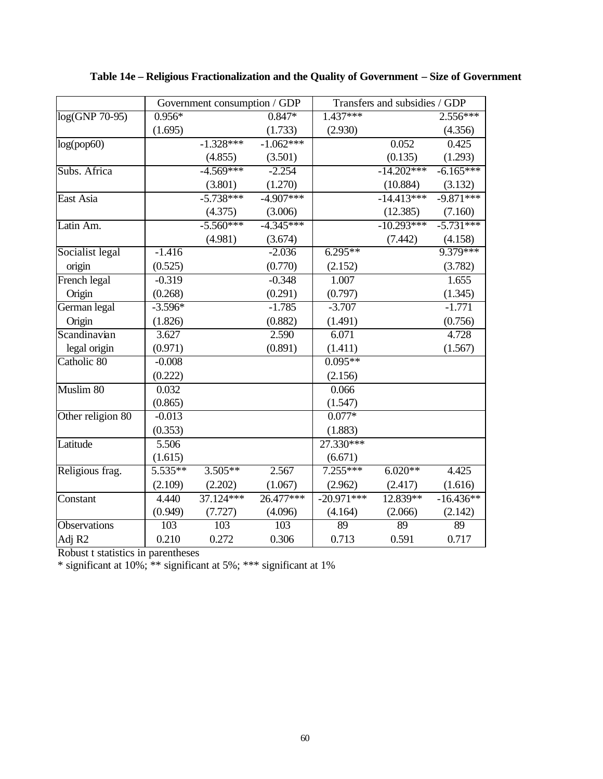|                     |           | Government consumption / GDP |             | Transfers and subsidies / GDP |              |             |
|---------------------|-----------|------------------------------|-------------|-------------------------------|--------------|-------------|
| $log(GNP 70-95)$    | $0.956*$  |                              | $0.847*$    | $1.437***$                    |              | $2.556***$  |
|                     | (1.695)   |                              | (1.733)     | (2.930)                       |              | (4.356)     |
| log(pop60)          |           | $-1.328***$                  | $-1.062***$ |                               | 0.052        | 0.425       |
|                     |           | (4.855)                      | (3.501)     |                               | (0.135)      | (1.293)     |
| Subs. Africa        |           | $-4.569***$                  | $-2.254$    |                               | $-14.202***$ | $-6.165***$ |
|                     |           | (3.801)                      | (1.270)     |                               | (10.884)     | (3.132)     |
| East Asia           |           | $-5.738***$                  | $-4.907***$ |                               | $-14.413***$ | $-9.871***$ |
|                     |           | (4.375)                      | (3.006)     |                               | (12.385)     | (7.160)     |
| Latin Am.           |           | $-5.560***$                  | $-4.345***$ |                               | $-10.293***$ | $-5.731***$ |
|                     |           | (4.981)                      | (3.674)     |                               | (7.442)      | (4.158)     |
| Socialist legal     | $-1.416$  |                              | $-2.036$    | $6.295**$                     |              | 9.379***    |
| origin              | (0.525)   |                              | (0.770)     | (2.152)                       |              | (3.782)     |
| French legal        | $-0.319$  |                              | $-0.348$    | 1.007                         |              | 1.655       |
| Origin              | (0.268)   |                              | (0.291)     | (0.797)                       |              | (1.345)     |
| German legal        | $-3.596*$ |                              | $-1.785$    | $-3.707$                      |              | $-1.771$    |
| Origin              | (1.826)   |                              | (0.882)     | (1.491)                       |              | (0.756)     |
| Scandinavian        | 3.627     |                              | 2.590       | 6.071                         |              | 4.728       |
| legal origin        | (0.971)   |                              | (0.891)     | (1.411)                       |              | (1.567)     |
| Catholic 80         | $-0.008$  |                              |             | $0.095**$                     |              |             |
|                     | (0.222)   |                              |             | (2.156)                       |              |             |
| Muslim 80           | 0.032     |                              |             | 0.066                         |              |             |
|                     | (0.865)   |                              |             | (1.547)                       |              |             |
| Other religion 80   | $-0.013$  |                              |             | $0.077*$                      |              |             |
|                     | (0.353)   |                              |             | (1.883)                       |              |             |
| Latitude            | 5.506     |                              |             | 27.330***                     |              |             |
|                     | (1.615)   |                              |             | (6.671)                       |              |             |
| Religious frag.     | $5.535**$ | $3.505**$                    | 2.567       | $7.255***$                    | $6.020**$    | 4.425       |
|                     | (2.109)   | (2.202)                      | (1.067)     | (2.962)                       | (2.417)      | (1.616)     |
| Constant            | 4.440     | 37.124***                    | 26.477***   | $-20.971***$                  | 12.839**     | $-16.436**$ |
|                     | (0.949)   | (7.727)                      | (4.096)     | (4.164)                       | (2.066)      | (2.142)     |
| <b>Observations</b> | 103       | 103                          | 103         | 89                            | 89           | 89          |
| Adj R2              | 0.210     | 0.272                        | 0.306       | 0.713                         | 0.591        | 0.717       |

**Table 14e – Religious Fractionalization and the Quality of Government – Size of Government**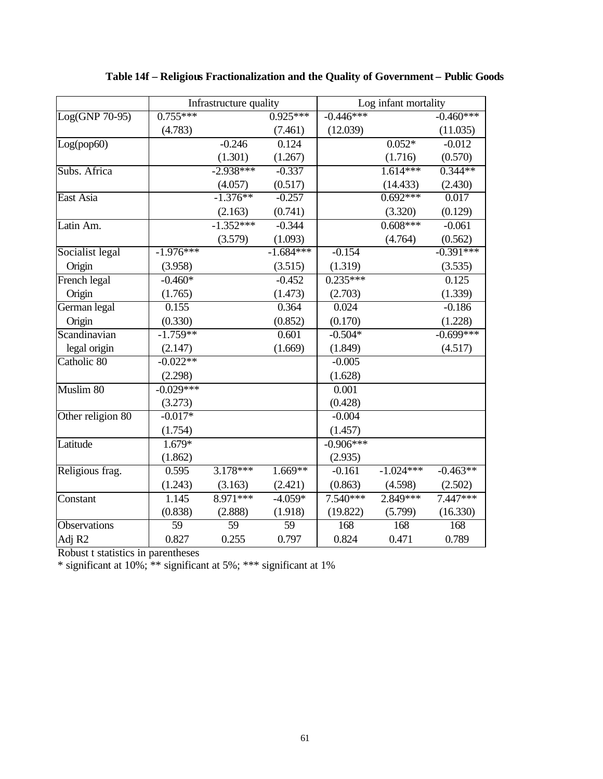|                    | Infrastructure quality |                 |                 | Log infant mortality |             |             |
|--------------------|------------------------|-----------------|-----------------|----------------------|-------------|-------------|
| $Log(GNP 70-95)$   | $0.755***$             |                 | $0.925***$      | $-0.446***$          |             | $-0.460***$ |
|                    | (4.783)                |                 | (7.461)         | (12.039)             |             | (11.035)    |
| Log(pop60)         |                        | $-0.246$        | 0.124           |                      | $0.052*$    | $-0.012$    |
|                    |                        | (1.301)         | (1.267)         |                      | (1.716)     | (0.570)     |
| Subs. Africa       |                        | $-2.938***$     | $-0.337$        |                      | $1.614***$  | $0.344**$   |
|                    |                        | (4.057)         | (0.517)         |                      | (14.433)    | (2.430)     |
| East Asia          |                        | $-1.376**$      | $-0.257$        |                      | $0.692***$  | 0.017       |
|                    |                        | (2.163)         | (0.741)         |                      | (3.320)     | (0.129)     |
| Latin Am.          |                        | $-1.352***$     | $-0.344$        |                      | $0.608***$  | $-0.061$    |
|                    |                        | (3.579)         | (1.093)         |                      | (4.764)     | (0.562)     |
| Socialist legal    | $-1.976***$            |                 | $-1.684***$     | $-0.154$             |             | $-0.391***$ |
| Origin             | (3.958)                |                 | (3.515)         | (1.319)              |             | (3.535)     |
| French legal       | $-0.460*$              |                 | $-0.452$        | $0.235***$           |             | 0.125       |
| Origin             | (1.765)                |                 | (1.473)         | (2.703)              |             | (1.339)     |
| German legal       | 0.155                  |                 | 0.364           | 0.024                |             | $-0.186$    |
| Origin             | (0.330)                |                 | (0.852)         | (0.170)              |             | (1.228)     |
| Scandinavian       | $-1.759**$             |                 | 0.601           | $-0.504*$            |             | $-0.699***$ |
| legal origin       | (2.147)                |                 | (1.669)         | (1.849)              |             | (4.517)     |
| Catholic 80        | $-0.022**$             |                 |                 | $-0.005$             |             |             |
|                    | (2.298)                |                 |                 | (1.628)              |             |             |
| Muslim 80          | $-0.029***$            |                 |                 | 0.001                |             |             |
|                    | (3.273)                |                 |                 | (0.428)              |             |             |
| Other religion 80  | $-0.017*$              |                 |                 | $-0.004$             |             |             |
|                    | (1.754)                |                 |                 | (1.457)              |             |             |
| Latitude           | $1.679*$               |                 |                 | $-0.906***$          |             |             |
|                    | (1.862)                |                 |                 | (2.935)              |             |             |
| Religious frag.    | 0.595                  | $3.178***$      | $1.669**$       | $-0.161$             | $-1.024***$ | $-0.463**$  |
|                    | (1.243)                | (3.163)         | (2.421)         | (0.863)              | (4.598)     | (2.502)     |
| Constant           | 1.145                  | $8.971***$      | $-4.059*$       | $7.540***$           | $2.849***$  | 7.447***    |
|                    | (0.838)                | (2.888)         | (1.918)         | (19.822)             | (5.799)     | (16.330)    |
| Observations       | $\overline{59}$        | $\overline{59}$ | $\overline{59}$ | 168                  | 168         | 168         |
| Adj R <sub>2</sub> | 0.827                  | 0.255           | 0.797           | 0.824                | 0.471       | 0.789       |

**Table 14f – Religious Fractionalization and the Quality of Government – Public Goods**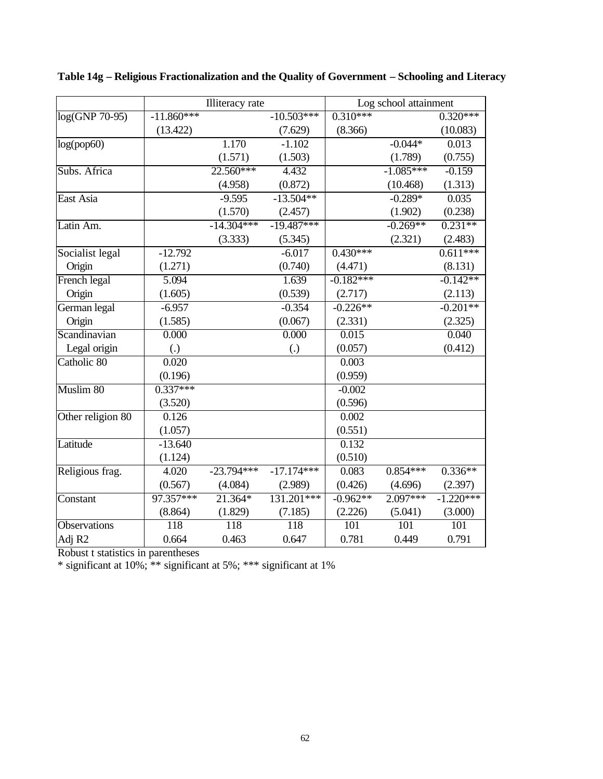|                    | Illiteracy rate |              |                         | Log school attainment |             |             |  |
|--------------------|-----------------|--------------|-------------------------|-----------------------|-------------|-------------|--|
| $log(GNP 70-95)$   | $-11.860***$    |              | $-10.503***$            | $0.310***$            |             | $0.320***$  |  |
|                    | (13.422)        |              | (7.629)                 | (8.366)               |             | (10.083)    |  |
| log(pop60)         |                 | 1.170        | $-1.102$                |                       | $-0.044*$   | 0.013       |  |
|                    |                 | (1.571)      | (1.503)                 |                       | (1.789)     | (0.755)     |  |
| Subs. Africa       |                 | $22.560***$  | 4.432                   |                       | $-1.085***$ | $-0.159$    |  |
|                    |                 | (4.958)      | (0.872)                 |                       | (10.468)    | (1.313)     |  |
| East Asia          |                 | $-9.595$     | $-13.504**$             |                       | $-0.289*$   | 0.035       |  |
|                    |                 | (1.570)      | (2.457)                 |                       | (1.902)     | (0.238)     |  |
| Latin Am.          |                 | $-14.304***$ | $-19.487***$            |                       | $-0.269**$  | $0.231**$   |  |
|                    |                 | (3.333)      | (5.345)                 |                       | (2.321)     | (2.483)     |  |
| Socialist legal    | $-12.792$       |              | $-6.017$                | $0.430***$            |             | $0.611***$  |  |
| Origin             | (1.271)         |              | (0.740)                 | (4.471)               |             | (8.131)     |  |
| French legal       | 5.094           |              | 1.639                   | $-0.182***$           |             | $-0.142**$  |  |
| Origin             | (1.605)         |              | (0.539)                 | (2.717)               |             | (2.113)     |  |
| German legal       | $-6.957$        |              | $-0.354$                | $-0.226**$            |             | $-0.201**$  |  |
| Origin             | (1.585)         |              | (0.067)                 | (2.331)               |             | (2.325)     |  |
| Scandinavian       | 0.000           |              | 0.000                   | 0.015                 |             | 0.040       |  |
| Legal origin       | (.)             |              | $\left( .\right)$       | (0.057)               |             | (0.412)     |  |
| Catholic 80        | 0.020           |              |                         | 0.003                 |             |             |  |
|                    | (0.196)         |              |                         | (0.959)               |             |             |  |
| Muslim 80          | $0.337***$      |              |                         | $-0.002$              |             |             |  |
|                    | (3.520)         |              |                         | (0.596)               |             |             |  |
| Other religion 80  | 0.126           |              |                         | 0.002                 |             |             |  |
|                    | (1.057)         |              |                         | (0.551)               |             |             |  |
| Latitude           | $-13.640$       |              |                         | 0.132                 |             |             |  |
|                    | (1.124)         |              |                         | (0.510)               |             |             |  |
| Religious frag.    | 4.020           | $-23.794***$ | $-17.\overline{174***}$ | 0.083                 | $0.854***$  | $0.336**$   |  |
|                    | (0.567)         | (4.084)      | (2.989)                 | (0.426)               | (4.696)     | (2.397)     |  |
| Constant           | 97.357***       | $21.364*$    | $131.201***$            | $-0.962**$            | $2.097***$  | $-1.220***$ |  |
|                    | (8.864)         | (1.829)      | (7.185)                 | (2.226)               | (5.041)     | (3.000)     |  |
| Observations       | 118             | 118          | 118                     | 101                   | 101         | 101         |  |
| Adj R <sub>2</sub> | 0.664           | 0.463        | 0.647                   | 0.781                 | 0.449       | 0.791       |  |

**Table 14g – Religious Fractionalization and the Quality of Government – Schooling and Literacy**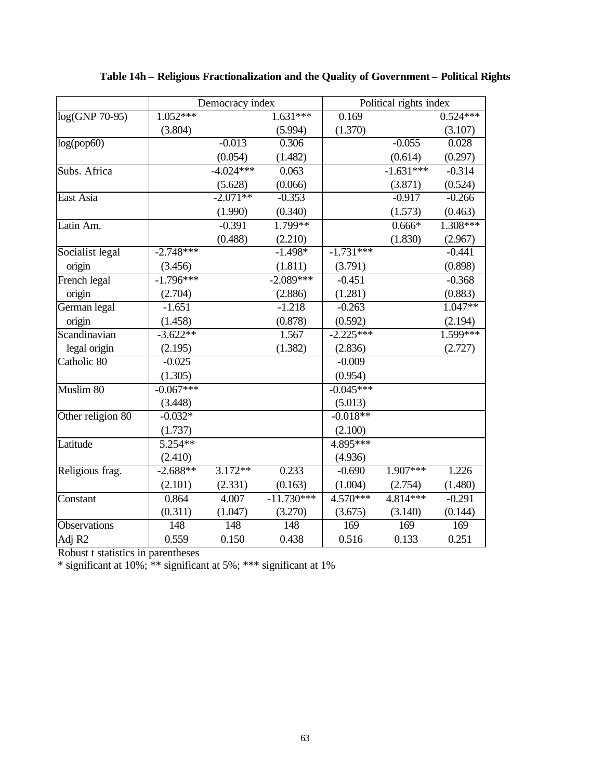|                     | Democracy index |             |              | Political rights index |             |            |  |
|---------------------|-----------------|-------------|--------------|------------------------|-------------|------------|--|
| $log(GNP 70-95)$    | $1.052***$      |             | $1.631***$   | 0.169                  |             | $0.524***$ |  |
|                     | (3.804)         |             | (5.994)      | (1.370)                |             | (3.107)    |  |
| log(pop60)          |                 | $-0.013$    | 0.306        |                        | $-0.055$    | 0.028      |  |
|                     |                 | (0.054)     | (1.482)      |                        | (0.614)     | (0.297)    |  |
| Subs. Africa        |                 | $-4.024***$ | 0.063        |                        | $-1.631***$ | $-0.314$   |  |
|                     |                 | (5.628)     | (0.066)      |                        | (3.871)     | (0.524)    |  |
| East Asia           |                 | $-2.071**$  | $-0.353$     |                        | $-0.917$    | $-0.266$   |  |
|                     |                 | (1.990)     | (0.340)      |                        | (1.573)     | (0.463)    |  |
| Latin Am.           |                 | $-0.391$    | 1.799**      |                        | $0.666*$    | 1.308***   |  |
|                     |                 | (0.488)     | (2.210)      |                        | (1.830)     | (2.967)    |  |
| Socialist legal     | $-2.748***$     |             | $-1.498*$    | $-1.731***$            |             | $-0.441$   |  |
| origin              | (3.456)         |             | (1.811)      | (3.791)                |             | (0.898)    |  |
| French legal        | $-1.796***$     |             | $-2.089***$  | $-0.451$               |             | $-0.368$   |  |
| origin              | (2.704)         |             | (2.886)      | (1.281)                |             | (0.883)    |  |
| German legal        | $-1.651$        |             | $-1.218$     | $-0.263$               |             | $1.047**$  |  |
| origin              | (1.458)         |             | (0.878)      | (0.592)                |             | (2.194)    |  |
| Scandinavian        | $-3.622**$      |             | 1.567        | $-2.225***$            |             | $1.599***$ |  |
| legal origin        | (2.195)         |             | (1.382)      | (2.836)                |             | (2.727)    |  |
| Catholic 80         | $-0.025$        |             |              | $-0.009$               |             |            |  |
|                     | (1.305)         |             |              | (0.954)                |             |            |  |
| Muslim 80           | $-0.067***$     |             |              | $-0.045***$            |             |            |  |
|                     | (3.448)         |             |              | (5.013)                |             |            |  |
| Other religion 80   | $-0.032*$       |             |              | $-0.018**$             |             |            |  |
|                     | (1.737)         |             |              | (2.100)                |             |            |  |
| Latitude            | $5.254**$       |             |              | 4.895***               |             |            |  |
|                     | (2.410)         |             |              | (4.936)                |             |            |  |
| Religious frag.     | $-2.688**$      | $3.172**$   | 0.233        | $-0.690$               | $1.907***$  | 1.226      |  |
|                     | (2.101)         | (2.331)     | (0.163)      | (1.004)                | (2.754)     | (1.480)    |  |
| Constant            | 0.864           | 4.007       | $-11.730***$ | $4.570***$             | 4.814***    | $-0.291$   |  |
|                     | (0.311)         | (1.047)     | (3.270)      | (3.675)                | (3.140)     | (0.144)    |  |
| <b>Observations</b> | 148             | 148         | 148          | 169                    | 169         | 169        |  |
| Adj R <sub>2</sub>  | 0.559           | 0.150       | 0.438        | 0.516                  | 0.133       | 0.251      |  |

**Table 14h – Religious Fractionalization and the Quality of Government – Political Rights**